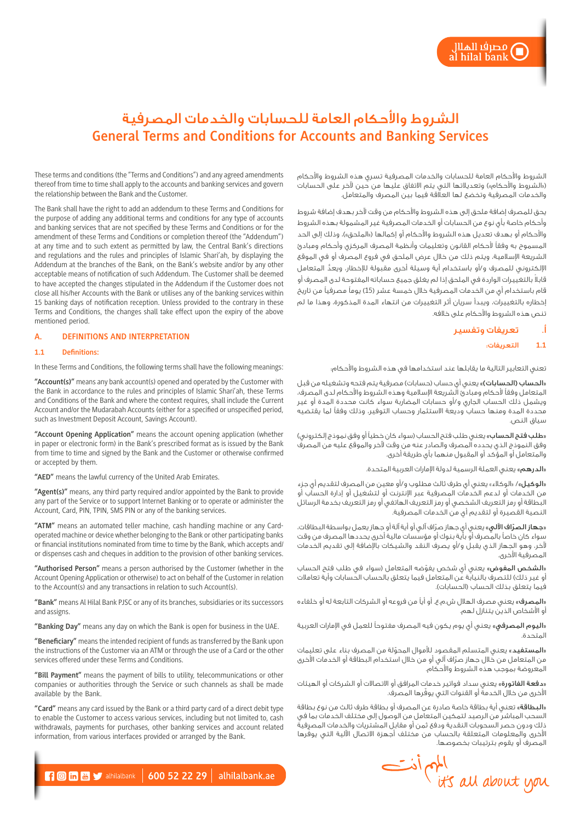# الشروط واألحكام العامة للحسابات والخدمات المصرفية **General Terms and Conditions for Accounts and Banking Services**

الشروط واألحكام العامة للحسابات والخدمات المصرفية تسري هذه الشروط واألحكام )»الشروط واألحكام«( وتعديالتها التي يتم االتفاق عليها من حين آلخر على الحسابات والخدمات المصرفية وتخضع لها العالقة فيما بين المصرف والمتعامل.

يحق للمصرف إضافة ملحق إلى هذه الشروط واألحكام من وقت آلخر بهدف إضافة شروط وأحكام خاصة بأي نوع من الحسابات أو الخدمات المصرفية غير المشمولة بهذه الشروط والأحكام أو بهدف تعديل هذه الشروط والأحكام أو إكمالها («الملحق»)، وذلك إلى الحد المسموح به وفقًا ألحكام القانون وتعليمات وأنظمة المصرف المركزي وأحكام ومبادئ الشريعة اإلسالمية، ويتم ذلك من خالل عرض الملحق في فروع المصرف أو في الموقع الإلكتروني للمصرف و/أو باستخدام أية وسيلة أخرى مقبولة للإخطار، ويعدُّ المتعامل ً قابال بالتغييرات الواردة في الملحق إذا لم يغلق جميع حساباته المفتوحة لدى المصرف أو قام باستخدام أي من الخدمات المصرفية خالل خمسة عشر )15( يومًا مصرفيًا من تاريخ إخطاره بالتغييرات، ويبدأ سريان أثر التغييرات من انتهاء المدة المذكورة، وهذا ما لم تنص هذه الشروط واألحكام على خالفه.

# أ. تعريفات وتفسير

مصر<mark>ف</mark>ا الهلال<br>I hilal bank

# **1.1** التعريفات:

تعني التعابير التالية ما يقابلها عند استخدامها في هذه الشروط والأحكام؛

«الحساب (الحسابات)» يعني أي حساب (حسابات) مصرفية يتم فتحه وتشغيله من قبل المتعامل وفقًا ألحكام ومبادئ الشريعة اإلسالمية وهذه الشروط واألحكام لدى المصرف، ويشمل ذلك الحساب الجاري و/أو حسابات المضاربة سواء كانت محددة المدة أو غير محددة المدة ومنها حساب وديعة االستثمار وحساب التوفير، وذلك وفقًا لما يقتضيه سياق النص.

«**طلب فتح الحساب**» يعني طلب فتح الحساب (سواء كان خطياً أو وفق نموذج إلكتروني) وفق النموذج الذي يحدده المصرف والصادر عنه من وقت آلخر والموقع عليه من المصرف والمتعامل أو المؤكد أو المقبول منهما بأي طريقة أخرى.

«الدرهم» يعني العملة الرسمية لدولة الإمارات العربية المتحدة.

«**الوكيل»**/ «الوكلاء» يعني أي طرف ثالث مطلوب و/أو معين من المصرف لتقديم أي جزء من الخدمات أو لدعم الخدمات المصرفية عبر اإلنترنت أو لتشغيل أو إدارة الحساب أو البطاقة أو رمز التعريف الشخصي أو رمز التعريف الهاتفي أو رمز التعريف بخدمة الرسائل النصية القصيرة أو لتقديم أي من الخدمات المصرفية.

«**جهاز الصرّاف الآلي**» يعني أي جهاز صرّاف آلي أو أية آلة أو جهاز يعمل بواسطة البطاقات، سواء كان خاصًا بالمصرف أو بأية بنوك أو مؤسسات مالية أخرى يحددها المصرف من وقت آلخر، وهو الجهاز الذي يقبل و/أو يصرف النقد والشيكات باإلضافة إلى تقديم الخدمات المصرفية الأخرى.

«ا**لشخص المفوض**» يعني أي شخص يفوّضه المتعامل (سواء في طلب فتح الحساب أو غير ذلك) للتصرف بالنيابة عن المتعامل فيما يتعلق بالحساب الحسابات وأية تعاملات فيما يتعلق بذلك الحساب )الحسابات(.

«**المصرف**» يعني مصرف الهلال ش.م.ع. أو أياً من فروعه أو الشركات التابعة له أو خلفاءه أو الأشخاص الذين يتنازل لهم.

«اليوم المصرفي» يعني أي يوم يكون فيه المصرف مفتوحاً للعمل في الإمارات العربية المتحدة.

«المستفيد» يعني المتسلم المقصود للأموال المحوّلة من المصرف بناء على تعليمات ّ من المتعامل من خالل جهاز صراف آلي أو من خالل استخدام البطاقة أو الخدمات األخرى المعروضة بموجب هذه الشروط واألحكام.

«**دفعة الفاتورة**» يعنى سداد فواتير خدمات المرافق او الاتصالات او الشركات او الهيئات لأخرى من خلال الخدمة أو القنوات التي يوفرها المصرف.

«**البطاقة**» تعني أية بطاقة خاصة صادرة عن المصرف أو بطاقة طرف ثالث من نوع بطاقة السحب المباشر من الرصيد لتمكين المتعامل من الوصول إلى مختلف الخدمات بما في ذلك ودون حصر السحوبات النقدية ودفع ثمن أو مقابل المشتريات والخدمات المصرفية ّ األخرى والمعلومات المتعلقة بالحساب من مختلف أجهزة االتصال اآللية التي يوفرها المصرف أو يقوم بترتيبات بخصوصها.



These terms and conditions (the "Terms and Conditions") and any agreed amendments thereof from time to time shall apply to the accounts and banking services and govern the relationship between the Bank and the Customer.

The Bank shall have the right to add an addendum to these Terms and Conditions for the purpose of adding any additional terms and conditions for any type of accounts and banking services that are not specified by these Terms and Conditions or for the amendment of these Terms and Conditions or completion thereof (the "Addendum") at any time and to such extent as permitted by law, the Central Bank's directions and regulations and the rules and principles of Islamic Shari'ah, by displaying the Addendum at the branches of the Bank, on the Bank's website and/or by any other acceptable means of notification of such Addendum. The Customer shall be deemed to have accepted the changes stipulated in the Addendum if the Customer does not close all his/her Accounts with the Bank or utilises any of the banking services within 15 banking days of notification reception. Unless provided to the contrary in these Terms and Conditions, the changes shall take effect upon the expiry of the above mentioned period.

# **A. DEFINITIONS AND INTERPRETATION**

#### **1.1 Definitions:**

In these Terms and Conditions, the following terms shall have the following meanings:

**"Account(s)"** means any bank account(s) opened and operated by the Customer with the Bank in accordance to the rules and principles of Islamic Shari'ah, these Terms and Conditions of the Bank and where the context requires, shall include the Current Account and/or the Mudarabah Accounts (either for a specified or unspecified period, such as Investment Deposit Account, Savings Account).

**"Account Opening Application"** means the account opening application (whether in paper or electronic form) in the Bank's prescribed format as is issued by the Bank from time to time and signed by the Bank and the Customer or otherwise confirmed or accepted by them.

**"AED"** means the lawful currency of the United Arab Emirates.

**"Agent(s)"** means, any third party required and/or appointed by the Bank to provide any part of the Service or to support Internet Banking or to operate or administer the Account, Card, PIN, TPIN, SMS PIN or any of the banking services.

**"ATM"** means an automated teller machine, cash handling machine or any Cardoperated machine or device whether belonging to the Bank or other participating banks or financial institutions nominated from time to time by the Bank, which accepts and/ or dispenses cash and cheques in addition to the provision of other banking services.

**"Authorised Person"** means a person authorised by the Customer (whether in the Account Opening Application or otherwise) to act on behalf of the Customer in relation to the Account(s) and any transactions in relation to such Account(s).

**"Bank"** means Al Hilal Bank PJSC or any of its branches, subsidiaries or its successors and assigns.

**"Banking Day"** means any day on which the Bank is open for business in the UAE.

**"Beneficiary"** means the intended recipient of funds as transferred by the Bank upon the instructions of the Customer via an ATM or through the use of a Card or the other services offered under these Terms and Conditions.

**"Bill Payment"** means the payment of bills to utility, telecommunications or other companies or authorities through the Service or such channels as shall be made available by the Bank.

**"Card"** means any card issued by the Bank or a third party card of a direct debit type to enable the Customer to access various services, including but not limited to, cash withdrawals, payments for purchases, other banking services and account related information, from various interfaces provided or arranged by the Bank.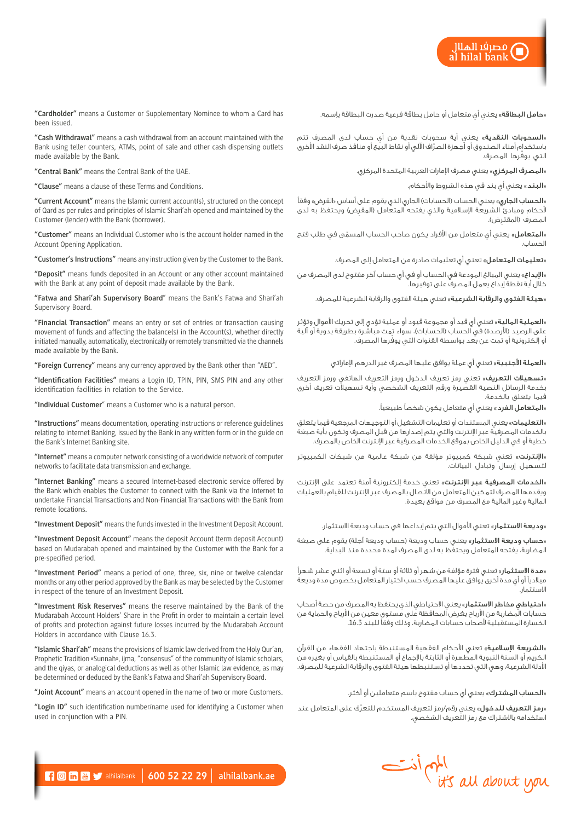مصر<mark>ف</mark>ا الهلال<br>I hilal bank

«**حامل البطاقة**» يعني أي متعامل أو حامل بطاقة فرعية صدرت البطاقة بإسمه.

«**السحوبات النقدية**» يعني أية سحوبات نقدية من أي حساب لدى المصرف تتم ّ باستخدام أمناء الصندوق أو أجهزة الصراف اآللي أو نقاط البيع أو منافذ صرف النقد األخرى ّ التي يوفرها المصرف.

«المصرف المركزي» يعني مصرف الإمارات العربية المتحدة المركزي.

«**البند**» يعني أي بند في هذه الشروط والأحكام.

«**الحساب الجاري**» يعني الحساب (الحسابات) الجاري الذي يقوم على أساس «القرض» وفقاً لأحكام ومبادئ الشريعة الإسلامية والذي يفتحه المتعامل (المقرض) ويحتفظ به لدى المصرف (المقترض).

«**المتعامل**» يعني أي متعامل من الأفراد يكون صاحب الحساب المسمّى في طلب فتح الحساب.

«تعليمات المتعامل» تعني أي تعليمات صادرة من المتعامل إلى المصرف.

«ا**لإيداع**» يعني المبالغ المودعة في الحساب أو في أي حساب آخر مفتوح لدى المصرف من خالل أية نقطة إيداع يعمل المصرف على توفيرها.

«**هيئة الفتوى والرقابة الشرعية**» تعني هيئة الفتوى والرقابة الشرعية للمصرف.

«**العملية المالية**» تعني أي قيد أو مجموعة قيود أو عملية تؤدي إلى تحريك الأموال وتؤثر على الرصيد (الأرصدة) في الحساب (الحسابات)، سواء تمت مباشَّرة بطريقة يدوية أو آلية ّ أو إلكترونية أو تمت عن بعد بواسطة القنوات التي يوفرها المصرف.

«**العملة الأجنبية**» تعني أي عملة يوافق عليها المصرف غير الدرهم الإماراتي

<mark>«تسهيلات التعريف»</mark> تعني رمز تعريف الدخول ورمز التعريف الهاتفي ورمز التعريف بخدمة الرسائل النصية القصيرة ورقم التعريف الشخصي وأية تسهيالت تعريف أخرى فيما يتعلق بالخدمة.

»المتعامل الفرد« يعني أي متعامل يكون شخصًا طبيعيًا.

«**التعليمات**» يعنى المستندات أو تعليمات التشغيل أو التوجيهات المرجعية فيما يتعلق بالخدمات المصرفية عبر اإلنترنت والتي يتم إصدارها من قبل المصرف وتكون بأية صيغة خطية أو في الدليل الخاص بموقع الخدمات المصرفية عبر اإلنترنت الخاص بالمصرف.

«**الإنترنت**» تعنى شبكة كمبيوتر مؤلفة من شبكة عالمية من شبكات الكمبيوتر لتسهيل إرسال وتبادل البيانات.

«<mark>الخدمات المصرفية عبر الإنترنت»</mark> تعني خدمة إلكترونية آمنة تعتمد على الإنترنت ويقدمها المصرف لتمكين المتعامل من االتصال بالمصرف عبر اإلنترنت للقيام بالعمليات المالية وغير المالية مع المصرف من مواقع بعيدة.

«**وديعة الاستثمار**» تعني الأموال التي يتم إيداعها في حساب وديعة الاستثمار.

«**حساب وديعة الاستثمار**» يعني حساب وديعة (حساب وديعة آجلة) يقوم على صيغة المضاربة، يفتحه المتعامل ويحتفظ به لدى المصرف لمدة محددة منذ البداية.

«مدة الاستثمار» تعني فترة مؤلفة من شهر أو ثلاثة أو ستة أو تسعة أو اثني عشر شهراً ميالديًا أو أي مدة أخرى يوافق عليها المصرف حسب اختيار المتعامل بخصوص مدة وديعة االستثمار.

«**احتياطي مخاطر الاستثمار**» يعني الاحتياطي الذي يحتفظ به المصرف من حصة أصحاب حسابات المضاربة من األرباح بغرض المحافظة على مستوى معين من األرباح والحماية من الخسارة المستقبلية ألصحاب حسابات المضاربة، وذلك وفقًا للبند .16.3

«ا**لشريعة الإسلامية**» تعنى الأحكام الفقهية المستنبطة باجتهاد الفقهاء من القرآن الكريم أو السنة النبوية المطهرة أو الثابتة باإلجماع أو المستنبطة بالقياس أو بغيره من األدلة الشرعية، وهي التي تحددها أو تستنبطها هيئة الفتوى والرقابة الشرعية للمصرف.

«**الحساب المشترك**» يعنى أي حساب مفتوح باسم متعاملين أو أكثر.

«**رمز التعريف للدخول**» يعني رقم/رمز لتعريف المستخدم للتعرّف على المتعامل عند استخدامه باالشتراك مع رمز التعريف الشخصي.



**"Cash Withdrawal"** means a cash withdrawal from an account maintained with the Bank using teller counters, ATMs, point of sale and other cash dispensing outlets made available by the Bank.

**"Central Bank"** means the Central Bank of the UAE.

**"Clause"** means a clause of these Terms and Conditions.

**"Current Account"** means the Islamic current account(s), structured on the concept of Qard as per rules and principles of Islamic Shari'ah opened and maintained by the Customer (lender) with the Bank (borrower).

**"Customer"** means an Individual Customer who is the account holder named in the Account Opening Application.

**"Customer's Instructions"** means any instruction given by the Customer to the Bank.

**"Deposit"** means funds deposited in an Account or any other account maintained with the Bank at any point of deposit made available by the Bank.

**"Fatwa and Shari'ah Supervisory Board**" means the Bank's Fatwa and Shari'ah Supervisory Board.

**"Financial Transaction"** means an entry or set of entries or transaction causing movement of funds and affecting the balance(s) in the Account(s), whether directly initiated manually, automatically, electronically or remotely transmitted via the channels made available by the Bank.

**"Foreign Currency"** means any currency approved by the Bank other than "AED".

**"Identification Facilities"** means a Login ID, TPIN, PIN, SMS PIN and any other identification facilities in relation to the Service.

**"Individual Customer**" means a Customer who is a natural person.

**"Instructions"** means documentation, operating instructions or reference guidelines relating to Internet Banking, issued by the Bank in any written form or in the guide on the Bank's Internet Banking site.

**"Internet"** means a computer network consisting of a worldwide network of computer networks to facilitate data transmission and exchange.

**"Internet Banking"** means a secured Internet-based electronic service offered by the Bank which enables the Customer to connect with the Bank via the Internet to undertake Financial Transactions and Non-Financial Transactions with the Bank from remote locations.

**"Investment Deposit"** means the funds invested in the Investment Deposit Account.

**"Investment Deposit Account"** means the deposit Account (term deposit Account) based on Mudarabah opened and maintained by the Customer with the Bank for a pre-specified period.

**"Investment Period"** means a period of one, three, six, nine or twelve calendar months or any other period approved by the Bank as may be selected by the Customer in respect of the tenure of an Investment Deposit.

**"Investment Risk Reserves"** means the reserve maintained by the Bank of the Mudarabah Account Holders' Share in the Profit in order to maintain a certain level of profits and protection against future losses incurred by the Mudarabah Account Holders in accordance with Clause 16.3.

**"Islamic Shari'ah"** means the provisions of Islamic law derived from the Holy Qur'an, Prophetic Tradition «Sunnah», ijma, "consensus" of the community of Islamic scholars, and the qiyas, or analogical deductions as well as other Islamic law evidence, as may be determined or deduced by the Bank's Fatwa and Shari'ah Supervisory Board.

**"Joint Account"** means an account opened in the name of two or more Customers.

**"Login ID"** such identification number/name used for identifying a Customer when used in conjunction with a PIN.



 $\blacksquare$   $\blacksquare$   $\blacksquare$  alhilalbank | 600 52 22 29 | alhilalbank.ae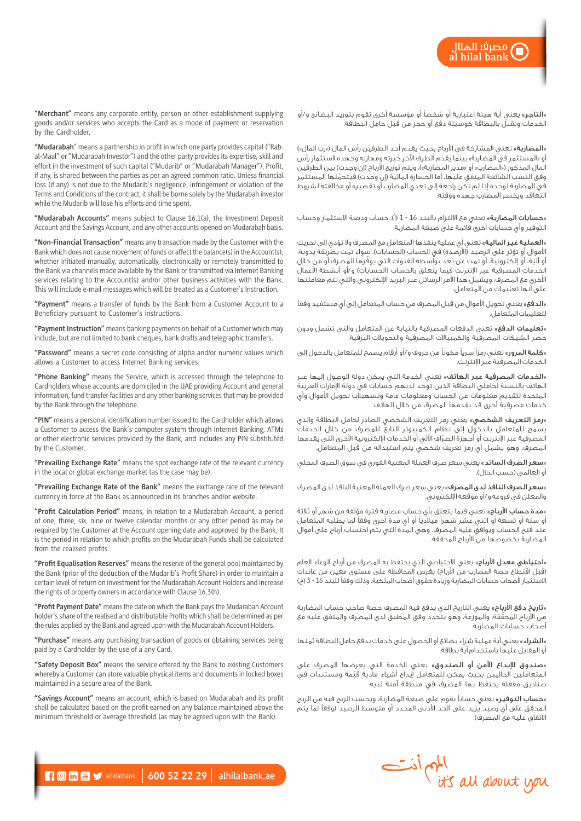مصر<mark>ف</mark>ا الهلال<br>I hilal bank

«**التاجر**» يعنى أية هيئة اعتبارية أو شخصاً أو مؤسسة أخرى تقوم بتوريد البضائع و/أو الخدمات وتقبل بالبطاقة كوسيلة دفع أو حجز من قبل حامل البطاقة.

«**المضاربة»** تعني المشاركة في الأرباح بحيث يقدم أحد الطرفين رأس المال («رب المال») أو «المستثمر في المضاربة» بينما يقدم الطرف الآخر خبرته ومهارته وجهده لاستثمار رأس المال المذكور («ألمضارب» أو «مدير المضاربة»)، ويتم توزيع الأرباح (إن وجدت) بين الطرفين وفق النسب الشائعة المتفق عليها، أما الخسارة المالية (إن وجدت) فيتحمّلها المستثمر في المضاربة لوحده إذا لم تكن راجعة إلى تعدي المضارب أو تقصيره أو مخالفته لشروط التعاقد ويخسر المضارب جهده ووقته.

«**حسابات المضاربة**» تعني مع الالتزام بالبند 16 - 1 (أ)، حساب وديعة الاستثمار وحساب التوفير وأي حسابات أخرى قائمة على صيغة المضاربة.

«**العملية غير المالية**» تعني أي عملية ينفذها المتعامل مع المصرف ولا تؤدي إلى تحريك الأموال أو تؤثر على الرصيد (الأرصدة) في الحساب (الحسابات)، سواء تمت بطريقة يدوية، .<br>أو آلية، أو إلكترونية، أو تمت عن بُعد بواسطة القنوات التي يوفّرها المصرف أو من خالل الخدمات المصرفية عبر الإنترنت فيما يتعلق بالحساب (الحسابات) و/أو أنشطة الأعمال األخرى مع المصرف، ويشمل هذا األمر الرسائل عبر البريد اإللكتروني والتي تتم معاملتها على أنها تعليمات من المتعامل.

«الدفع» يعني تحويل الأموال من قبل المصرف من حساب المتعامل إلى أي مستفيد وفقاً لتعليمات المتعامل.

«تعليمات الدفع» تعني الدفعات المصرفية بالنيابة عن المتعامل والتي تشمل ودون حصر الشيكات المصرفية والكمبياالت المصرفية والتحويالت البرقية.

«**كلمة المرور**» تعني رمزاً سرياً مكوناً من حروف و/أو أرقام يسمح للمتعامل بالدخول إلى الخدمات المصرفية عبر اإلنترنت.

«<mark>الخدمات المصرفية عبر الهاتف»</mark> تعني الخدمة التي يمكن دولة الوصول إليها عبر الهاتف بالنسبة لحاملي البطاقة الذين توجد لديهم حسابات في دولة اإلمارات العربية المتحدة لتقديم معلومات عن الحساب ومعلومات عامة وتسهيالت تحويل األموال وأي خدمات مصرفية أخرى قد يقدمها المصرف من خالل الهاتف.

«**رمز التعريف الشخصي**» يعني رمز التعريف الشخصي الصادر لحامل البطاقة والذي يسمح للمتعامل بالدخول إلى نظام الكمبيوتر التابع للمصرف من خالل الخدمات ّ المصرفية عبر اإلنترنت أو أجهزة الصراف اآللي أو الخدمات اإللكترونية األخرى التي يقدمها المصرف، وهو يشمل أي رمز تعريف شخصي يتم استبداله من قبل المتعامل.

«**سعر الصرف السائد** » يعني سعر صرف العملة المعنية الفوري في سوق الصرف المحلي أو العالمي (حسب الحال).

«سعر الصرف النافذ لدى المصرف» يعني سعر صرف العملة المعنية النافذ لدى المصرف والمعلن في فروعه و/أو موقعه اإللكتروني.

«**مدة حساب الأرباح**» تعنى فيما يتعلق بأي حساب مضاربة فترة مؤلفة من شهر أو ثلاثة أو ستة أو تسعة أو اثني عشر شهرًا ميالديًا أو أي مدة أخرى وفقًا لما يطلبه المتعامل عند فتح الحساب ويوافق عليه المصرف، وهي المدة التي يتم احتساب أرباح على أموال المضاربة بخصوصها من األرباح المحققة.

«**احتياطي معدل الأرباح**» يعني الاحتياطي الذي يحتفظ به المصرف من أرباح الوعاء العام (قبل اقتطاع حصة المضارب من الأرباح) بغرض المحافظة على مستوى معين من عائدات الاستثمار لأصحاب حسابات المضاربة وزيادة حقوق أصحاب الملكية، وذلك وفقاً للبند 16 - 3 (ح)

«تاريخ دفع الأرباح» يعني التاريخ الذي يدفع فيه المصرف حصة صاحب حساب المضاربة ّ من األرباح المحققة، والموزعة، وهو يتحدد وفق المطبق لدى المصرف والمتفق عليه مع أصحاب حسابات المضاربة.

«الشراء» يعني أية عملية شراء بضائع أو الحصول على خدمات يدفع حامل البطاقة ثمنها أو المقابل عليها باستخدام أية بطاقة.

«صندوق الإيداع الآمن أو الصندوق» يعني الخدمة التي يعرضها المصرف على ّ المتعاملين الحاليين بحيث يمكن للمتعامل إيداع أشياء مادية قيمة ومستندات في صناديق مقفلة يحتفظ بها المصرف في منطقة آمنة لديه.

«**حساب التوفير**» يعنى حساباً يقوم على صيغة المضاربة، ويحسب الربح فيه من الربح المحقق على أي رصيد يُزيد على الحد الأدنى المحدد أو متوسط الرصيد (وفقاً لما يتم االتفاق عليه مع المصرف(.

**"Merchant"** means any corporate entity, person or other establishment supplying goods and/or services who accepts the Card as a mode of payment or reservation by the Cardholder.

**"Mudarabah**" means a partnership in profit in which one party provides capital ("Rabal-Maal" or "Mudarabah Investor") and the other party provides its expertise, skill and effort in the investment of such capital ("Mudarib" or "Mudarabah Manager"). Profit, if any, is shared between the parties as per an agreed common ratio. Unless financial loss (if any) is not due to the Mudarib's negligence, infringement or violation of the Terms and Conditions of the contract, it shall be borne solely by the Mudarabah investor while the Mudarib will lose his efforts and time spent.

**"Mudarabah Accounts"** means subject to Clause 16.1(a), the Investment Deposit Account and the Savings Account, and any other accounts opened on Mudarabah basis.

**"Non-Financial Transaction"** means any transaction made by the Customer with the Bank which does not cause movement of funds or affect the balance(s) in the Account(s), whether initiated manually, automatically, electronically or remotely transmitted to the Bank via channels made available by the Bank or transmitted via Internet Banking services relating to the Account(s) and/or other business activities with the Bank. This will include e-mail messages which will be treated as a Customer's Instruction.

**"Payment"** means a transfer of funds by the Bank from a Customer Account to a Beneficiary pursuant to Customer's instructions.

**"Payment Instruction"** means banking payments on behalf of a Customer which may include, but are not limited to bank cheques, bank drafts and telegraphic transfers.

**"Password"** means a secret code consisting of alpha and/or numeric values which allows a Customer to access Internet Banking services.

**"Phone Banking"** means the Service, which is accessed through the telephone to Cardholders whose accounts are domiciled in the UAE providing Account and general information, fund transfer facilities and any other banking services that may be provided by the Bank through the telephone.

**"PIN"** means a personal identification number issued to the Cardholder which allows a Customer to access the Bank's computer system through Internet Banking, ATMs or other electronic services provided by the Bank, and includes any PIN substituted by the Customer.

**"Prevailing Exchange Rate"** means the spot exchange rate of the relevant currency in the local or global exchange market (as the case may be).

**"Prevailing Exchange Rate of the Bank"** means the exchange rate of the relevant currency in force at the Bank as announced in its branches and/or website.

**"Profit Calculation Period"** means, in relation to a Mudarabah Account, a period of one, three, six, nine or twelve calendar months or any other period as may be required by the Customer at the Account opening date and approved by the Bank, It is the period in relation to which profits on the Mudarabah Funds shall be calculated from the realised profits.

**"Profit Equalisation Reserves"** means the reserve of the general pool maintained by the Bank (prior of the deduction of the Mudarib's Profit Share) in order to maintain a certain level of return on investment for the Mudarabah Account Holders and increase the rights of property owners in accordance with Clause 16.3(h).

**"Profit Payment Date"** means the date on which the Bank pays the Mudarabah Account holder's share of the realised and distributable Profits which shall be determined as per the rules applied by the Bank and agreed upon with the Mudarabah Account Holders.

**"Purchase"** means any purchasing transaction of goods or obtaining services being paid by a Cardholder by the use of a any Card.

**"Safety Deposit Box"** means the service offered by the Bank to existing Customers whereby a Customer can store valuable physical items and documents in locked boxes maintained in a secure area of the Bank.

**"Savings Account"** means an account, which is based on Mudarabah and its profit shall be calculated based on the profit earned on any balance maintained above the minimum threshold or average threshold (as may be agreed upon with the Bank).



 $\blacksquare$   $\blacksquare$   $\blacksquare$   $\blacksquare$  alhilalbank. 600 52 22 29 | alhilalbank.ae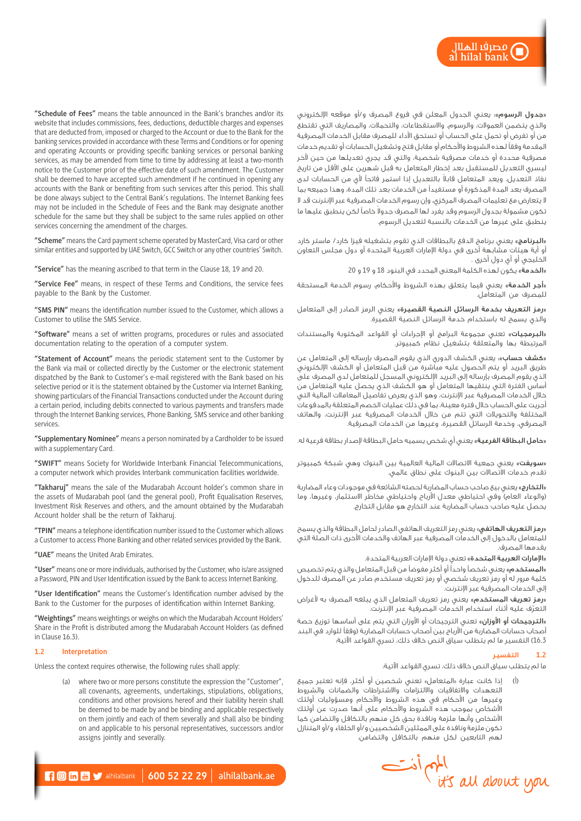«**جدول الرسوم**»: يعني الجدول المعلن في فروع المصرف و/أو موقعه الإلكتروني والذي يتضمن العموالت، والرسوم، واالستقطاعات، والتحمالت، والمصاريف التي تقتطع من أو تفرض أو تحمل على الحساب أو تستحق األداء للمصرف مقابل الخدمات المصرفية المقدمة وفقًا لهذه الشروط واألحكام أو مقابل فتح وتشغيل الحسابات أو تقديم خدمات مصرفية محددة أو خدمات مصرفية شخصية، والتي قد يجري تعديلها من حين آلخر ليسري التعديل للمستقبل بعد إخطار المتعامل به قبل شهرين على األقل من تاريخ ً نفاذ التعديل، ويعد المتعامل قابال بالتعديل إذا استمر فاتحًا ألي من الحسابات لدى المصرف بعد المدة المذكورة أو مستفيدًا من الخدمات بعد تلك المدة، وهذا جميعه بما ال يتعارض مع تعليمات المصرف المركزي، وإن رسوم الخدمات المصرفية عبر اإلنترنت قد ال نكون مشمولة بجدول الرسوم وقد يغرد لها المصرف جدولا خاصاً لكن ينطبق عليها ما ينطبق على غيرها من الخدمات بالنسبة لتعديل الرسوم.

«<mark>البرنامج</mark>» يعني برنامج الدفع بالبطاقات الذي تقوم بتشغيله فيزا كارد/ ماستر كارد أو أية هيئات مشابهة أخرى في دولة اإلمارات العربية المتحدة أو دول مجلس التعاون الخليجي أو أي دول أخرى .

«الخدمة» يكون لهذه الكلمة المعنى المحدد في البنود 18 و 19 و 20

«أ**جر الخدمة**» يعني فيما يتعلق بهذه الشروط والأحكام، رسوم الخدمة المستحقة للمصرف من المتعامل.

»رمز التعريف بخدمة الرسائل النصية القصيرة« يعني الرمز الصادر إلى المتعامل والذي يسمح له باستخدام خدمة الرسائل النصية القصيرة.

«البرمجيات» تعني مجموعة البرامج أو الإجراءات أو القواعد المكتوبة والمستندات المرتبطة بها والمتعلقة بتشغيل نظام كمبيوتر.

«**كشف حساب**»: يعني الكشف الدوري الذي يقوم المصرف بإرساله إلى المتعامل عن طريق البريد أو يتم الحصول عليه مباشرة من قبل المتعامل أو الكشف اإللكتروني الذي يقوم المصرف بإرساله إلى البريد اإللكتروني المسجل للمتعامل لدى المصرف على أساس الفترة التي ينتقيها المتعامل أو هو الكشف الذي يحصل عليه المتعامل من خالل الخدمات المصرفية عبر اإلنترنت، وهو الذي يعرض تفاصيل المعامالت المالية التي أجريت على الحساب خالل فترة معينة، بما في ذلك عمليات الخصم المتعلقة بالمدفوعات المختلفة والتحويالت التي تتم من خالل الخدمات المصرفية عبر اإلنترنت، والهاتف المصرفي، وخدمة الرسائل القصيرة، وغيرها من الخدمات المصرفية.

«**حامل البطاقة الفرعية**» يعني أي شخص يسميه حامل البطاقة لإصدار بطاقة فرعية له.

<mark>«سويفت</mark>» يعنى جمعية الاتصالات المالية العالمية بين البنوك وهى شبكة كمبيوتر تقدم خدمات االتصاالت بين البنوك على نطاق عالمي.

«التخارج» يعني بيع صاحب حساب المضاربة لحصته الشائعة في موجودات وعاء المضاربة (والوعاء العام) وفي احتياطي معدل الأرباح واحتياطي مخاطر الاستثمار، وغيرها، وما يحصل عليه صاحب حساب المضاربة عند التخارج هو مقابل التخارج.

«**رمز التعريف الهاتفي**» يعني رمز التعريف الهاتفي الصادر لحامل البطاقة والذي يسمح للمتعامل بالدخول إلى الخدمات المصرفية عبر الهاتف والخدمات األخرى ذات الصلة التي يقدمها المصرف.

«الإمارات العربية المتحدة» تعني دولة الإمارات العربية المتحدة.

«**المستخدم**» يعني شخصاً واحداً أو أكثر مفوضاً من قبل المتعامل والذي يتم تخصيص كلمة مرور له أو رمز تعريف شخصي أو رمز تعريف مستخدم صادر عن المصرف للدخول إلى الخدمات المصرفية عبر اإلنترنت.

«**رمز تعريف المستخدم**» يعني رمز تعريف المتعامل الذي يبلغه المصرف به لأغراض ّ التعرف عليه أثناء استخدام الخدمات المصرفية عبر اإلنترنت.

«الترجيحات أو الأوزان» تعني الترجيحات أو الأوزان التي يتم على أساسها توزيع حصة أصحاب حسابات المضاربة من الأرباح بين أصحاب حسابات المضاربة (وفقاً للوارد في البند 16.3( التفسير ما لم يتطلب سياق النص خالف ذلك، تسري القواعد اآلتية:

# **1.2** التفسير

ما لم يتطلب سياق النص خالف ذلك، تسري القواعد اآلتية:

إذا كانت عبارة «المتعامل» تعني شخصين أو أكثر، فإنه تعتبر جميع ہے۔<br>التعهدات والاتفاقيات والالتزامات والاشتراطات والضمانات والشروط وغيرها من األحكام في هذه الشروط واألحكام ومسؤوليات أولئك األشخاص بموجب هذه الشروط واألحكام على أنها صدرت عن أولئك األشخاص وأنها ملزمة ونافذة بحق كل منهم بالتكافل والتضامن كما تكون ملزمة ونافذة على الممثلين الشخصيين و/أو الخلفاء و/أو المتنازل لهم التابعين لكل منهم بالتكافل والتضامن.



**"Schedule of Fees"** means the table announced in the Bank's branches and/or its website that includes commissions, fees, deductions, deductible charges and expenses that are deducted from, imposed or charged to the Account or due to the Bank for the banking services provided in accordance with these Terms and Conditions or for opening and operating Accounts or providing specific banking services or personal banking services, as may be amended from time to time by addressing at least a two-month notice to the Customer prior of the effective date of such amendment. The Customer shall be deemed to have accepted such amendment if he continued in opening any accounts with the Bank or benefiting from such services after this period. This shall be done always subject to the Central Bank's regulations. The Internet Banking fees may not be included in the Schedule of Fees and the Bank may designate another schedule for the same but they shall be subject to the same rules applied on other services concerning the amendment of the charges.

**"Scheme"** means the Card payment scheme operated by MasterCard, Visa card or other similar entities and supported by UAE Switch, GCC Switch or any other countries' Switch.

**"Service"** has the meaning ascribed to that term in the Clause 18, 19 and 20.

**"Service Fee"** means, in respect of these Terms and Conditions, the service fees payable to the Bank by the Customer.

**"SMS PIN"** means the identification number issued to the Customer, which allows a Customer to utilise the SMS Service.

**"Software"** means a set of written programs, procedures or rules and associated documentation relating to the operation of a computer system.

**"Statement of Account"** means the periodic statement sent to the Customer by the Bank via mail or collected directly by the Customer or the electronic statement dispatched by the Bank to Customer's e-mail registered with the Bank based on his selective period or it is the statement obtained by the Customer via Internet Banking, showing particulars of the Financial Transactions conducted under the Account during a certain period, including debits connected to various payments and transfers made through the Internet Banking services, Phone Banking, SMS service and other banking services.

**"Supplementary Nominee"** means a person nominated by a Cardholder to be issued with a supplementary Card.

**"SWIFT"** means Society for Worldwide Interbank Financial Telecommunications, a computer network which provides Interbank communication facilities worldwide.

**"Takharuj"** means the sale of the Mudarabah Account holder's common share in the assets of Mudarabah pool (and the general pool), Profit Equalisation Reserves, Investment Risk Reserves and others, and the amount obtained by the Mudarabah Account holder shall be the return of Takharuj.

**"TPIN"** means a telephone identification number issued to the Customer which allows a Customer to access Phone Banking and other related services provided by the Bank.

**"UAE"** means the United Arab Emirates.

**"User"** means one or more individuals, authorised by the Customer, who is/are assigned a Password, PIN and User Identification issued by the Bank to access Internet Banking.

**"User Identification"** means the Customer's Identification number advised by the Bank to the Customer for the purposes of identification within Internet Banking.

**"Weightings"** means weightings or weighs on which the Mudarabah Account Holders' Share in the Profit is distributed among the Mudarabah Account Holders (as defined in Clause 16.3).

### **1.2 Interpretation**

Unless the context requires otherwise, the following rules shall apply:

(a) where two or more persons constitute the expression the "Customer", all covenants, agreements, undertakings, stipulations, obligations, conditions and other provisions hereof and their liability herein shall be deemed to be made by and be binding and applicable respectively on them jointly and each of them severally and shall also be binding on and applicable to his personal representatives, successors and/or assigns jointly and severally.

 $\begin{array}{|c|c|c|c|c|c|c|c|}\hline \textbf{1} & \textbf{0} & \textbf{m} & \textbf{v} & \text{alhilabank.} \ \hline \end{array}$  alhilalbank.ae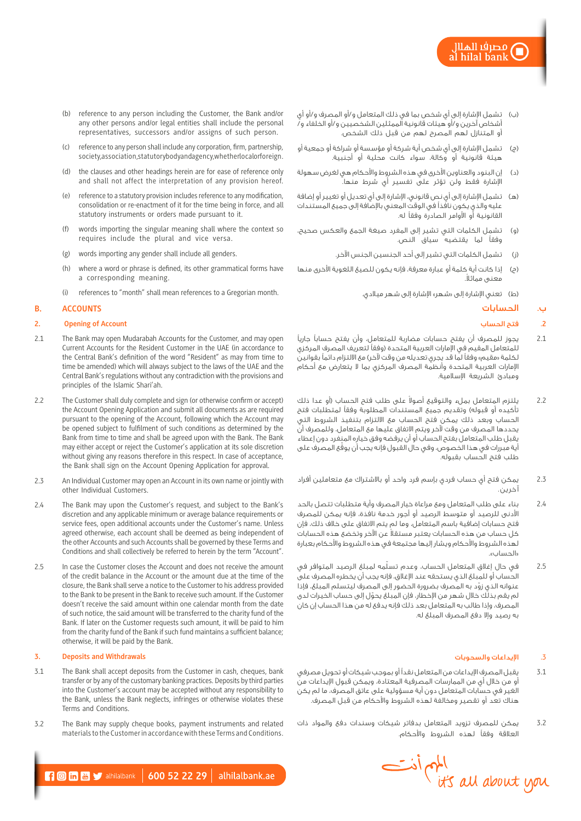- )ب( تشمل اإلشارة إلى أي شخص بما في ذلك المتعامل و/أو المصرف و/أو أي أشخاص آخرين و/أو هيئات قانونية الممثلين الشخصيين و/أو الخلفاء و/ أو المتنازل لهم المصرح لهم من قبل ذلك الشخص.
- )ج( تشمل اإلشارة إلى أي شخص أية شركة أو مؤسسة أو شراكة أو جمعية أو هيئة قانونية أو وكالة، سواء كانت محلية أو أجنبية.
- )د( إن البنود والعناوين األخرى في هذه الشروط واألحكام هي لغرض سهولة اإلشارة فقط ولن تؤثر على تفسير أي شرط منها.
- )هـ( تشمل اإلشارة إلى أي نص قانوني، اإلشارة إلى أي تعديل أو تغيير أو إضافة عليه والذي يكون نافذًا في الوقت المعني باإلضافة إلى جميع المستندات القانونية أو األوامر الصادرة وفقًا له.
- )و( تشمل الكلمات التي تشير إلى المفرد صيغة الجمع والعكس صحيح، وفقًا لما يقتضيه سياق النص.
	- )ز( تشمل الكلمات التي تشير إلى أحد الجنسين الجنس اآلخر.
- )ح( إذا كانت أية كلمة أو عبارة معرفة، فإنه يكون للصيغ اللغوية األخرى منها ععنبي مماثلا.
	- (ط) تعني الإشارة إلى «شهر» الإشارة إلى شهر ميلادي.

# ب. الحسابات

# .**2** فتح الحساب

- 2.1 يجوز للمصرف أن يفتح حسابات مضاربة للمتعامل، وأن يفتح حسابًا جاريًا للمتعامل المقيم في اإلمارات العربية المتحدة )وفقًا لتعريف المصرف المركزي لكلمة «مقيم» وفقاً لما قد يجري تعديله من وقت لآخر) مع الالتزام دائماً بقوانين اإلمارات العربية المتحدة وأنظمة المصرف المركزي بما ال يتعارض مع أحكام ومبادئ الشريعة اإلسالمية.
- 2.2 ٪ يلتزم المتعامل بملء والتوقيع أصولا على طلب فتح الحساب (أو عدا ذلك تأكيده أو قبوله) وتقديم جميع المستندات المطلوبة وفقاً لمتطلبات فتح الحساب وبعد ذلك يمكن فتح الحساب مع االلتزام بتنفيذ الشروط التي يحددها المصرف من وقت آلخر ويتم االتفاق عليها مع المتعامل، وللمصرف أن يقبل طلب المتعامل بفتح الحساب أو أن يرفضه وفق خياره المنفرد دون إعطاء أية مبررات في هذا الخصوص، وفي حال القبول فإنه يجب أن يوقّع المصرف على طلب فتح الحساب بقبوله.
- 2.3 يمكن فتح أي حساب فردي بإسم فرد واحد أو باالشتراك مع متعاملين أفراد آخرين.
- 2.4 بناء على طلب المتعامل ومع مراعاة خيار المصرف وأية متطلبات تتصل بالحد األدنى للرصيد أو متوسط الرصيد أو أجور خدمة نافذة، فإنه يمكن للمصرف فتح حسابات إضافية باسم المتعامل، وما لم يتم االتفاق على خالف ذلك، فإن ً كل حساب من هذه الحسابات يعتبر مستقال عن اآلخر وتخضع هذه الحسابات لهذه الشروط واألحكام ويشار إليها مجتمعة في هذه الشروط واألحكام بعبارة »الحساب«.
- 2.5 ّ في حال إغالق المتعامل الحساب، وعدم تسلمه لمبلغ الرصيد المتوافر في الحساب أو للمبلغ الذي يستحقه عند اإلغالق، فإنه يجب أن يخطره المصرف على ّ عنوانه الذي زود به المصرف بضرورة الحضور إلى المصرف ليتسلم المبلغ، فإذا لم يقم بذلك خلال شهر من الإخطار، فإن المبلغ يحوّل إلى حساب الخيرات لدى المصرف، وإذا طالب به المتعامل بعد ذلك فإنه يدفع له من هذا الحساب إن كان به رصيد وإال دفع المصرف المبلغ له.

# .3 اإليداعات والسحوبات

- 3.1 يقبل المصرف اإليداعات من المتعامل نقدًا أو بموجب شيكات أو تحويل مصرفي أو من خالل أي من الممارسات المصرفية المعتادة، ويمكن قبول اإليداعات من الغير في حسابات المتعامل دون أية مسؤولية على عاتق المصرف، ما لم يكن هناك تعد أو تقصير ومخالفة لهذه الشروط واألحكام من قبل المصرف.
- 3.2 يمكن للمصرف تزويد المتعامل بدفاتر شيكات وسندات دفع والمواد ذات العالقة وفقًا لهذه الشروط واألحكام.



- (b) reference to any person including the Customer, the Bank and/or any other persons and/or legal entities shall include the personal representatives, successors and/or assigns of such person.
- (c) reference to any person shall include any corporation, firm, partnership, society, association, statutory body and agency, whether local or foreign.
- (d) the clauses and other headings herein are for ease of reference only and shall not affect the interpretation of any provision hereof.
- (e) reference to a statutory provision includes reference to any modification, consolidation or re-enactment of it for the time being in force, and all statutory instruments or orders made pursuant to it.
- (f) words importing the singular meaning shall where the context so requires include the plural and vice versa.
- (g) words importing any gender shall include all genders.
- (h) where a word or phrase is defined, its other grammatical forms have a corresponding meaning.
- references to "month" shall mean references to a Gregorian month.

#### **B. ACCOUNTS**

# **2. Opening of Account**

- 2.1 The Bank may open Mudarabah Accounts for the Customer, and may open Current Accounts for the Resident Customer in the UAE (in accordance to the Central Bank's definition of the word "Resident" as may from time to time be amended) which will always subject to the laws of the UAE and the Central Bank's regulations without any contradiction with the provisions and principles of the Islamic Shari'ah.
- 2.2 The Customer shall duly complete and sign (or otherwise confirm or accept) the Account Opening Application and submit all documents as are required pursuant to the opening of the Account, following which the Account may be opened subject to fulfilment of such conditions as determined by the Bank from time to time and shall be agreed upon with the Bank. The Bank may either accept or reject the Customer's application at its sole discretion without giving any reasons therefore in this respect. In case of acceptance, the Bank shall sign on the Account Opening Application for approval.
- 2.3 An Individual Customer may open an Account in its own name or jointly with other Individual Customers.
- 2.4 The Bank may upon the Customer's request, and subject to the Bank's discretion and any applicable minimum or average balance requirements or service fees, open additional accounts under the Customer's name. Unless agreed otherwise, each account shall be deemed as being independent of the other Accounts and such Accounts shall be governed by these Terms and Conditions and shall collectively be referred to herein by the term "Account".
- 2.5 In case the Customer closes the Account and does not receive the amount of the credit balance in the Account or the amount due at the time of the closure, the Bank shall serve a notice to the Customer to his address provided to the Bank to be present in the Bank to receive such amount. If the Customer doesn't receive the said amount within one calendar month from the date of such notice, the said amount will be transferred to the charity fund of the Bank. If later on the Customer requests such amount, it will be paid to him from the charity fund of the Bank if such fund maintains a sufficient balance; otherwise, it will be paid by the Bank.

# **3. Deposits and Withdrawals**

- 3.1 The Bank shall accept deposits from the Customer in cash, cheques, bank transfer or by any of the customary banking practices. Deposits by third parties into the Customer's account may be accepted without any responsibility to the Bank, unless the Bank neglects, infringes or otherwise violates these Terms and Conditions.
- 3.2 The Bank may supply cheque books, payment instruments and related materials to the Customer in accordance with these Terms and Conditions.

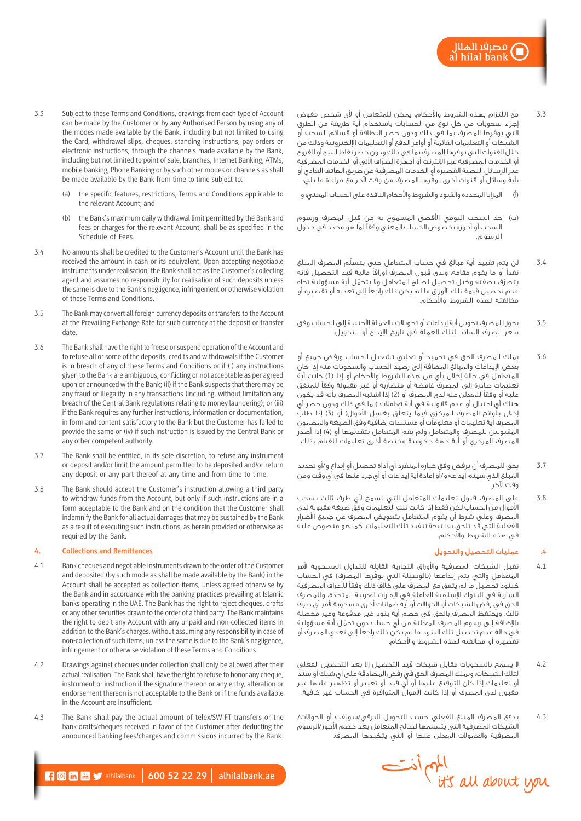- 3.3 مع االلتزام بهذه الشروط واألحكام، يمكن للمتعامل أو ألي شخص مفوض إجراء سحوبات من كل نوع من الحسابات باستخدام أية طريقة من الطرق التي يوفرها المصرف بما في ذلك ودون حصر البطاقة أو قسائم السحب أو الشيكات أو التعليمات القائمة أو أوامر الدفع أو التعليمات اإللكترونية وذلك من خالل القنوات التي يوفرها المصرف بما في ذلك ودون حصر نقاط البيع أو الفروع ّ أو الخدمات المصرفية عبر اإلنترنت أو أجهزة الصراف اآللي أو الخدمات المصرفية عبر الرسائل النصية القصيرة أو الخدمات المصرفية عن طريق الهاتف العادي أو ّ بأية وسائل أو قنوات أخرى يوفرها المصرف من وقت آلخر مع مراعاة ما يلي:
- )أ( المزايا المحددة والقيود والشروط واألحكام النافذة على الحساب المعني؛ و
- )ب( ِ حد السحب اليومي األقصى المسموح به من قبل المصرف ورسوم السحب أو أجوره بخصوص الحساب المعني وفقًا لما هو محدد في جدول الرسوم.
- 3.4 ّ لن يتم تقييد أية مبالغ في حساب المتعامل حتى يتسلم المصرف المبلغ نقدًا أو ما يقوم مقامه، ولدى قبول المصرف أوراقًا مالية قيد التحصيل فإنه يتصرّف بصفته وكيل تحصيل لصالح المتعامل ولا يتحمّل أية مسؤولية تجاه عدم تحصيل قيمة تلك األوراق ما لم يكن ذلك راجعًا إلى تعديه أو تقصيره أو مخالفته لهذه الشروط واألحكام.
- 3.5 يجوز للمصرف تحويل أية إيداعات أو تحويالت بالعملة األجنبية إلى الحساب وفق سعر الصرف السائد لتلك العملة في تاريخ اإليداع أو التحويل.
- 3.6 يملك المصرف الحق في تجميد أو تعليق تشغيل الحساب ورفض جميع أو بعض اإليداعات والمبالغ المضافة إلى رصيد الحساب والسحوبات منه إذا كان المتعامل في حالة إخاال بأي من هذه الشروط والأحكام أو إذا (1) كانت أية تعليمات صادرة إلى المصرف غامضة أو متضاربة أو غير مقبولة وفقًا للمتفق عليه أو وفقاً للمعلن عنه لدى المصرف أو (2) إذا اشتبه المصرف بأنه قد يكون هناك أي احتيال أو عدم قانونية في أية تعامالت )بما في ذلك ودون حصر أي إخالل بلّوائح المصرف المركزي فيما يتعلّق بغسل الأموال) أو (3) إذا طلب المصرف أية تعليمات أو معلومات أو مستندات إضافية وفق الصيغة والمضمون المقبولين للمصرف والمتعامل ولم يقم المتعامل بتقديمها أو (4) إذا أصدر المصرف المركزي أو أية جهة حكومية مختصة أخرى تعليمات للقيام بذلك.
- 3.7 يحق للمصرف أن يرفض وفق خياره المنفرد أي أداة تحصيل أو إيداع و/أو تحديد المبلغ الذي سيتم إيداعه و/أو إعادة أية إيداعات أو أي جزء منها في أي وقت ومن .<br>مقت لآخر<sup>.</sup>
- 3.8 على المصرف قبول تعليمات المتعامل التي تسمح ألي طرف ثالث بسحب األموال من الحساب لكن فقط إذا كانت تلك التعليمات وفق صيغة مقبولة لدى المصرف وعلى شرط أن يقوم المتعامل بتعويض المصرف عن جميع األضرار الفعلية التي قد تلحق به نتيجة تنفيذ تلك التعليمات، كما هو منصوص عليه في هذه الشروط واألحكام.

# .4 عمليات التحصيل والتحويل

- 4.1 تقبل الشيكات المصرفية والأوراق التجارية القابلة للتداول المسحوبة لأمر المتعامل والتى يتم إيداعها (بالوسيلة التي يوفّرها المصرف) في الحساب كبنود تحصيل ما لم يتفق مع المصرف على خالف ذلك وفقًا لألعراف المصرفية السارية في البنوك اإلسالمية العاملة في اإلمارات العربية المتحدة، وللمصرف الحق في رفض الشيكات أو الحواالت أو أية ضمانات أخرى مسحوبة ألمر أي طرف ثالث، ويحتفظ المصرف بالحق في خصم أية بنود غير مدفوعة وغير محصلة ّ باإلضافة إلى رسوم المصرف المعلنة من أي حساب دون تحمل أية مسؤولية في حالة عدم تحصيل تلك البنود ما لم يكن ذلك راجعًا إلى تعدي المصرف أو تقصيره أو مخالفته لهذه الشروط واألحكام.
- 4.2 ال يسمح بالسحوبات مقابل شيكات قيد التحصيل إال بعد التحصيل الفعلي لتلك الشيكات، ويملك المصرف الحق في رفض المصادقة على أي شيك أو سند أو تعليمات إذا كان التوقيع عليها أو أي قيد أو تغيير أو تظهير عليها غير مقبول لدى المصرف أو إذا كانت األموال المتوافرة في الحساب غير كافية.
- 4.3 يدفع المصرف المبلغ الفعلي حسب التحويل البرقي/سويفت أو الحواالت/ الشيكات المصرفية التي يتسلمها لصالح المتعامل بعد خصم األجور/الرسوم المصرفية والعموالت المعلن عنها أو التي يتكبدها المصرف.



- 3.3 Subject to these Terms and Conditions, drawings from each type of Account can be made by the Customer or by any Authorised Person by using any of the modes made available by the Bank, including but not limited to using the Card, withdrawal slips, cheques, standing instructions, pay orders or electronic instructions, through the channels made available by the Bank, including but not limited to point of sale, branches, Internet Banking, ATMs, mobile banking, Phone Banking or by such other modes or channels as shall be made available by the Bank from time to time subject to:
	- the specific features, restrictions, Terms and Conditions applicable to the relevant Account; and
	- (b) the Bank's maximum daily withdrawal limit permitted by the Bank and fees or charges for the relevant Account, shall be as specified in the Schedule of Fees.
- 3.4 No amounts shall be credited to the Customer's Account until the Bank has received the amount in cash or its equivalent. Upon accepting negotiable instruments under realisation, the Bank shall act as the Customer's collecting agent and assumes no responsibility for realisation of such deposits unless the same is due to the Bank's negligence, infringement or otherwise violation of these Terms and Conditions.
- 3.5 The Bank may convert all foreign currency deposits or transfers to the Account at the Prevailing Exchange Rate for such currency at the deposit or transfer date.
- 3.6 The Bank shall have the right to freese or suspend operation of the Account and to refuse all or some of the deposits, credits and withdrawals if the Customer is in breach of any of these Terms and Conditions or if (i) any instructions given to the Bank are ambiguous, conflicting or not acceptable as per agreed upon or announced with the Bank; (ii) if the Bank suspects that there may be any fraud or illegality in any transactions (including, without limitation any breach of the Central Bank regulations relating to money laundering); or (iii) if the Bank requires any further instructions, information or documentation, in form and content satisfactory to the Bank but the Customer has failed to provide the same or (iv) if such instruction is issued by the Central Bank or any other competent authority.
- 3.7 The Bank shall be entitled, in its sole discretion, to refuse any instrument or deposit and/or limit the amount permitted to be deposited and/or return any deposit or any part thereof at any time and from time to time.
- 3.8 The Bank should accept the Customer's instruction allowing a third party to withdraw funds from the Account, but only if such instructions are in a form acceptable to the Bank and on the condition that the Customer shall indemnify the Bank for all actual damages that may be sustained by the Bank as a result of executing such instructions, as herein provided or otherwise as required by the Bank.

# **4. Collections and Remittances**

- 4.1 Bank cheques and negotiable instruments drawn to the order of the Customer and deposited (by such mode as shall be made available by the Bank) in the Account shall be accepted as collection items, unless agreed otherwise by the Bank and in accordance with the banking practices prevailing at Islamic banks operating in the UAE. The Bank has the right to reject cheques, drafts or any other securities drawn to the order of a third party. The Bank maintains the right to debit any Account with any unpaid and non-collected items in addition to the Bank's charges, without assuming any responsibility in case of non-collection of such items, unless the same is due to the Bank's negligence, infringement or otherwise violation of these Terms and Conditions.
- 4.2 Drawings against cheques under collection shall only be allowed after their actual realisation. The Bank shall have the right to refuse to honor any cheque, instrument or instruction if the signature thereon or any entry, alteration or endorsement thereon is not acceptable to the Bank or if the funds available in the Account are insufficient.
- 4.3 The Bank shall pay the actual amount of telex/SWIFT transfers or the bank drafts/cheques received in favor of the Customer after deducting the announced banking fees/charges and commissions incurred by the Bank.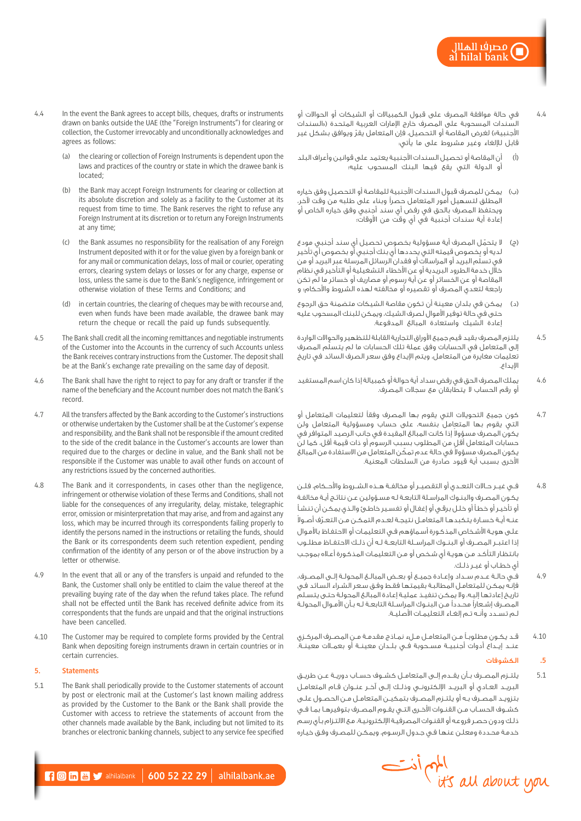- 4.4 في حالة موافقة المصرف على قبول الكمبياالت أو الشيكات أو الحواالت أو .<br>السندات المسحوبة على المصرف خارج الإمارات العربية المتحدة («السندات الأجنبية») لغرض المقاصة أو التحصيل، فإن المتعامل يقرّ ويوافق بشكل غير قابل لإللغاء وغير مشروط على ما يأتي:
- )أ( أن المقاصة أو تحصيل السندات األجنبية يعتمد على قوانين وأعراف البلد أو الدولة التي يقع فيها البنك المسحوب عليه؛
- )ب( يمكن للمصرف قبول السندات األجنبية للمقاصة أو التحصيل وفق خياره المطلق لتسهيل أمور المتعامل حصرًا وبناء على طلبه من وقت آلخر، ويحتفظ المصرف بالحق في رفض أي سند أجنبي وفق خياره الخاص أو إعادة أية سندات أجنبية في أي وقت من األوقات؛
- (ج) لا يتحمّل المصرف أية مسؤولية بخصوص تحصيل أي سند أجنبي مودع لديه أو بخصوص قيمته التي يحددها أي بنك أجنبي أو بخصوص أي تأخير سية بر <del>تصدر عن ت</del>سيس بين بين.<br>في تسلّم البريد أو المراسلات أو فقدان الرسائل المرسلة عبر البريد أو من خلال خدمة الطرود البريدية أو عن الأخطاء التشغيلية أو التأخير فى نظام المقاصة أو عن الخسائر أو عن أية رسوم أو مصاريف أو خسائر ما لم تكن راجعة لتعدي المصرف أو تقصيره أو مخالفته لهذه الشروط واألحكام؛ و
- )د( يمكن في بلدان معينة أن تكون مقاصة الشيكات متضمنة حق الرجوع حتى في حالة توفير األموال لصرف الشيك، ويمكن للبنك المسحوب عليه إعادة الشيك واستعادة المبالغ المدفوعة.
- 4.5 يلتزم المصرف بقيد قيم جميع األوراق التجارية القابلة للتظهير والحواالت الواردة ّ إلى المتعامل في الحسابات وفق عملة تلك الحسابات ما لم يتسلم المصرف تعليمات مغايرة من المتعامل، ويتم اإليداع وفق سعر الصرف السائد في تاريخ اإليداع.
- 4.6 يملك المصرف الحق في رفض سداد أية حوالة أو كمبيالة إذا كان اسم المستفيد أو رقم الحساب ال يتطابقان مع سجالت المصرف.
- .<br>4.7 كون جميع التحويلات التي يقوم بها المصرف وفقاً لتعليمات المتعامل أو التي يقوم بها المتعامل بنفسه، على حساب ومسؤولية المتعامل ولن يكون المصرف مسؤولا إذا كانت المبالغ المقيدة في جانب الرصيد المتوافر في حسابات المتعامل أقل من المطلوب بسبب الرسوم أو ذات قيمة أقل، كما لن يكون المصرف مسؤولا في حالة عدم تمكَن المتعامل من الاستفادة من المبالغ األخرى بسبب أية قيود صادرة من السلطات المعنية.
- 4.8 فــي غيــر حــاالت التعــدي أو التقصيــر أو مخالفــة هــذه الشــروط واألحــكام، فلــن يكـون المصـرف والبنـوك المراسـلة التابعـة لـه مسـؤولين عـن نتائـج أيـة مخالفـة أو تأخيـر أو خطـأ أو خلـل برقـي أو إغفـال أو تفسـير خاطـئ والـذي يمكـن أن تنشـأ ّ عنــه أيــة خســارة يتكبدهــا المتعامــل نتيجــة لعــدم التمكــن مــن التعــرف أصــوال علـى هويـة الأشـخاص المذكـورة أسـماؤهم فـى التعليمـات أو الاحتفـاظ بالأمـوال إذا اعتبــر المصــرف أو البنــوك المراســلة التابعــة لــه أن ذلــك االحتفــاظ مطلــوب بانتظـار التأكـد مـن هويـة أي شـخص أو مـن التعليمـات المذكـورة أعـاه بموجـب أي خطــاب أو غيــر ذلــك.
- 4.9 فــي حالــة عــدم ســداد وإعــادة جميــع أو بعــض المبالــغ المحولــة إلــى المصــرف، فإنـه يمكـن للمتعامـل المطالبـة بقيمتهـا فقـط وفـق سـعر الشـراء السـائد فـي تاريـخ إعادتهـا إليـه، وال يمكـن تنفيـذ عمليـة إعـادة المبالـغ المحولـة حتـى يتسـلم المصـرف إشـعارًا محـددًا مـن البنـوك المراسـلة التابعـة لـه بـأن األمـوال المحولـة لــم تســدد وأنــه تــم إلغــاء التعليمــات األصليــة.
- 4.10 قــد يكــون مطلوبــً مــن المتعامــل مــلء نمــاذج مقدمــة مــن المصــرف المركــزي عنــد إيــداع أدوات أجنبيــة مســحوبة فــي بلــدان معينــة أو بعمــالت معينــة.

# **.5** الكشوفات

- 5.1 يلتــزم المصــرف بــأن يقــدم إلــى المتعامــل كشــوف حســاب دوريــة عــن طريــق البريــد العــادي أو البريــد اإللكترونــي وذلــك إلــى آخــر عنــوان قــام المتعامــل بتزويــد المصــرف بــه أو يلتــزم المصــرف بتمكيــن المتعامــل مــن الحصــول علــى كشــوف الحســاب مــن القنــوات األخــرى التــي يقــوم المصــرف بتوفيرهــا بمــا فــي ذلـك ودون حصـر فروعـه أو القنـوات المصرفيـة اإللكترونيـة، مـع االلتـزام بـأي رسـم خدمـة محـددة ومعلـن عنهـا فـي جـدول الرسـوم، ويمكـن للمصـرف وفـق خيـاره
	- Information Stimus
- 4.4 In the event the Bank agrees to accept bills, cheques, drafts or instruments drawn on banks outside the UAE (the "Foreign Instruments") for clearing or collection, the Customer irrevocably and unconditionally acknowledges and agrees as follows:
	- (a) the clearing or collection of Foreign Instruments is dependent upon the laws and practices of the country or state in which the drawee bank is located;
	- (b) the Bank may accept Foreign Instruments for clearing or collection at its absolute discretion and solely as a facility to the Customer at its request from time to time. The Bank reserves the right to refuse any Foreign Instrument at its discretion or to return any Foreign Instruments at any time;
	- (c) the Bank assumes no responsibility for the realisation of any Foreign Instrument deposited with it or for the value given by a foreign bank or for any mail or communication delays, loss of mail or courier, operating errors, clearing system delays or losses or for any charge, expense or loss, unless the same is due to the Bank's negligence, infringement or otherwise violation of these Terms and Conditions; and
	- (d) in certain countries, the clearing of cheques may be with recourse and, even when funds have been made available, the drawee bank may return the cheque or recall the paid up funds subsequently.
- 4.5 The Bank shall credit all the incoming remittances and negotiable instruments of the Customer into the Accounts in the currency of such Accounts unless the Bank receives contrary instructions from the Customer. The deposit shall be at the Bank's exchange rate prevailing on the same day of deposit.
- 4.6 The Bank shall have the right to reject to pay for any draft or transfer if the name of the beneficiary and the Account number does not match the Bank's record.
- 4.7 All the transfers affected by the Bank according to the Customer's instructions or otherwise undertaken by the Customer shall be at the Customer's expense and responsibility, and the Bank shall not be responsible if the amount credited to the side of the credit balance in the Customer's accounts are lower than required due to the charges or decline in value, and the Bank shall not be responsible if the Customer was unable to avail other funds on account of any restrictions issued by the concerned authorities.
- 4.8 The Bank and it correspondents, in cases other than the negligence, infringement or otherwise violation of these Terms and Conditions, shall not liable for the consequences of any irregularity, delay, mistake, telegraphic error, omission or misinterpretation that may arise, and from and against any loss, which may be incurred through its correspondents failing properly to identify the persons named in the instructions or retailing the funds, should the Bank or its correspondents deem such retention expedient, pending confirmation of the identity of any person or of the above instruction by a letter or otherwise.
- 4.9 In the event that all or any of the transfers is unpaid and refunded to the Bank, the Customer shall only be entitled to claim the value thereof at the prevailing buying rate of the day when the refund takes place. The refund shall not be effected until the Bank has received definite advice from its correspondents that the funds are unpaid and that the original instructions have been cancelled.
- 4.10 The Customer may be required to complete forms provided by the Central Bank when depositing foreign instruments drawn in certain countries or in certain currencies.

# **5. Statements**

5.1 The Bank shall periodically provide to the Customer statements of account by post or electronic mail at the Customer's last known mailing address as provided by the Customer to the Bank or the Bank shall provide the Customer with access to retrieve the statements of account from the other channels made available by the Bank, including but not limited to its branches or electronic banking channels, subject to any service fee specified

 $\blacksquare$   $\blacksquare$   $\blacksquare$   $\blacksquare$  alhilalbank | 600 52 22 29 | alhilalbank.ae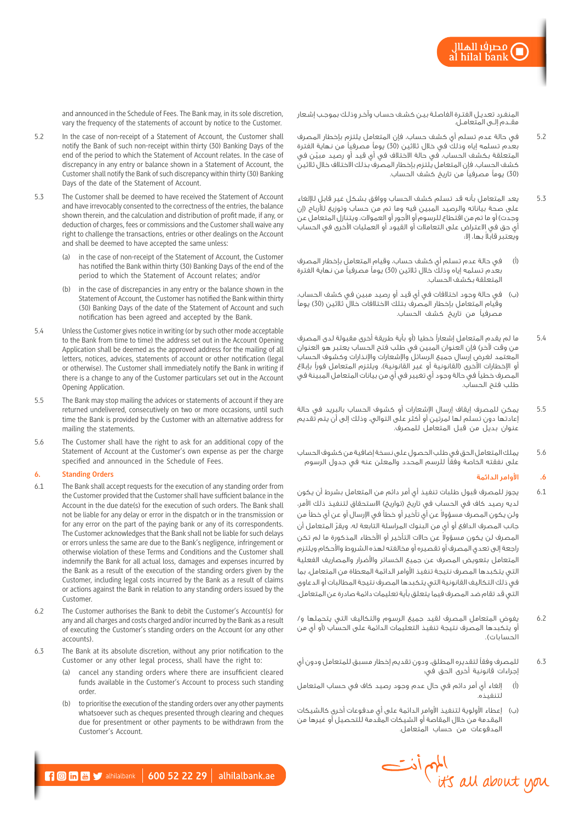مصرف الملاإ l hilal bank

المنفـرد تعديـل الفتـرة الفاصلـة بيـن كشـف حسـاب وآخـر وذلـك بموجـب إشـعار مقــدم إلــى المتعامــل.

- 5.2 في حالة عدم تسلم أي كشف حساب، فإن المتعامل يلتزم بإخطار المصرف بعد<br>بعدم تسلمه إياه وذلك في خالل ثالثين (30) يوماً مصرفياً من نهاية الفترة ّ المتعلقة بكشف الحساب، في حالة االختالف في أي قيد أو رصيد مبين في كشف الحساب، فإن المتعامل يلتزم بإخطار المصرف بذلك االختالف خالل ثالثين )30( يومًا مصرفيًا من تاريخ كشف الحساب.
- 5.3 يعد المتعامل بأنه قد تسلم كشف الحساب ووافق بشكل غير قابل لإللغاء على صحة بياناته والرصيد المبين فيه وما تم من حساب وتوزيع لألرباح )إن وجدت) أو ما تم من اقتطاع للرسوم أو الأجور أو العمولات، ويتنازل المتعامل عن أي حق في االعتراض على التعامالت أو القيود أو العمليات األخرى في الحساب ً ويعتبر قابال بها، إال:
- )أ( في حالة عدم تسلم أي كشف حساب، وقيام المتعامل بإخطار المصرف بعدم تسلمه إياه وذلك خالل ثالثين (30) يوماً مصرفياً من نهاية الفترة المتعلقة بكشف الحساب.
- )ب( في حالة وجود اختالفات في أي قيد أو رصيد مبين في كشف الحساب، وقيام المتعامل بإخطار المصرف بتلك االختالفات خالل ثالثين )30( يومًا مصرفيًا من تاريخ كشف الحساب.
- 5.4 ما لم يقدم المتعامل إشعاراً خطيا (أو بأية طريقة أخرى مقبولة لدى المصرف من وقت لآخر) فإن العنوان المبين في طلب فتح الحساب يعتبر هو العنوان المعتمد لغرض إرسال جميع الرسائل واإلشعارات واإلنذارات وكشوف الحساب أو الإخطارات الأُخرى (القانونية أو غير القانونية)، ويلتزم المتعامل فوراً بإبلاغ المصرف خطيًا في حالة وجود أي تغيير في أي من بيانات المتعامل المبينة في طلب فتح الحساب.
- 5.5 يمكن للمصرف إيقاف إرسال اإلشعارات أو كشوف الحساب بالبريد في حالة إعادتها دون تسلم لها لمرتين أو أكثر على التوالي، وذلك إلى أن يتم تقديم عنوان بديل من قبل المتعامل للمصرف.
- 5.6 يملك المتعامل الحق في طلب الحصول على نسخة إضافية من كشوف الحساب على نفقته الخاصة وفقًا للرسم المحدد والمعلن عنه في جدول الرسوم

# **.6** األوامر الدائمة

- 6.1 يجوز للمصرف قبول طلبات تنفيذ أي أمر دائم من المتعامل بشرط أن يكون لديه رصيد كاف في الحساب في تاريخ (تواريخ) الاستحقاق لتنفيذ ذلك الأمر، ولن يكون المصرف مسؤولا عن أي تأخير أو خطأ في الإرسال أو عن أي خطأ من ّ جانب المصرف الدافع أو أي من البنوك المراسلة التابعة له، ويقر المتعامل أن المصرف لن يكون مسؤولاً عن حالات التأخير أو الأخطاء المذكورة ما لم تكن راجعة إلى تعدي المصرف أو تقصيره أو مخالفته لهذه الشروط واألحكام ويلتزم المتعامل بتعويض المصرف عن جميع الخسائر واألضرار والمصاريف الفعلية التي يتكبدها المصرف نتيجة تنفيذ األوامر الدائمة المعطاة من المتعامل، بما في ذلك التكاليف القانونية التي يتكبدها المصرف نتيجة المطالبات أو الدعاوى التي قد تقام ضد المصرف فيما يتعلق بأية تعليمات دائمة صادرة عن المتعامل.
- 6.2 يفوض المتعامل المصرف لقيد جميع الرسوم والتكاليف التي يتحملها و/ أو يتكبدها المصرف نتيجة تنفيذ التعليمات الدائمة على الحساب )أو أي من الحسابات).
- 6.3 للمصرف وفقًا لتقديره المطلق، ودون تقديم إخطار مسبق للمتعامل ودون أي إجراءات قانونية أخرى الحق في:
- )أ( إلغاء أي أمر دائم في حال عدم وجود رصيد كاف في حساب المتعامل لتنفيذه.
- )ب( إعطاء األولوية لتنفيذ األوامر الدائمة على أي مدفوعات أخرى كالشيكات المقدمة من خالل المقاصة أو الشيكات المقدمة للتحصيل أو غيرها من المدفوعات من حساب المتعامل.

and announced in the Schedule of Fees. The Bank may, in its sole discretion, vary the frequency of the statements of account by notice to the Customer.

- 5.2 In the case of non-receipt of a Statement of Account, the Customer shall notify the Bank of such non-receipt within thirty (30) Banking Days of the end of the period to which the Statement of Account relates. In the case of discrepancy in any entry or balance shown in a Statement of Account, the Customer shall notify the Bank of such discrepancy within thirty (30) Banking Days of the date of the Statement of Account.
- 5.3 The Customer shall be deemed to have received the Statement of Account and have irrevocably consented to the correctness of the entries, the balance shown therein, and the calculation and distribution of profit made, if any, or deduction of charges, fees or commissions and the Customer shall waive any right to challenge the transactions, entries or other dealings on the Account and shall be deemed to have accepted the same unless:
	- in the case of non-receipt of the Statement of Account, the Customer has notified the Bank within thirty (30) Banking Days of the end of the period to which the Statement of Account relates; and/or
	- (b) in the case of discrepancies in any entry or the balance shown in the Statement of Account, the Customer has notified the Bank within thirty (30) Banking Days of the date of the Statement of Account and such notification has been agreed and accepted by the Bank.
- 5.4 Unless the Customer gives notice in writing (or by such other mode acceptable to the Bank from time to time) the address set out in the Account Opening Application shall be deemed as the approved address for the mailing of all letters, notices, advices, statements of account or other notification (legal or otherwise). The Customer shall immediately notify the Bank in writing if there is a change to any of the Customer particulars set out in the Account Opening Application.
- 5.5 The Bank may stop mailing the advices or statements of account if they are returned undelivered, consecutively on two or more occasions, until such time the Bank is provided by the Customer with an alternative address for mailing the statements.
- 5.6 The Customer shall have the right to ask for an additional copy of the Statement of Account at the Customer's own expense as per the charge specified and announced in the Schedule of Fees.

# **6. Standing Orders**

- 6.1 The Bank shall accept requests for the execution of any standing order from the Customer provided that the Customer shall have sufficient balance in the Account in the due date(s) for the execution of such orders. The Bank shall not be liable for any delay or error in the dispatch or in the transmission or for any error on the part of the paying bank or any of its correspondents. The Customer acknowledges that the Bank shall not be liable for such delays or errors unless the same are due to the Bank's negligence, infringement or otherwise violation of these Terms and Conditions and the Customer shall indemnify the Bank for all actual loss, damages and expenses incurred by the Bank as a result of the execution of the standing orders given by the Customer, including legal costs incurred by the Bank as a result of claims or actions against the Bank in relation to any standing orders issued by the Customer.
- 6.2 The Customer authorises the Bank to debit the Customer's Account(s) for any and all charges and costs charged and/or incurred by the Bank as a result of executing the Customer's standing orders on the Account (or any other accounts).
- 6.3 The Bank at its absolute discretion, without any prior notification to the Customer or any other legal process, shall have the right to:
	- (a) cancel any standing orders where there are insufficient cleared funds available in the Customer's Account to process such standing order.
	- (b) to prioritise the execution of the standing orders over any other payments whatsoever such as cheques presented through clearing and cheques due for presentment or other payments to be withdrawn from the Customer's Account.



 $\blacksquare$   $\blacksquare$   $\blacksquare$   $\blacksquare$  alhilalbank.  $\vert$  600 52 22 29  $\vert$  alhilalbank.ae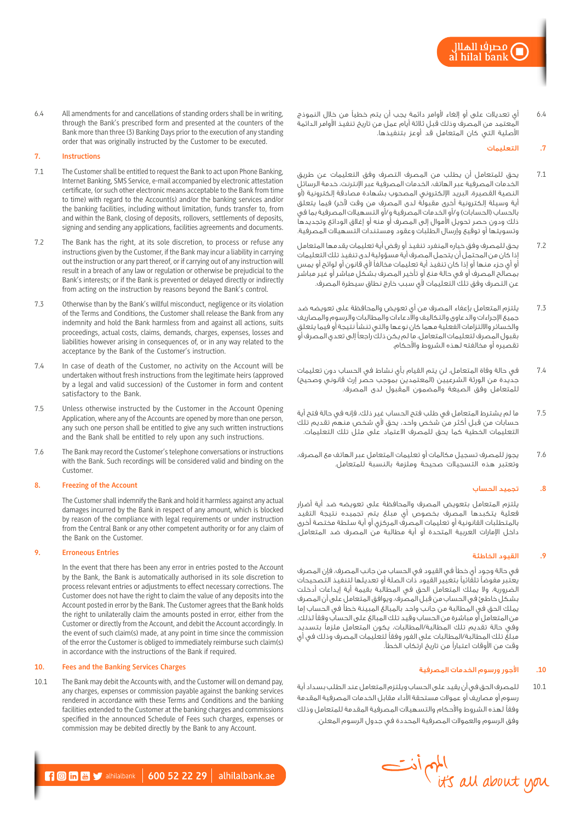6.4 أي تعديالت على أو إلغاء ألوامر دائمة يجب أن يتم خطيًا من خالل النموذج المعتمد من المصرف وذلك قبل ثالثة أيام عمل من تاريخ تنفيذ األوامر الدائمة األصلية التي كان المتعامل قد أوعز بتنفيذها.

# **.7** التعليمات

- 7.1 يحق للمتعامل أن يطلب من المصرف التصرف وفق التعليمات عن طريق الخدمات المصرفية عبر الهاتف، الخدمات المصرفية عبر اإلنترنت، خدمة الرسائل النصية القصيرة، البريد اإللكتروني المصحوب بشهادة مصادقة إلكترونية )أو أية وسيلة إلكترونية أخرى مقبولة لدى المصرف من وقت لآخر) فيما يتعلق بالحساب (الحسابات) و/أو الخدمات المصرفية و/أو التسهيلات المصرفية بما في ذلك ودون حصر تحويل األموال إلى المصرف أو منه أو إغالق الودائع وتجديدها وتسويتها أو توقيع وإرسال الطلبات وعقود ومستندات التسهيالت المصرفية.
- 7.2 يحق للمصرف وفق خياره المنفرد تنفيذ أو رفض أية تعليمات يقدمها المتعامل إذا كان من المحتمل أن يتحمل المصرف أية مسؤولية لدى تنفيذ تلك التعليمات أو أي جزء منها أو إذا كان تنفيذ أية تعليمات مخالفًا ألي قانون أو لوائح أو يمس بمصالح المصرف أو في حالة منع أو تأخير المصرف بشكل مباشر أو غير مباشر عن التصرف وفق تلك التعليمات لأى سبب خارج نطاق سيطرة المصرف.
- 7.3 يلتزم المتعامل بإعفاء المصرف من أي تعويض والمحافظة على تعويضه ضد جميع اإلجراءات والدعاوى والتكاليف واالدعاءات والمطالبات والرسوم والمصاريف والخسائر وااللتزامات الفعلية مهما كان نوعها والتي تنشأ نتيجة أو فيما يتعلق بقبول المصرف لتعليمات المتعامل، ما لم يكن ذلك راجعًا إلى تعدي المصرف أو تقصيره أو مخالفته لهذه الشروط واألحكام.
- 7.4 في حالة وفاة المتعامل، لن يتم القيام بأي نشاط في الحساب دون تعليمات جديدة من الورثة الشرعيين (المعتمدين بموجب حصر إرث قانوني وصحيح) للمتعامل وفق الصيغة والمضمون المقبول لدى المصرف.
- 7.5 ما لم يشترط المتعامل في طلب فتح الحساب غير ذلك، فإنه في حالة فتح أية حسابات من قبل أكثر من شخص واحد، يحق ألي شخص منهم تقديم تلك التعليمات الخطية كما يحق للمصرف االعتماد على مثل تلك التعليمات.
- 7.6 يجوز للمصرف تسجيل مكالمات أو تعليمات المتعامل عبر الهاتف مع المصرف، وتعتبر هذه التسجيالت صحيحة وملزمة بالنسبة للمتعامل.

#### **.8** تجميد الحساب

يلتزم المتعامل بتعويض المصرف والمحافظة على تعويضه ضد أية أضرار فعلية يتكبدها المصرف بخصوص أي مبلغ يتم تجميده نتيجة التقيد بالمتطلبات القانونية أو تعليمات المصرف المركزي أو أية سلطة مختصة أخرى داخل اإلمارات العربية المتحدة أو أية مطالبة من المصرف ضد المتعامل.

# **.9** القيود الخاطئة

في حالة وجود أي خطأ في القيود في الحساب من جانب المصرف، فإن المصرف يعتبر مفوضًا تلقائيًا بتغيير القيود ذات الصلة أو تعديلها لتنفيذ التصحيحات الضرورية، وال يملك المتعامل الحق في المطالبة بقيمة أية إيداعات أدخلت ِ بشكل خاطئ في الحساب من قبل المصرف، ويوافق المتعامل على أن المصرف يملك الحق في المطالبة من جانب واحد بالمبالغ المبينة خطأ في الحساب إما من المتعامل أو مباشرة من الحساب وقيد تلك المبالغ على الحساب وفقًا لذلك، وفي حالة تقديم تلك المطالبة/المطالبات، يكون المتعامل ملزمًا بتسديد مبلغ تلك المطالبة/المطالبات على الفور وفقًا لتعليمات المصرف وذلك في أي وقت من األوقات اعتبارًا من تاريخ ارتكاب الخطأ.

# **.10** األجور ورسوم الخدمات المصرفية

10.1 للمصرف الحق في أن يقيد على الحساب ويلتزم المتعامل عند الطلب بسداد أية رسوم أو مصاريف أو عموالت مستحقة األداء مقابل الخدمات المصرفية المقدمة وفقًا لهذه الشروط واألحكام والتسهيالت المصرفية المقدمة للمتعامل وذلك وفق الرسوم والعموالت المصرفية المحددة في جدول الرسوم المعلن.

6.4 All amendments for and cancellations of standing orders shall be in writing, through the Bank's prescribed form and presented at the counters of the Bank more than three (3) Banking Days prior to the execution of any standing order that was originally instructed by the Customer to be executed.

# **7. Instructions**

- 7.1 The Customer shall be entitled to request the Bank to act upon Phone Banking, Internet Banking, SMS Service, e-mail accompanied by electronic attestation certificate, (or such other electronic means acceptable to the Bank from time to time) with regard to the Account(s) and/or the banking services and/or the banking facilities, including without limitation, funds transfer to, from and within the Bank, closing of deposits, rollovers, settlements of deposits, signing and sending any applications, facilities agreements and documents.
- 7.2 The Bank has the right, at its sole discretion, to process or refuse any instructions given by the Customer, if the Bank may incur a liability in carrying out the instruction or any part thereof, or if carrying out of any instruction will result in a breach of any law or regulation or otherwise be prejudicial to the Bank's interests; or if the Bank is prevented or delayed directly or indirectly from acting on the instruction by reasons beyond the Bank's control.
- 7.3 Otherwise than by the Bank's willful misconduct, negligence or its violation of the Terms and Conditions, the Customer shall release the Bank from any indemnity and hold the Bank harmless from and against all actions, suits proceedings, actual costs, claims, demands, charges, expenses, losses and liabilities however arising in consequences of, or in any way related to the acceptance by the Bank of the Customer's instruction.
- 7.4 In case of death of the Customer, no activity on the Account will be undertaken without fresh instructions from the legitimate heirs (approved by a legal and valid succession) of the Customer in form and content satisfactory to the Bank.
- 7.5 Unless otherwise instructed by the Customer in the Account Opening Application, where any of the Accounts are opened by more than one person, any such one person shall be entitled to give any such written instructions and the Bank shall be entitled to rely upon any such instructions.
- 7.6 The Bank may record the Customer's telephone conversations or instructions with the Bank. Such recordings will be considered valid and binding on the Customer.

### **8. Freezing of the Account**

The Customer shall indemnify the Bank and hold it harmless against any actual damages incurred by the Bank in respect of any amount, which is blocked by reason of the compliance with legal requirements or under instruction from the Central Bank or any other competent authority or for any claim of the Bank on the Customer.

# **9. Erroneous Entries**

In the event that there has been any error in entries posted to the Account by the Bank, the Bank is automatically authorised in its sole discretion to process relevant entries or adjustments to effect necessary corrections. The Customer does not have the right to claim the value of any deposits into the Account posted in error by the Bank. The Customer agrees that the Bank holds the right to unilaterally claim the amounts posted in error, either from the Customer or directly from the Account, and debit the Account accordingly. In the event of such claim(s) made, at any point in time since the commission of the error the Customer is obliged to immediately reimburse such claim(s) in accordance with the instructions of the Bank if required.

# **10. Fees and the Banking Services Charges**

10.1 The Bank may debit the Accounts with, and the Customer will on demand pay, any charges, expenses or commission payable against the banking services rendered in accordance with these Terms and Conditions and the banking facilities extended to the Customer at the banking charges and commissions specified in the announced Schedule of Fees such charges, expenses or commission may be debited directly by the Bank to any Account.



 $\blacksquare$   $\blacksquare$   $\blacksquare$   $\blacksquare$  alhilalbank | 600 52 22 29 | alhilalbank.ae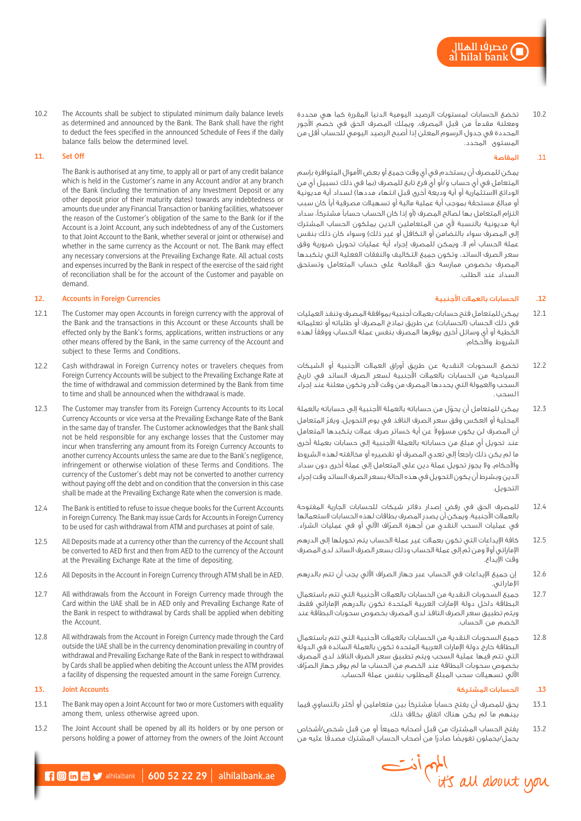10.2 تخضع الحسابات لمستويات الرصيد اليومية الدنيا المقررة كما هي محددة ِ ومعلنة مقدمًا من قبل المصرف، ويملك المصرف الحق في خصم األجور المحددة في جدول الرسوم المعلن إذا أصبح الرصيد اليومي للحساب أقل من المستوى المحدد.

# .11 المقاصة

يمكن للمصرف أن يستخدم في أي وقت جميع أو بعض األموال المتوافرة بإسم المتعامل في أي حساب و/أو أي فرع تابع للمصرف (بما في ذلك تسييل أي من الودائع الاستثمارية أو أية وديعة أخرى قبل انتهاء مددها) لسداد أية مديونية أو مبالغ مستحقة بموجب أية عملية مالية أو تسهيالت مصرفية أيًا كان سبب التزام المتعامل بها لصالح المصرف )أو إذا كان الحساب حسابًا مشتركًا، سداد أية مديونية بالنسبة ألي من المتعاملين الذين يملكون الحساب المشترك إلى المصرف سواء بالتضامن أو التكافل أو غير ذلك) وسواء كان ذلك بنفس عملة الحساب أم ال، ويمكن للمصرف إجراء أية عمليات تحويل ضرورية وفق سعر الصرف السائد، وتكون جميع التكاليف والنفقات الفعلية التي يتكبدها المصرف بخصوص ممارسة حق المقاصة على حساب المتعامل وتستحق السداد عند الطلب.

# **.12** الحسابات بالعمالت األجنبية

- 12.1 يمكن للمتعامل فتح حسابات بعمالت أجنبية بموافقة المصرف وتنفذ العمليات في ذلك الحساب (الحسابات) عن طريق نماذج المصرف أو طلباته أو تعليماته الخطية أو أي وسائل أخرى يوفرها المصرف بنفس عملة الحساب ووفقًا لهذه الشروط واألحكام.
- 12.2 تخضع السحوبات النقدية عن طريق أوراق العمالت األجنبية أو الشيكات السياحية من الحسابات بالعمالت األجنبية لسعر الصرف السائد في تاريخ السحب والعمولة التي يحددها المصرف من وقت آلخر وتكون معلنة عند إجراء ا لسحب .
- 12.3 ّ يمكن للمتعامل أن يحول من حساباته بالعملة األجنبية إلى حساباته بالعملة ّ المحلية أو العكس وفق سعر الصرف النافذ في يوم التحويل، ويقر المتعامل أن المصرف لن يكون مسؤولا عن أية خسائر صرف عملات يتكبدها المتعامل عند تحويل أي مبلغ من حساباته بالعملة الأجنبية إلى حسابات بعملة أخرى ما لم يكن ذلك راجعًا إلى تعدي المصرف أو تقصيره أو مخالفته لهذه الشروط واألحكام، وال يجوز تحويل عملة دين على المتعامل إلى عملة أخرى دون سداد الدين وبشرط أن يكون التحويل في هذه الحالة بسعر الصرف السائد وقت إجراء التحويل.
- 12.4 للمصرف الحق في رفض إصدار دفاتر شيكات للحسابات الجارية المفتوحة بالعمالت األجنبية، ويمكن أن يصدر المصرف بطاقات لهذه الحسابات الستعمالها ّ في عمليات السحب النقدي من أجهزة الصراف اآللي أو في عمليات الشراء.
- 12.5 كافة اإليداعات التي تكون بعمالت غير عملة الحساب يتم تحويلها إلى الدرهم الإماراتي أولا ومن ثم إلى عملة الحساب وذلك بسعر الصرف السائد لدى المصرف وقت اإليداع.
- 12.6 إن جميع اإليداعات في الحساب عبر جهاز الصراف اآللي يجب أن تتم بالدرهم اإلماراتي.
- 12.7 جميع السحوبات النقدية من الحسابات بالعمالت األجنبية التي تتم باستعمال البطاقة داخل دولة اإلمارات العربية المتحدة تكون بالدرهم اإلماراتي فقط، ويتم تطبيق سعر الصرف النافذ لدى المصرف بخصوص سحوبات البطاقة عند الخصم من الحساب.
- 12.8 جميع السحوبات النقدية من الحسابات بالعمالت األجنبية التي تتم باستعمال البطاقة خارج دولة اإلمارات العربية المتحدة تكون بالعملة السائدة في الدولة التي تتم فيها عملية السحب ويتم تطبيق سعر الصرف النافذ لدى المصرف ّ بخصوص سحوبات البطاقة عند الخصم من الحساب ما لم يوفر جهاز الصراف اآللي تسهيالت سحب المبلغ المطلوب بنفس عملة الحساب.

# **.13** الحسابات المشتركة

- 13.1 يحق للمصرف أن يفتح حسابًا مشتركًا بين متعاملين أو أكثر بالتساوي فيما بينهم ما لم يكن هناك اتفاق بخالف ذلك.
- 13.2 ِ يفتح الحساب المشترك من ق ِ بل أصحابه جميعًا أو من قبل شخص/أشخاص يحمل/يحملون تفويضًا صادرًا من أصحاب الحساب المشترك مصدقًا عليه من



10.2 The Accounts shall be subject to stipulated minimum daily balance levels as determined and announced by the Bank. The Bank shall have the right to deduct the fees specified in the announced Schedule of Fees if the daily balance falls below the determined level.

# **11. Set Off**

The Bank is authorised at any time, to apply all or part of any credit balance which is held in the Customer's name in any Account and/or at any branch of the Bank (including the termination of any Investment Deposit or any other deposit prior of their maturity dates) towards any indebtedness or amounts due under any Financial Transaction or banking facilities, whatsoever the reason of the Customer's obligation of the same to the Bank (or if the Account is a Joint Account, any such indebtedness of any of the Customers to that Joint Account to the Bank, whether several or joint or otherwise) and whether in the same currency as the Account or not. The Bank may effect any necessary conversions at the Prevailing Exchange Rate. All actual costs and expenses incurred by the Bank in respect of the exercise of the said right of reconciliation shall be for the account of the Customer and payable on demand.

# **12. Accounts in Foreign Currencies**

- 12.1 The Customer may open Accounts in foreign currency with the approval of the Bank and the transactions in this Account or these Accounts shall be effected only by the Bank's forms, applications, written instructions or any other means offered by the Bank, in the same currency of the Account and subject to these Terms and Conditions.
- 12.2 Cash withdrawal in Foreign Currency notes or travelers cheques from Foreign Currency Accounts will be subject to the Prevailing Exchange Rate at the time of withdrawal and commission determined by the Bank from time to time and shall be announced when the withdrawal is made.
- 12.3 The Customer may transfer from its Foreign Currency Accounts to its Local Currency Accounts or vice versa at the Prevailing Exchange Rate of the Bank in the same day of transfer. The Customer acknowledges that the Bank shall not be held responsible for any exchange losses that the Customer may incur when transferring any amount from its Foreign Currency Accounts to another currency Accounts unless the same are due to the Bank's negligence, infringement or otherwise violation of these Terms and Conditions. The currency of the Customer's debt may not be converted to another currency without paying off the debt and on condition that the conversion in this case shall be made at the Prevailing Exchange Rate when the conversion is made.
- 12.4 The Bank is entitled to refuse to issue cheque books for the Current Accounts in Foreign Currency. The Bank may issue Cards for Accounts in Foreign Currency to be used for cash withdrawal from ATM and purchases at point of sale.
- 12.5 All Deposits made at a currency other than the currency of the Account shall be converted to AED first and then from AED to the currency of the Account at the Prevailing Exchange Rate at the time of depositing.
- 12.6 All Deposits in the Account in Foreign Currency through ATM shall be in AED.
- 12.7 All withdrawals from the Account in Foreign Currency made through the Card within the UAE shall be in AED only and Prevailing Exchange Rate of the Bank in respect to withdrawal by Cards shall be applied when debiting the Account.
- 12.8 All withdrawals from the Account in Foreign Currency made through the Card outside the UAE shall be in the currency denomination prevailing in country of withdrawal and Prevailing Exchange Rate of the Bank in respect to withdrawal by Cards shall be applied when debiting the Account unless the ATM provides a facility of dispensing the requested amount in the same Foreign Currency.

# **13. Joint Accounts**

- 13.1 The Bank may open a Joint Account for two or more Customers with equality among them, unless otherwise agreed upon.
- 13.2 The Joint Account shall be opened by all its holders or by one person or persons holding a power of attorney from the owners of the Joint Account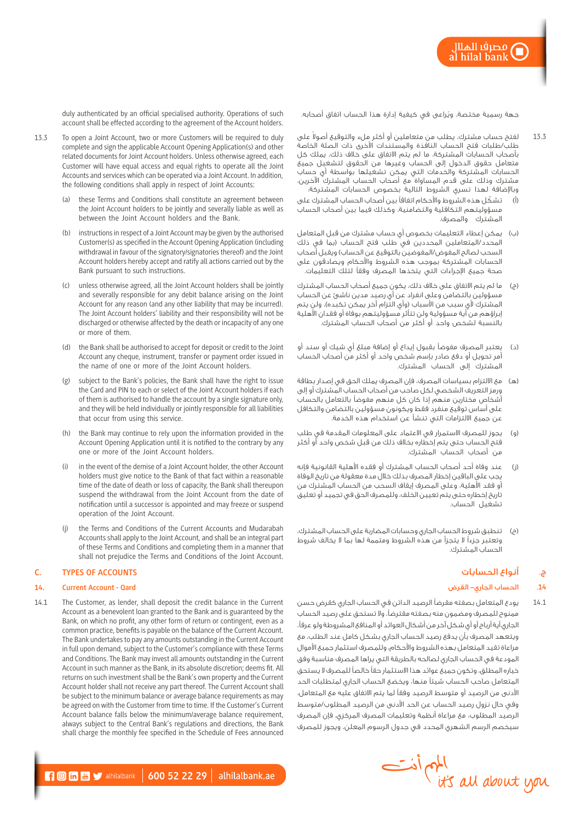مصر<mark>ف</mark>ا الهلال<br>I hilal bank

duly authenticated by an official specialised authority. Operations of such account shall be effected according to the agreement of the Account holders.

- 13.3 To open a Joint Account, two or more Customers will be required to duly complete and sign the applicable Account Opening Application(s) and other related documents for Joint Account holders. Unless otherwise agreed, each Customer will have equal access and equal rights to operate all the Joint Accounts and services which can be operated via a Joint Account. In addition, the following conditions shall apply in respect of Joint Accounts:
	- (a) these Terms and Conditions shall constitute an agreement between the Joint Account holders to be jointly and severally liable as well as between the Joint Account holders and the Bank.
	- (b) instructions in respect of a Joint Account may be given by the authorised Customer(s) as specified in the Account Opening Application (including withdrawal in favour of the signatory/signatories thereof) and the Joint Account holders hereby accept and ratify all actions carried out by the Bank pursuant to such instructions.
	- (c) unless otherwise agreed, all the Joint Account holders shall be jointly and severally responsible for any debit balance arising on the Joint Account for any reason (and any other liability that may be incurred). The Joint Account holders' liability and their responsibility will not be discharged or otherwise affected by the death or incapacity of any one or more of them.
	- (d) the Bank shall be authorised to accept for deposit or credit to the Joint Account any cheque, instrument, transfer or payment order issued in the name of one or more of the Joint Account holders.
	- (g) subject to the Bank's policies, the Bank shall have the right to issue the Card and PIN to each or select of the Joint Account holders if each of them is authorised to handle the account by a single signature only, and they will be held individually or jointly responsible for all liabilities that occur from using this service.
	- (h) the Bank may continue to rely upon the information provided in the Account Opening Application until it is notified to the contrary by any one or more of the Joint Account holders.
	- (i) in the event of the demise of a Joint Account holder, the other Account holders must give notice to the Bank of that fact within a reasonable time of the date of death or loss of capacity, the Bank shall thereupon suspend the withdrawal from the Joint Account from the date of notification until a successor is appointed and may freeze or suspend operation of the Joint Account.
	- the Terms and Conditions of the Current Accounts and Mudarabah Accounts shall apply to the Joint Account, and shall be an integral part of these Terms and Conditions and completing them in a manner that shall not prejudice the Terms and Conditions of the Joint Account.

# **C. TYPES OF ACCOUNTS**

#### **14. Current Account - Qard**

14.1 The Customer, as lender, shall deposit the credit balance in the Current Account as a benevolent loan granted to the Bank and is guaranteed by the Bank, on which no profit, any other form of return or contingent, even as a common practice, benefits is payable on the balance of the Current Account. The Bank undertakes to pay any amounts outstanding in the Current Account in full upon demand, subject to the Customer's compliance with these Terms and Conditions. The Bank may invest all amounts outstanding in the Current Account in such manner as the Bank, in its absolute discretion; deems fit. All returns on such investment shall be the Bank's own property and the Current Account holder shall not receive any part thereof. The Current Account shall be subject to the minimum balance or average balance requirements as may be agreed on with the Customer from time to time. If the Customer's Current Account balance falls below the minimum/average balance requirement, always subject to the Central Bank's regulations and directions, the Bank shall charge the monthly fee specified in the Schedule of Fees announced جهة رسمية مختصة، ويُراعى في كيفية إدارة هذا الحساب اتفاق أصحابه.

- 13.3 لفتح حساب مشترك، يطلب من متعاملين أو أكثر ملء والتوقيع أصولاً على طلب/طلبات فتح الحساب النافذة والمستندات األخرى ذات الصلة الخاصة بأصحاب الحسابات المشتركة، ما لم يتم االتفاق على خالف ذلك، يملك كل متعامل حقوق الدخول إلى الحساب وغيرها من الحقوق لتشغيل جميع الحسابات المشتركة والخدمات التي يمكن تشغيلها بواسطة أي حساب مشترك وذلك على قدم المساواة مع أصحاب الحساب المشترك اآلخرين، وباإلضافة لهذا تسري الشروط التالية بخصوص الحسابات المشتركة:
- )أ( ّ تشكل هذه الشروط واألحكام اتفاقًا بين أصحاب الحساب المشترك على مسؤوليتهم التكافلية والتضامنية، وكذلك فيما بين أصحاب الحساب المشترك والمصرف.
- )ب( يمكن إعطاء التعليمات بخصوص أي حساب مشترك من قبل المتعامل المحدد/المتعاملين المحددين في طلب فتح الحساب )بما في ذلك السحب لصالح المفوض/المفوضين بالتوقيع عن الحساب) ويقبل أصحاب الحسابات المشتركة بموجب هذه الشروط واألحكام ويصادقون على صحة جميع اإلجراءات التي يتخذها المصرف وفقًا لتلك التعليمات.
- )ج( ما لم يتم االتفاق على خالف ذلك، يكون جميع أصحاب الحساب المشترك مسؤولين بالتضامن وعلى انفراد عن أي رصيد مدين ناشئ عن الحساب المشترك لأي سبب من الأسباب (وأي التزام آخر يمكن تكبده)، ولن يتم إبراؤهم من أية مسؤولية ولن تتأثر مسؤوليتهم بوفاة أو فقدان الأهلية بالنسبة لشخص واحد أو أكثر من أصحاب الحساب المشترك.
- )د( يعتبر المصرف مفوضًا بقبول إيداع أو إضافة مبلغ أي شيك أو سند أو أمر تحويل أو دفع صادر بإسم شخص واحد أو أكثر من أصحاب الحساب المشترك إلى الحساب المشترك.
- )هـ( مع االلتزام بسياسات المصرف، فإن المصرف يملك الحق في إصدار بطاقة ورمز التعريف الشخصي لكل صاحب من أصحاب الحساب المشترك أو إلى أشخاص مختارين منهم إذا كان كل منهم مفوضًا بالتعامل بالحساب على أساس توقيع منفرد فقط ويكونون مسؤولين بالتضامن والتكافل عن جميع االلتزامات التي تنشأ عن استخدام هذه الخدمة.
- )و( يجوز للمصرف االستمرار في االعتماد على المعلومات المقدمة في طلب فتح الحساب حتى يتم إخطاره بخالف ذلك من قبل شخص واحد أو أكثر من أصحاب الحساب المشترك.
- )ز( عند وفاة أحد أصحاب الحساب المشترك أو فقده األهلية القانونية فإنه يجب على الباقين إخطار المصرف بذلك خالل مدة معقولة من تاريخ الوفاة أو فقد األهلية، وعلى المصرف إيقاف السحب من الحساب المشترك من تاريخ إخطاره حتى يتم تعيين الخلف، وللمصرف الحق في تجميد أو تعليق تشغيل الحساب.
- )ح( تنطبق شروط الحساب الجاري وحسابات المضاربة على الحساب المشترك، وتعتبر جزءًا ال يتجزأ من هذه الشروط ومتممة لها بما ال يخالف شروط الحساب المشترك.

# ج. أنواع الحسابات

# .**14** الحساب الجاري- القرض

14.1 يودع المتعامل بصفته مقرضًا الرصيد الدائن في الحساب الجاري كقرض حسن ممنوح للمصرف ومضمون منه بصفته مقترضًا، وال تستحق على رصيد الحساب الجاري أية أرباح أو أي شكل آخر من أشكال العوائد أو المنافع المشروطة ولو عرفًا، ويتعهد المصرف بأن يدفع رصيد الحساب الجاري بشكل كامل عند الطلب، مع مراعاة تقيد المتعامل بهذه الشروط واألحكام، وللمصرف استثمار جميع األموال المودعة في الحساب الجاري لصالحه بالطريقة التي يراها المصرف مناسبة وفق خياره المطلق، وتكون جميع عوائد هذا االستثمار حقًا خالصًا للمصرف ال يستحق المتعامل صاحب الحساب شيئًا منها، ويخضع الحساب الجاري لمتطلبات الحد األدنى من الرصيد أو متوسط الرصيد وفقًا لما يتم االتفاق عليه مع المتعامل، وفي حال نزول رصيد الحساب عن الحد األدنى من الرصيد المطلوب/متوسط الرصيد المطلوب، مع مراعاة أنظمة وتعليمات المصرف المركزي، فإن المصرف سيخصم الرسم الشهري المحدد في جدول الرسوم المعلن، ويجوز للمصرف



 $\begin{array}{|c|c|c|c|c|c|c|c|}\hline \textbf{1} & \textbf{0} & \textbf{m} & \textbf{v} & \text{alhilabank.} \ \hline \end{array}$  alhilalbank.ae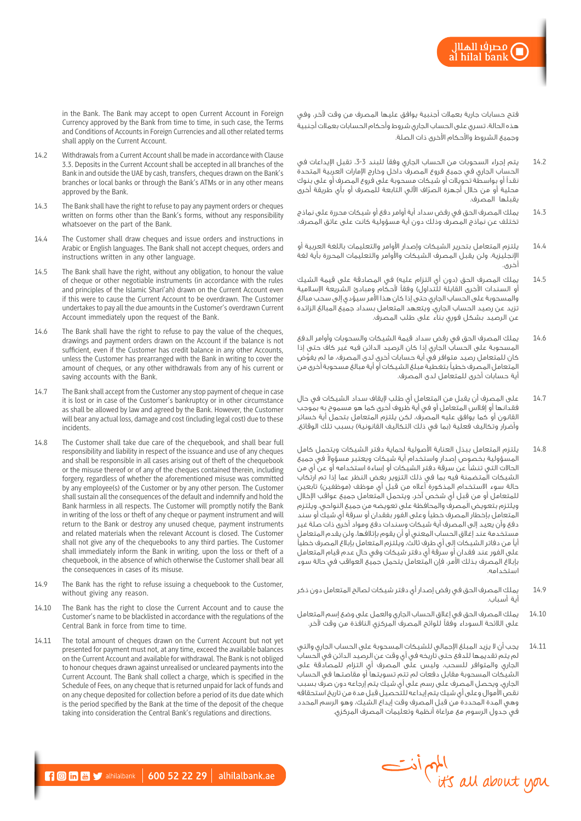فتح حسابات جارية بعمالت أجنبية يوافق عليها المصرف من وقت آلخر، وفي هذه الحالة، تسري على الحساب الجاري شروط وأحكام الحسابات بعمالت أجنبية وجميع الشروط واألحكام األخرى ذات الصلة.

- 14.2 يتم إجراء السحوبات من الحساب الجاري وفقاً للبند 3-3، تقبل الإيداعات في الحساب الجاري في جميع فروع المصرف داخل وخارج اإلمارات العربية المتحدة نقدًا أو بواسطة تحويالت أو شيكات مسحوبة على فروع المصرف أو على بنوك ّ محلية أو من خالل أجهزة الصراف اآللي التابعة للمصرف أو بأي طريقة أخرى يقبلها المصرف.
- 14.3 يملك المصرف الحق في رفض سداد أية أوامر دفع أو شيكات محررة على نماذج تختلف عن نماذج المصرف وذلك دون أية مسؤولية كانت على عاتق المصرف.
- 14.4 يلتزم المتعامل بتحرير الشيكات وإصدار األوامر والتعليمات باللغة العربية أو اإلنجليزية، ولن يقبل المصرف الشيكات واألوامر والتعليمات المحررة بأية لغة أخرى.
- 14.5 يملك المصرف الحق (دون أي التزام عليه) في المصادقة على قيمة الشيك أو السندات الأخرى القابلة للتداول) وفقاً لأحكام ومبادئ الشريعة الإسلامية والمسحوبة على الحساب الجاري حتى إذا كان هذا األمر سيؤدي إلى سحب مبالغ تزيد عن رصيد الحساب الجاري، ويتعهد المتعامل بسداد جميع المبالغ الزائدة عن الرصيد بشكل فوري بناء على طلب المصرف.
- 14.6 يملك المصرف الحق في رفض سداد قيمة الشيكات والسحوبات وأوامر الدفع المسحوبة على الحساب الجاري إذا كان الرصيد الدائن فيه غير كاف حتى إذا كان للمتعامل رصيد متوافر في أية حسابات أخرى لدى المصرف، ما لم يفوّض المتعامل المصرف خطيًا بتغطية مبلغ الشيكات أو أية مبالغ مسحوبة أخرى من أية حسابات أخرى للمتعامل لدى المصرف.
- 14.7 على المصرف أن يقبل من المتعامل أي طلب إليقاف سداد الشيكات في حال فقدانها أو إفالس المتعامل أو في أية ظروف أخرى كما هو مسموح به بموجب القانون أو كما يوافق عليه المصرف، لكن يلتزم المتعامل بتحمل أية خسائر وأضرار وتكاليف فعلية (بما في ذلك التكاليف القانونية) بسبب تلك الوقائع.
- 14.8 يلتزم المتعامل ببذل العناية األصولية لحماية دفتر الشيكات ويتحمل كامل المسؤولية بخصوص إصدار واستخدام أية شيكات ويعتبر مسؤولا فى جميع الحاالت التي تنشأ عن سرقة دفتر الشيكات أو إساءة استخدامه أو عن أي من الشيكات المتضمنة فيه بما في ذلك التزوير بغض النظر عما إذا تم ارتكاب حالة سوء الاستخدام المذكورة أعلاه من قبل أي موظف (موظفين) تابعين ِ للمتعامل أو من قبل أي شخص آخر، ويتحمل المتعامل جميع عواقب اإلخالل ويلتزم بتعويض المصرف والمحافظة على تعويضه من جميع النواحي، ويلتزم المتعامل بإخطار المصرف خطيًا وعلى الفور بفقدان أو سرقة أي شيك أو سند دفع وأن يعيد إلى المصرف أية شيكات وسندات دفع ومواد أخرى ذات صلة غير مستخدمة عند إغالق الحساب المعني أو أن يقوم بإتالفها، ولن يقدم المتعامل أيًا من دفاتر الشيكات إلى أي طرف ثالث، ويلتزم المتعامل بإبالغ المصرف خطيًا على الفور عند فقدان أو سرقة أي دفتر شيكات وفي حال عدم قيام المتعامل بإبالغ المصرف بذلك األمر، فإن المتعامل يتحمل جميع العواقب في حالة سوء استخدامه.
- 14.9 يملك المصرف الحق في رفض إصدار أي دفتر شيكات لصالح المتعامل دون ذكر أية أسباب.
- 14.10 يملك المصرف الحق في إغالق الحساب الجاري والعمل على وضع إسم المتعامل على الالئحة السوداء وفقًا للوائح المصرف المركزي النافذة من وقت آلخر.
- 14.11 يجب أن ال يزيد المبلغ اإلجمالي للشيكات المسحوبة على الحساب الجاري والتي لم يتم تقديمها للدفع حتى تاريخه في أي وقت عن الرصيد الدائن في الحساب الجاري والمتوافر للسحب، وليس على المصرف أي التزام للمصادقة على الشيكات المسحوبة مقابل دفعات لم تتم تسويتها أو مقاصتها في الحساب الجاري، ويحصل المصرف على رسم على أي شيك يتم إرجاعه دون صرف بسبب نقص األموال وعلى أي شيك يتم إيداعه للتحصيل قبل مدة من تاريخ استحقاقه وهي المدة المحددة من قبل المصرف وقت إيداع الشيك، وهو الرسم المحدد في جدول الرسوم مع مراعاة أنظمة وتعليمات المصرف المركزي.



in the Bank. The Bank may accept to open Current Account in Foreign Currency approved by the Bank from time to time, in such case, the Terms and Conditions of Accounts in Foreign Currencies and all other related terms shall apply on the Current Account.

- 14.2 Withdrawals from a Current Account shall be made in accordance with Clause 3.3. Deposits in the Current Account shall be accepted in all branches of the Bank in and outside the UAE by cash, transfers, cheques drawn on the Bank's branches or local banks or through the Bank's ATMs or in any other means approved by the Bank.
- 14.3 The Bank shall have the right to refuse to pay any payment orders or cheques written on forms other than the Bank's forms, without any responsibility whatsoever on the part of the Bank.
- 14.4 The Customer shall draw cheques and issue orders and instructions in Arabic or English languages. The Bank shall not accept cheques, orders and instructions written in any other language.
- 14.5 The Bank shall have the right, without any obligation, to honour the value of cheque or other negotiable instruments (in accordance with the rules and principles of the Islamic Shari'ah) drawn on the Current Account even if this were to cause the Current Account to be overdrawn. The Customer undertakes to pay all the due amounts in the Customer's overdrawn Current Account immediately upon the request of the Bank.
- 14.6 The Bank shall have the right to refuse to pay the value of the cheques, drawings and payment orders drawn on the Account if the balance is not sufficient, even if the Customer has credit balance in any other Accounts, unless the Customer has prearranged with the Bank in writing to cover the amount of cheques, or any other withdrawals from any of his current or saving accounts with the Bank.
- 14.7 The Bank shall accept from the Customer any stop payment of cheque in case it is lost or in case of the Customer's bankruptcy or in other circumstance as shall be allowed by law and agreed by the Bank. However, the Customer will bear any actual loss, damage and cost (including legal cost) due to these incidents.
- 14.8 The Customer shall take due care of the chequebook, and shall bear full responsibility and liability in respect of the issuance and use of any cheques and shall be responsible in all cases arising out of theft of the chequebook or the misuse thereof or of any of the cheques contained therein, including forgery, regardless of whether the aforementioned misuse was committed by any employee(s) of the Customer or by any other person. The Customer shall sustain all the consequences of the default and indemnify and hold the Bank harmless in all respects. The Customer will promptly notify the Bank in writing of the loss or theft of any cheque or payment instrument and will return to the Bank or destroy any unused cheque, payment instruments and related materials when the relevant Account is closed. The Customer shall not give any of the chequebooks to any third parties. The Customer shall immediately inform the Bank in writing, upon the loss or theft of a chequebook, in the absence of which otherwise the Customer shall bear all the consequences in cases of its misuse.
- 14.9 The Bank has the right to refuse issuing a chequebook to the Customer, without giving any reason.
- 14.10 The Bank has the right to close the Current Account and to cause the Customer's name to be blacklisted in accordance with the regulations of the Central Bank in force from time to time.
- 14.11 The total amount of cheques drawn on the Current Account but not yet presented for payment must not, at any time, exceed the available balances on the Current Account and available for withdrawal. The Bank is not obliged to honour cheques drawn against unrealised or uncleared payments into the Current Account. The Bank shall collect a charge, which is specified in the Schedule of Fees, on any cheque that is returned unpaid for lack of funds and on any cheque deposited for collection before a period of its due date which is the period specified by the Bank at the time of the deposit of the cheque taking into consideration the Central Bank's regulations and directions.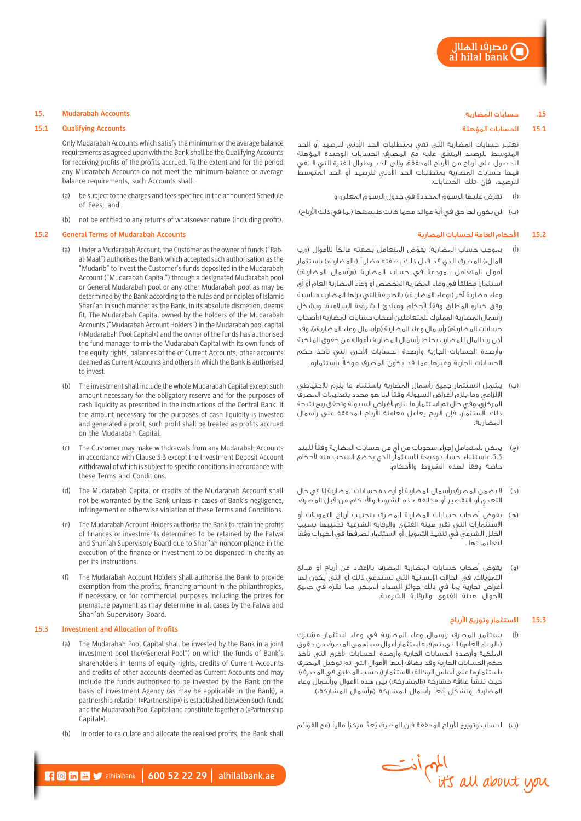# **.15** حسابات المضاربة

#### **15**.**1** الحسابات المؤهلة

تعتبر حسابات المضاربة التي تفي بمتطلبات الحد األدنى للرصيد أو الحد المتوسط للرصيد المتفق عليه مع المصرف الحسابات الوحيدة المؤهلة للحصول على أرباح من األرباح المحققة، وإلى الحد وطوال الفترة التي ال تفي فيها حسابات المضاربة بمتطلبات الحد األدنى للرصيد أو الحد المتوسط للرصيد، فإن تلك الحسابات:

- )أ( تفرض عليها الرسوم المحددة في جدول الرسوم المعلن؛ و
- (ب) لن يكون لها حق في أية عوائد مهما كانت طبيعتها (بما في ذلك الأرباح).

### **15.2** األحكام العامة لحسابات المضاربة

- )أ( ّ بموجب حساب المضاربة، يفوض المتعامل بصفته مالكًا لألموال )»رب المال») المصرف الذي قد قبل ذلك بصفته مضارباً («المضارب») باستثمار أموال المتعامل المودعة في حساب المضاربة («رأسمال المضاربة») استثمارًا مطلقًا في وعاء المضاربة المخصص أو وعاء المضاربة العام أو أي وعاء مضاربة آخر («وعاء المضاربة») بالطريقة التي يراها المضارب مناسبة وفق خياره المطلق وفقًا ألحكام ومبادئ الشريعة اإلسالمية، ويشكل رأسمال المضاربة المملوك للمتعاملين أصحاب حسابات المضاربة )»أصحاب حسابات المضاربة») رأسمال وعاء المضاربة («رأسمال وعاء المضاربة»)، وقد أذن رب المال للمضارب بخلط رأسمال المضاربة بأمواله من حقوق الملكية وأرصدة الحسابات الجارية وأرصدة الحسابات األخرى التي تأخذ حكم ً الحسابات الجارية وغيرها مما قد يكون المصرف موكال باستثماره.
- )ب( يشمل االستثمار جميع رأسمال المضاربة باستثناء ما يلزم لالحتياطي اإللزامي وما يلزم ألغراض السيولة، وفقًا لما هو محدد بتعليمات المصرف المركزي، وفي حال تم استثمار ما يلزم ألغراض السيولة وتحقق ربح نتيجة ذلك االستثمار، فإن الربح يعامل معاملة األرباح المحققة على رأسمال المضاربة.
- )ج( يمكن للمتعامل إجراء سحوبات من أي من حسابات المضاربة وفقًا للبند ،3.3 باستثناء حساب وديعة االستثمار الذي يخضع السحب منه ألحكام خاصة وفقًا لهذه الشروط واألحكام.
- )د( ال يضمن المصرف رأسمال المضاربة أو أرصدة حسابات المضاربة إال في حال التعدي أو التقصير أو مخالفة هذه الشروط واألحكام من قبل المصرف.
- )هـ( يفوض أصحاب حسابات المضاربة المصرف بتجنيب أرباح التمويالت أو االستثمارات التي تقرر هيئة الفتوى والرقابة الشرعية تجنيبها بسبب الخلل الشرعي في تنفيذ التمويل أو االستثمار لصرفها في الخيرات وفقًا لتعليما تها .
- يفوض أصحاب حسابات المضاربة المصرف بالإعفاء من أرباح أو مبالغ التمويالت، في الحاالت اإلنسانية التي تستدعي ذلك أو التي يكون لها أغراض تجارية بما في ذلك جوائز السداد المبكر، مما تقرّه في جميع األحوال هيئة الفتوى والرقابة الشرعية.

# **15.3** االستثمار وتوزيع األرباح

)أ( يستثمر المصرف رأسمال وعاء المضاربة في وعاء استثمار مشترك )»الوعاء العام«( الذي يتم فيه استثمار أموال مساهمي المصرف من حقوق الملكية وأرصدة الحسابات الجارية وأرصدة الحسابات األخرى التي تأخذ حكم الحسابات الجارية وقد يضاف إليها األموال التي تم توكيل المصرف باستثمارها على أساس الوكالة بالاستثمار (بحسب المطبق في المصرف)، حيث تنشأ علاقة مشاركة («المشاركة») بين هذه الأموال ورأسمال وعاء المضاربة، وتشكّل معاً رأسمال المشاركة («رأسمال المشاركة»).

(ب) لحساب وتوزيع الأرباح المحققة فإن المصرف يُعدُّ مركزاً مالياً (مع القوائم



#### **15. Mudarabah Accounts**

### **15.1 Qualifying Accounts**

Only Mudarabah Accounts which satisfy the minimum or the average balance requirements as agreed upon with the Bank shall be the Qualifying Accounts for receiving profits of the profits accrued. To the extent and for the period any Mudarabah Accounts do not meet the minimum balance or average balance requirements, such Accounts shall:

- (a) be subject to the charges and fees specified in the announced Schedule of Fees; and
- (b) not be entitled to any returns of whatsoever nature (including profit).

# **15.2 General Terms of Mudarabah Accounts**

- (a) Under a Mudarabah Account, the Customer as the owner of funds ("Rabal-Maal") authorises the Bank which accepted such authorisation as the "Mudarib" to invest the Customer's funds deposited in the Mudarabah Account ("Mudarabah Capital") through a designated Mudarabah pool or General Mudarabah pool or any other Mudarabah pool as may be determined by the Bank according to the rules and principles of Islamic Shari'ah in such manner as the Bank, in its absolute discretion, deems fit. The Mudarabah Capital owned by the holders of the Mudarabah Accounts ("Mudarabah Account Holders") in the Mudarabah pool capital («Mudarabah Pool Capital») and the owner of the funds has authorised the fund manager to mix the Mudarabah Capital with its own funds of the equity rights, balances of the of Current Accounts, other accounts deemed as Current Accounts and others in which the Bank is authorised to invest.
- (b) The investment shall include the whole Mudarabah Capital except such amount necessary for the obligatory reserve and for the purposes of cash liquidity as prescribed in the instructions of the Central Bank. If the amount necessary for the purposes of cash liquidity is invested and generated a profit, such profit shall be treated as profits accrued on the Mudarabah Capital.
- (c) The Customer may make withdrawals from any Mudarabah Accounts in accordance with Clause 3.3 except the Investment Deposit Account withdrawal of which is subject to specific conditions in accordance with these Terms and Conditions.
- (d) The Mudarabah Capital or credits of the Mudarabah Account shall not be warranted by the Bank unless in cases of Bank's negligence, infringement or otherwise violation of these Terms and Conditions.
- (e) The Mudarabah Account Holders authorise the Bank to retain the profits of finances or investments determined to be retained by the Fatwa and Shari'ah Supervisory Board due to Shari'ah noncompliance in the execution of the finance or investment to be dispensed in charity as per its instructions.
- The Mudarabah Account Holders shall authorise the Bank to provide exemption from the profits, financing amount in the philanthropies, if necessary, or for commercial purposes including the prizes for premature payment as may determine in all cases by the Fatwa and Shari'ah Supervisory Board.

#### **15.3 Investment and Allocation of Profits**

- (a) The Mudarabah Pool Capital shall be invested by the Bank in a joint investment pool the(«General Pool") on which the funds of Bank's shareholders in terms of equity rights, credits of Current Accounts and credits of other accounts deemed as Current Accounts and may include the funds authorised to be invested by the Bank on the basis of Investment Agency (as may be applicable in the Bank), a partnership relation («Partnership») is established between such funds and the Mudarabah Pool Capital and constitute together a («Partnership Capital»).
- (b) In order to calculate and allocate the realised profits, the Bank shall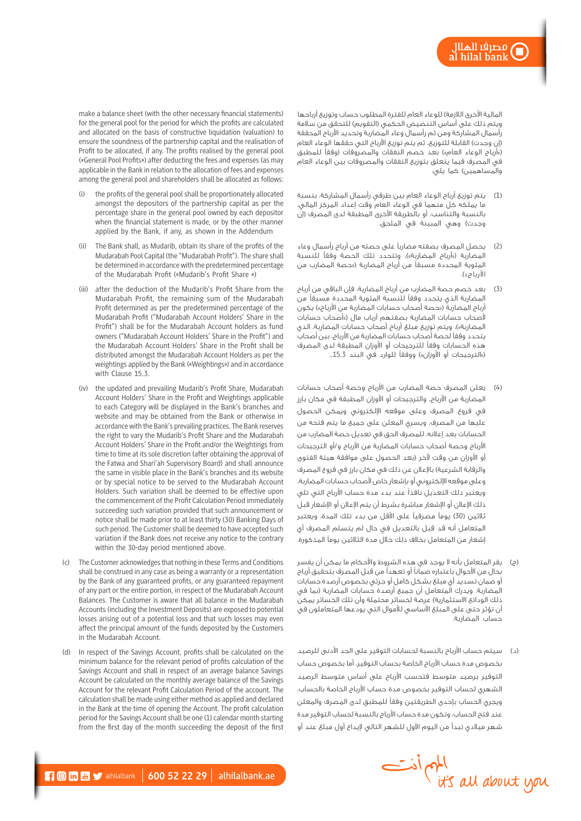المالية الأخرى اللازمة) للوعاء العام للفترة المطلوب حساب وتوزيع أرباحها ويتم ذلك على أساس التنضيض الحكمي (التقويم) للتحقق من سلامة رأسمال المشاركة ومن ثم رأسمال وعاء المضاربة وتحديد األرباح المحققة (إن وجدت) القابلة للتوزيع، ثم يتم توزيع الأرباح التي حققها الوعاء العام («أرباح الوعاء العام») بعد خصم النفقات والمصروفات (وفقاً للمطبق في المصرف فيما يتعلق بتوزيع النفقات والمصروفات بين الوعاء العام والمساهمين) كما يلي:

- )1( يتم توزيع أرباح الوعاء العام بين طرفي رأسمال المشاركة، بنسبة ما يملكه كل منهما في الوعاء العام وقت إعداد المركز المالي، بالنسبة والتناسب، أو بالطريقة األخرى المطبقة لدى المصرف )إن وجدت) وهي المبينة في الملحق.
- )2( يحصل المصرف بصفته مضاربًا على حصته من أرباح رأسمال وعاء المضاربة («أرباح المضاربة»)، وتتحدد تلك الحصة وفقاً للنسبة المئوية المحددة مسبقاً من أرباح المضاربة («حصة المضارب من الأرباح»).
- )3( بعد خصم حصة المضارب من أرباح المضاربة، فإن الباقي من أرباح المضاربة الذي يتحدد وفقًا للنسبة المئوية المحددة مسبقًا من أرباح المضاربة<sup>ً</sup> («حصة أصحاب حسابات المضاربة من الأرباح») يكون ألصحاب حسابات المضاربة بصفتهم أرباب مال )»أصحاب حسابات المضاربة»)، ويتم توزيع مبلغ أرباح أصحاب حسابات المضاربة، الذي يتحدد وفقًا لحصة أصحاب حسابات المضاربة من األرباح، بين أصحاب هذه الحسابات وفقًا للترجيحات أو األوزان المطبقة لدى المصرف («الترجيحات أو الأوزان») ووفقاً للوارد في البند 15.3..
- )4( يعلن المصرف حصة المضارب من األرباح وحصة أصحاب حسابات المضاربة من األرباح، والترجيحات أو األوزان المطبقة في مكان بارز في فروع المصرف وعلى موقعه اإللكتروني ويمكن الحصول عليها من المصرف، ويسري المعلن على جميع ما يتم فتحه من الحسابات بعد إعالنه، للمصرف الحق في تعديل حصة المضارب من األرباح وحصة أصحاب حسابات المضاربة من األرباح و/أو الترجيحات أو الأوزان من وقت لآخر (بعد الحصول على موافقة هيئة الفتوى والرقابة الشرعية) بالإعلان عن ذلك في مكان بارز في فروع المصرف وعلى موقعه اإللكتروني أو بإشعار خاص ألصحاب حسابات المضاربة، ويعتبر ذلك التعديل نافذًا عند بدء مدة حساب األرباح التي تلي ذلك اإلعالن أو اإلشعار مباشرة بشرط أن يتم اإلعالن أو اإلشعار قبل ثلاثين (30) يوماً مصرفياً على الأقل من بدء تلك المدة، ويعتبر المتعامل أنه قد قبل بالتعديل في حال لم يتسلم المصرف أي إشعار من المتعامل بخالف ذلك خالل مدة الثالثين يومًا المذكورة.
- )ج( يقر المتعامل بأنه ال يوجد في هذه الشروط واألحكام ما يمكن أن يفسر بحال من األحوال باعتباره ضمانًا أو تعهدًا من قبل المصرف بتحقيق أرباح أو ضمان تسديد أي مبلغ بشكل كامل أو جزئي بخصوص أرصدة حسابات المضاربة، ويدرك المتعامل أن جميع أرصدة حسابات المضاربة (بما فى ذلك الودائع الاستثمارية) عرضة لخسائر محتملة وأن تلك الخسائر يمكن أن تؤثر حتى على المبلغ الأساسي للأموال التي يودعها المتعاملون في حساب المضاربة.
- )د( سيتم حساب األرباح بالنسبة لحسابات التوفير على الحد األدنى للرصيد بخصوص مدة حساب األرباح الخاصة بحساب التوفير، أما بخصوص حساب التوفير برصيد متوسط فتحسب األرباح على أساس متوسط الرصيد الشهري لحساب التوفير بخصوص مدة حساب األرباح الخاصة بالحساب، ويجري الحساب بإحدى الطريقتين وفقًا للمطبق لدى المصرف والمعلن عند فتح الحساب، وتكون مدة حساب األرباح بالنسبة لحساب التوفير مدة شهر ميالدي تبدأ من اليوم األول للشهر التالي إليداع أول مبلغ عند أو

Information Service

make a balance sheet (with the other necessary financial statements) for the general pool for the period for which the profits are calculated and allocated on the basis of constructive liquidation (valuation) to ensure the soundness of the partnership capital and the realisation of Profit to be allocated, if any. The profits realised by the general pool («General Pool Profits») after deducting the fees and expenses (as may applicable in the Bank in relation to the allocation of fees and expenses among the general pool and shareholders shall be allocated as follows:

- the profits of the general pool shall be proportionately allocated amongst the depositors of the partnership capital as per the percentage share in the general pool owned by each depositor when the financial statement is made, or by the other manner applied by the Bank, if any, as shown in the Addendum
- (ii) The Bank shall, as Mudarib, obtain its share of the profits of the Mudarabah Pool Capital (the "Mudarabah Profit"). The share shall be determined in accordance with the predetermined percentage of the Mudarabah Profit («Mudarib's Profit Share «)
- (iii) after the deduction of the Mudarib's Profit Share from the Mudarabah Profit, the remaining sum of the Mudarabah Profit determined as per the predetermined percentage of the Mudarabah Profit ("Mudarabah Account Holders' Share in the Profit") shall be for the Mudarabah Account holders as fund owners ("Mudarabah Account Holders' Share in the Profit") and the Mudarabah Account Holders' Share in the Profit shall be distributed amongst the Mudarabah Account Holders as per the weightings applied by the Bank («Weightings») and in accordance with Clause 15.3.
- (iv) the updated and prevailing Mudarib's Profit Share, Mudarabah Account Holders' Share in the Profit and Weightings applicable to each Category will be displayed in the Bank's branches and website and may be obtained from the Bank or otherwise in accordance with the Bank's prevailing practices. The Bank reserves the right to vary the Mudarib's Profit Share and the Mudarabah Account Holders' Share in the Profit and/or the Weightings from time to time at its sole discretion (after obtaining the approval of the Fatwa and Shari'ah Supervisory Board) and shall announce the same in visible place in the Bank's branches and its website or by special notice to be served to the Mudarabah Account Holders. Such variation shall be deemed to be effective upon the commencement of the Profit Calculation Period immediately succeeding such variation provided that such announcement or notice shall be made prior to at least thirty (30) Banking Days of such period. The Customer shall be deemed to have accepted such variation if the Bank does not receive any notice to the contrary within the 30-day period mentioned above.
- (c) The Customer acknowledges that nothing in these Terms and Conditions shall be construed in any case as being a warranty or a representation by the Bank of any guaranteed profits, or any guaranteed repayment of any part or the entire portion, in respect of the Mudarabah Account Balances. The Customer is aware that all balance in the Mudarabah Accounts (including the Investment Deposits) are exposed to potential losses arising out of a potential loss and that such losses may even affect the principal amount of the funds deposited by the Customers in the Mudarabah Account.
- (d) In respect of the Savings Account, profits shall be calculated on the minimum balance for the relevant period of profits calculation of the Savings Account and shall in respect of an average balance Savings Account be calculated on the monthly average balance of the Savings Account for the relevant Profit Calculation Period of the account. The calculation shall be made using either method as applied and declared in the Bank at the time of opening the Account. The profit calculation period for the Savings Account shall be one (1) calendar month starting from the first day of the month succeeding the deposit of the first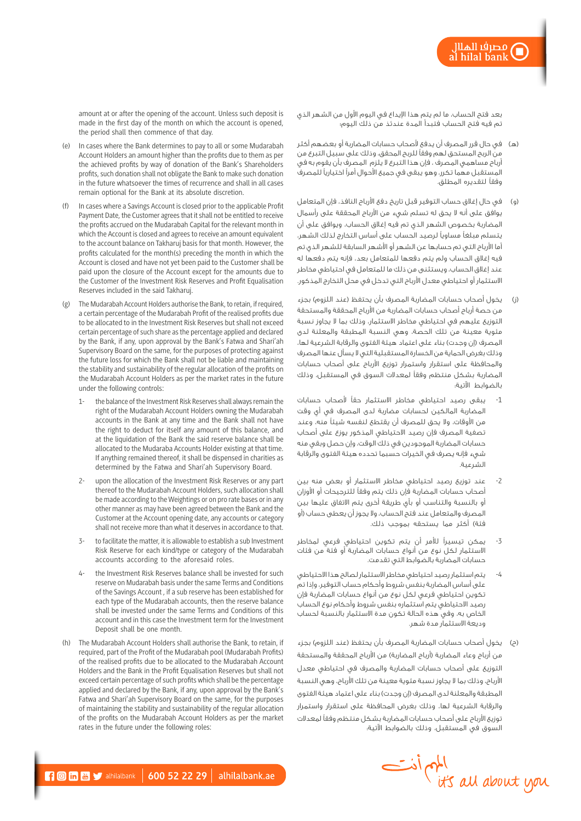بعد فتح الحساب، ما لم يتم هذا اإليداع في اليوم األول من الشهر الذي تم فيه فتح الحساب فتبدأ المدة عندئذ من ذلك اليوم؛

- )هـ( في حال قرر المصرف أن يدفع ألصحاب حسابات المضاربة أو بعضهم أكثر من الربح المستحق لهم وفقًا للربح المحقق، وذلك على سبيل التبرع من أرباح مساهمي المصرف ، فإن هذا التبرع ال يلزم المصرف بأن يقوم به في المستقبل مهما تكرر، وهو يبقى في جميع األحوال أمرًا اختياريًا للمصرف وفقًا لتقديره المطلق.
- )و( في حال إغالق حساب التوفير قبل تاريخ دفع األرباح النافذ، فإن المتعامل يوافق على أنه ال يحق له تسلم شيء من األرباح المحققة على رأسمال المضاربة بخصوص الشهر الذي تم فيه إغالق الحساب، ويوافق على أن يتسلم مبلغًا مساويًا لرصيد الحساب على أساس التخارج لذلك الشهر، أما األرباح التي تم حسابها عن الشهر أو األشهر السابقة للشهر الذي تم فيه إغالق الحساب ولم يتم دفعها للمتعامل بعد، فإنه يتم دفعها له عند إغالق الحساب، ويستثنى من ذلك ما للمتعامل في احتياطي مخاطر االستثمار أو احتياطي معدل األرباح التي تدخل في محل التخارج المذكور.
- )ز( يخول أصحاب حسابات المضاربة المصرف بأن يحتفظ )عند اللزوم( بجزء من حصة أرباح أصحاب حسابات المضاربة من األرباح المحققة والمستحقة التوزيع عليهم في احتياطي مخاطر االستثمار، وذلك بما ال يجاوز نسبة مئوية معينة من تلك الحصة، وهي النسبة المطبقة والمعلنة لدى المصرف (إن وجدت) بناء على اعتماد هيئة الفتوى والرقابة الشرعية لها، وذلك بغرض الحماية من الخسارة المستقبلية التي ال يسأل عنها المصرف والمحافظة على استقرار واستمرار توزيع األرباح على أصحاب حسابات المضاربة بشكل منتظم وفقًا لمعدالت السوق في المستقبل، وذلك بالضوابط اآلتية:
- -1 يبقى رصيد احتياطي مخاطر االستثمار حقًا ألصحاب حسابات المضاربة المالكين لحسابات مضاربة لدى المصرف في أي وقت من األوقات، وال يحق للمصرف أن يقتطع لنفسه شيئًا منه، وعند تصفية المصرف فإن رصيد االحتياطي المذكور يوزع على أصحاب حسابات المضاربة الموجودين في ذلك الوقت، وإن حصل وبقي منه شيء فإنه يصرف في الخيرات حسبما تحدده هيئة الفتوى والرقابة الشرعية.
- -2 عند توزيع رصيد احتياطي مخاطر االستثمار أو بعض منه بين أصحاب حسابات المضاربة فإن ذلك يتم وفقًا للترجيحات أو األوزان أو بالنسبة والتناسب أو بأي طريقة أخرى يتم االتفاق عليها بين المصرف والمتعامل عند فتح الحساب، وال يجوز أن يعطى حساب )أو فئة) أكثر مما يستحقه بموجب ذلك.
- -3 يمكن تيسيرًا لألمر أن يتم تكوين احتياطي فرعي لمخاطر االستثمار لكل نوع من أنواع حسابات المضاربة أو فئة من فئات حسابات المضاربة بالضوابط التي تقدمت.
- -4 يتم استثمار رصيد احتياطي مخاطر االستثمار لصالح هذا االحتياطي على أساس المضاربة بنفس شروط وأحكام حساب التوفير، وإذا تم تكوين احتياطي فرعي لكل نوع من أنواع حسابات المضاربة فإن رصيد االحتياطي يتم استثماره بنفس شروط وأحكام نوع الحساب الخاص به، وفي هذه الحالة تكون مدة االستثمار بالنسبة لحساب وديعة االستثمار مدة شهر.
- يخول أصحاب حسابات المضاربة المصرف بأن يحتفظ (عند اللزوم) بجزء من أرباح وعاء المضاربة (أرباح المضاربة) من الأرباح المحققة والمستحقة التوزيع على أصحاب حسابات المضاربة والمصرف في احتياطي معدل األرباح، وذلك بما ال يجاوز نسبة مئوية معينة من تلك األرباح، وهي النسبة المطبقة والمعلنة لدى المصرف (إن وجدت) بناء على اعتماد هيئة الفتوى والرقابة الشرعية لها، وذلك بغرض المحافظة على استقرار واستمرار توزيع األرباح على أصحاب حسابات المضاربة بشكل منتظم وفقًا لمعدالت السوق في المستقبل، وذلك بالضوابط اآلتية:



amount at or after the opening of the account. Unless such deposit is made in the first day of the month on which the account is opened, the period shall then commence of that day.

- (e) In cases where the Bank determines to pay to all or some Mudarabah Account Holders an amount higher than the profits due to them as per the achieved profits by way of donation of the Bank's Shareholders profits, such donation shall not obligate the Bank to make such donation in the future whatsoever the times of recurrence and shall in all cases remain optional for the Bank at its absolute discretion.
- (f) In cases where a Savings Account is closed prior to the applicable Profit Payment Date, the Customer agrees that it shall not be entitled to receive the profits accrued on the Mudarabah Capital for the relevant month in which the Account is closed and agrees to receive an amount equivalent to the account balance on Takharuj basis for that month. However, the profits calculated for the month(s) preceding the month in which the Account is closed and have not yet been paid to the Customer shall be paid upon the closure of the Account except for the amounts due to the Customer of the Investment Risk Reserves and Profit Equalisation Reserves included in the said Takharuj.
- (g) The Mudarabah Account Holders authorise the Bank, to retain, if required, a certain percentage of the Mudarabah Profit of the realised profits due to be allocated to in the Investment Risk Reserves but shall not exceed certain percentage of such share as the percentage applied and declared by the Bank, if any, upon approval by the Bank's Fatwa and Shari'ah Supervisory Board on the same, for the purposes of protecting against the future loss for which the Bank shall not be liable and maintaining the stability and sustainability of the regular allocation of the profits on the Mudarabah Account Holders as per the market rates in the future under the following controls:
	- 1- the balance of the Investment Risk Reserves shall always remain the right of the Mudarabah Account Holders owning the Mudarabah accounts in the Bank at any time and the Bank shall not have the right to deduct for itself any amount of this balance, and at the liquidation of the Bank the said reserve balance shall be allocated to the Mudaraba Accounts Holder existing at that time. If anything remained thereof, it shall be dispensed in charities as determined by the Fatwa and Shari'ah Supervisory Board.
	- 2- upon the allocation of the Investment Risk Reserves or any part thereof to the Mudarabah Account Holders, such allocation shall be made according to the Weightings or on pro rate bases or in any other manner as may have been agreed between the Bank and the Customer at the Account opening date, any accounts or category shall not receive more than what it deserves in accordance to that.
	- to facilitate the matter, it is allowable to establish a sub Investment Risk Reserve for each kind/type or category of the Mudarabah accounts according to the aforesaid roles.
	- 4- the Investment Risk Reserves balance shall be invested for such reserve on Mudarabah basis under the same Terms and Conditions of the Savings Account , if a sub reserve has been established for each type of the Mudarabah accounts, then the reserve balance shall be invested under the same Terms and Conditions of this account and in this case the Investment term for the Investment Deposit shall be one month.
- (h) The Mudarabah Account Holders shall authorise the Bank, to retain, if required, part of the Profit of the Mudarabah pool (Mudarabah Profits) of the realised profits due to be allocated to the Mudarabah Account Holders and the Bank in the Profit Equalisation Reserves but shall not exceed certain percentage of such profits which shall be the percentage applied and declared by the Bank, if any, upon approval by the Bank's Fatwa and Shari'ah Supervisory Board on the same, for the purposes of maintaining the stability and sustainability of the regular allocation of the profits on the Mudarabah Account Holders as per the market rates in the future under the following roles:

 $\blacksquare$   $\blacksquare$   $\blacksquare$   $\blacksquare$  alhilalbank | 600 52 22 29 | alhilalbank.ae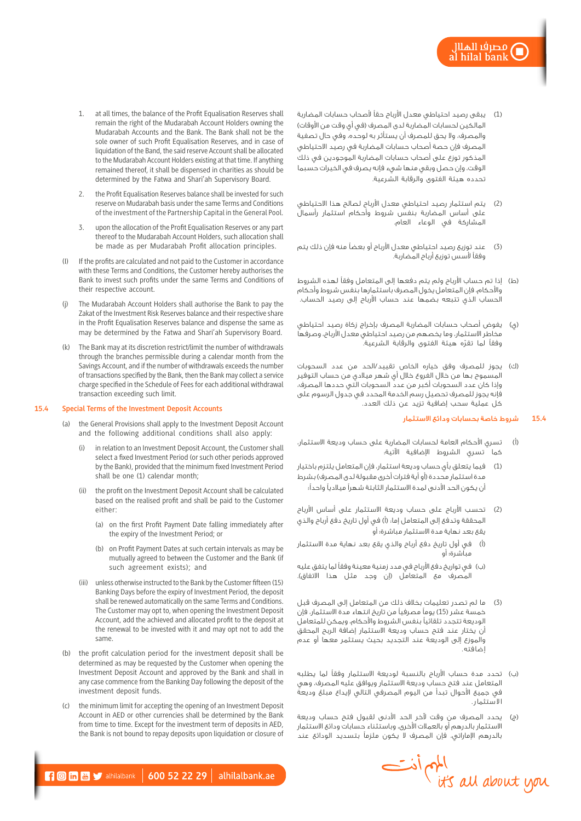- )1( يبقى رصيد احتياطي معدل األرباح حقًا ألصحاب حسابات المضاربة المالكين لحسابات المضاربة لدى المصرف (في أي وقت من الأوقات) والمصرف، وال يحق للمصرف أن يستأثر به لوحده، وفي حال تصفية المصرف فإن حصة أصحاب حسابات المضاربة في رصيد االحتياطي المذكور توزع على أصحاب حسابات المضاربة الموجودين في ذلك الوقت، وإن حصل وبقي منها شيء فإنه يصرف في الخيرات حسبما تحدده هيئة الفتوى والرقابة الشرعية.
- )2( يتم استثمار رصيد احتياطي معدل األرباح لصالح هذا االحتياطي على أساس المضاربة بنفس شروط وأحكام استثمار رأسمال المشاركة في الوعاء العام.
- )3( عند توزيع رصيد احتياطي معدل األرباح أو بعضًا منه فإن ذلك يتم وفقًا ألسس توزيع أرباح المضاربة.
- (ط) إذا تم حساب الأرباح ولم يتم دفعها إلى المتعامل وفقاً لهذه الشروط واألحكام، فإن المتعامل يخول المصرف باستثمارها بنفس شروط وأحكام الحساب الذي تتبعه بضمها عند حساب األرباح إلى رصيد الحساب.
- )ي( يفوض أصحاب حسابات المضاربة المصرف بإخراج زكاة رصيد احتياطي مخاطر االستثمار، وما يخصهم من رصيد احتياطي معدل األرباح، وصرفها ّ وفقًا لما تقره هيئة الفتوى والرقابة الشرعية.
- )ك( يجوز للمصرف وفق خياره الخاص تقييد/الحد من عدد السحوبات المسموح بها من خالل الفروع خالل أي شهر ميالدي من حساب التوفير وإذا كان عدد السحوبات أكبر من عدد السحوبات التي حددها المصرف، فإنه يجوز للمصرف تحصيل رسم الخدمة المحدد في جدول الرسوم على كل عملية سحب إضافية تزيد عن ذلك العدد.

# **15.4** شروط خاصة بحسابات ودائع االستثمار

- )أ( تسري األحكام العامة لحسابات المضاربة على حساب وديعة االستثمار، كما تسري الشروط اإلضافية اآلتية:
- )1( فيما يتعلق بأي حساب وديعة استثمار، فإن المتعامل يلتزم باختيار مدة استثمار محددة (أو أية فترات أخرى مقبولة لدى المصرف) بشرط أن يكون الحد األدنى لمدة االستثمار الثابتة شهرًا ميالديًا واحدًا؛
- )2( تحسب األرباح على حساب وديعة االستثمار على أساس األرباح المحققة وتدفع إلى المتعامل إما: (أ) في أول تاريخ دفع أرباح والذي يقع بعد نهاية مدة االستثمار مباشرة؛ أو
- )أ( في أول تاريخ دفع أرباح والذي يقع بعد نهاية مدة االستثمار مباشرة؛ أو
- )ب( في تواريخ دفع األرباح في مدد زمنية معينة وفقًا لما يتفق عليه المصرف مع المتعامل (إن وجد مثل هذا الاتفاق).
- )3( ما لم تصدر تعليمات بخالف ذلك من المتعامل إلى المصرف قبل خمسة عشر (15) يوماً مصرفياً من تاريخ انتهاء مدة الاستثمار، فإن الوديعة تتجدد تلقائيًا بنفس الشروط واألحكام، ويمكن للمتعامل أن يختار عند فتح حساب وديعة االستثمار إضافة الربح المحقق والموزع إلى الوديعة عند التجديد بحيث يستثمر معها أو عدم إضافته.
- )ب( تحدد مدة حساب األرباح بالنسبة لوديعة االستثمار وفقًا لما يطلبه المتعامل عند فتح حساب وديعة االستثمار ويوافق عليه المصرف، وهي في جميع األحوال تبدأ من اليوم المصرفي التالي إليداع مبلغ وديعة االستثمار.
- )ج( يحدد المصرف من وقت آلخر الحد األدنى لقبول فتح حساب وديعة االستثمار بالدرهم أو بالعمالت األخرى، وباستثناء حسابات ودائع االستثمار بالدرهم اإلماراتي، فإن المصرف ال يكون ملزمًا بتسديد الودائع عند



- 1. at all times, the balance of the Profit Equalisation Reserves shall remain the right of the Mudarabah Account Holders owning the Mudarabah Accounts and the Bank. The Bank shall not be the sole owner of such Profit Equalisation Reserves, and in case of liquidation of the Band, the said reserve Account shall be allocated to the Mudarabah Account Holders existing at that time. If anything remained thereof, it shall be dispensed in charities as should be determined by the Fatwa and Shari'ah Supervisory Board.
- 2. the Profit Equalisation Reserves balance shall be invested for such reserve on Mudarabah basis under the same Terms and Conditions of the investment of the Partnership Capital in the General Pool.
- 3. upon the allocation of the Profit Equalisation Reserves or any part thereof to the Mudarabah Account Holders, such allocation shall be made as per Mudarabah Profit allocation principles.
- (I) If the profits are calculated and not paid to the Customer in accordance with these Terms and Conditions, the Customer hereby authorises the Bank to invest such profits under the same Terms and Conditions of their respective account.
- The Mudarabah Account Holders shall authorise the Bank to pay the Zakat of the Investment Risk Reserves balance and their respective share in the Profit Equalisation Reserves balance and dispense the same as may be determined by the Fatwa and Shari'ah Supervisory Board.
- The Bank may at its discretion restrict/limit the number of withdrawals through the branches permissible during a calendar month from the Savings Account, and if the number of withdrawals exceeds the number of transactions specified by the Bank, then the Bank may collect a service charge specified in the Schedule of Fees for each additional withdrawal transaction exceeding such limit.

# **15.4 Special Terms of the Investment Deposit Accounts**

- (a) the General Provisions shall apply to the Investment Deposit Account and the following additional conditions shall also apply:
	- in relation to an Investment Deposit Account, the Customer shall select a fixed Investment Period (or such other periods approved by the Bank), provided that the minimum fixed Investment Period shall be one (1) calendar month;
	- (ii) the profit on the Investment Deposit Account shall be calculated based on the realised profit and shall be paid to the Customer either:
		- (a) on the first Profit Payment Date falling immediately after the expiry of the Investment Period; or
		- (b) on Profit Payment Dates at such certain intervals as may be mutually agreed to between the Customer and the Bank (if such agreement exists); and
	- (iii) unless otherwise instructed to the Bank by the Customer fifteen (15) Banking Days before the expiry of Investment Period, the deposit shall be renewed automatically on the same Terms and Conditions. The Customer may opt to, when opening the Investment Deposit Account, add the achieved and allocated profit to the deposit at the renewal to be invested with it and may opt not to add the same.
- (b) the profit calculation period for the investment deposit shall be determined as may be requested by the Customer when opening the Investment Deposit Account and approved by the Bank and shall in any case commence from the Banking Day following the deposit of the investment deposit funds.
- (c) the minimum limit for accepting the opening of an Investment Deposit Account in AED or other currencies shall be determined by the Bank from time to time. Except for the investment term of deposits in AED, the Bank is not bound to repay deposits upon liquidation or closure of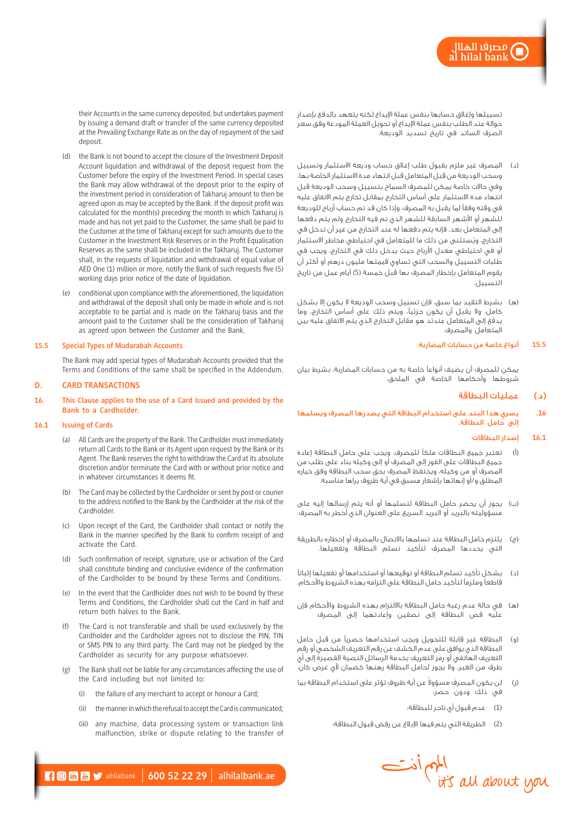تسييلها وإغالق حسابها بنفس عملة اإليداع لكنه يتعهد بالدفع بإصدار حوالة عند الطلب بنفس عملة اإليداع أو تحويل العملة المودعة وفق سعر الصرف السائد في تاريخ تسديد الوديعة.

- )د( المصرف غير ملزم بقبول طلب إغالق حساب وديعة االستثمار وتسييل وسحب الوديعة من قبل المتعامل قبل انتهاء مدة االستثمار الخاصة بها، وفي حاالت خاصة يمكن للمصرف السماح بتسييل وسحب الوديعة قبل انتهاء مدة االستثمار على أساس التخارج بمقابل تخارج يتم االتفاق عليه في وقته وفقًا لما يقبل به المصرف، وإذا كان قد تم حساب أرباح للوديعة للشهر أو األشهر السابقة للشهر الذي تم فيه التخارج ولم يتم دفعها إلى المتعامل بعد، فإنه يتم دفعها له عند التخارج من غير أن تدخل في ُ التخارج، ويستثنى من ذلك ما للمتعامل في احتياطي مخاطر االستثمار أو في احتياطي معدل الأرباح حيث يدخل ذلك في التخارج، ويجب في طلبات التسييل والسحب التي تساوي قيمتها مليون درهم أو أكثر أن يقوم المتعامل بإخطار المصرف بها قبل خمسة (5) أيام عمل من تاريخ التسييل.
- (ه) بشرط التقيد بما سبق، فإن تسييل وسحب الوديعة لا يكون إلا بشكل كامل، وال يقبل أن يكون جزئيًا، ويتم ذلك على أساس التخارج، وما يدفع إلى المتعامل عندئذ هو مقابل التخارج الذي يتم االتفاق عليه بين المتعامل والمصرف.

# **15.5** أنواع خاصة من حسابات المضاربة:

يمكن للمصرف أن يضيف أنواعًا خاصة به من حسابات المضاربة، بشرط بيان شروطها وأحكامها الخاصة في الملحق.

# )د( عمليات البطاقة

**.16** يسري هذا البند على استخدام البطاقة التي يصدرها المصرف ويسلمها إلى حامل البطاقة.

#### **16.1** إصدار البطاقات

- )أ( تعتبر جميع البطاقات ملكًا للمصرف، ويجب على حامل البطاقة إعادة جميع البطاقات على الفور إلى المصرف أو إلى وكيله بناء على طلب من المصرف أو من وكيله، ويحتفظ المصرف بحق سحب البطاقة وفق خياره المطلق و/أو إنهائها بإشعار مسبق في أية ظروف يراها مناسبة.
- )ب( يجوز أن يحضر حامل البطاقة لتسلمها أو أنه يتم إرسالها إليه على مسؤوليته بالبريد أو البريد السريع على العنوان الذي أخطر به المصرف.
- )ج( يلتزم حامل البطاقة عند تسلمها باالتصال بالمصرف أو إخطاره بالطريقة التي يحددها المصرف لتأكيد تسلم البطاقة وتفعيلها.
- )د( يشكل تأكيد تسلم البطاقة أو توقيعها أو استخدامها أو تفعيلها إثباتًا قاطعًا وملزمًا لتأكيد حامل البطاقة على التزامه بهذه الشروط واألحكام.
- )هـ( في حالة عدم رغبة حامل البطاقة بااللتزام بهذه الشروط واألحكام فإن عليه قص البطاقة إلى نصفين وإعادتهما إلى المصرف.
- )و( البطاقة غير قابلة للتحويل ويجب استخدامها حصريًا من قبل حامل البطاقة الذي يوافق على عدم الكشف عن رقم التعريف الشخصي أو رقم التعريف الهاتفي أو رمز التعريف بخدمة الرسائل النصية القصيرة إلى أي طرف من الغير، وال يجوز لحامل البطاقة رهنها كضمان ألي غرض كان.
- (ز) لن يكون المصرف مسؤولا عن أية ظروف تؤثر على استخدام البطاقة بما في ذلك ودون حصر:
	- )1( عدم قبول أي تاجر للبطاقة؛
	- )2( الطريقة التي يتم فيها اإلبالغ عن رفض قبول البطاقة؛



their Accounts in the same currency deposited, but undertakes payment by issuing a demand draft or transfer of the same currency deposited at the Prevailing Exchange Rate as on the day of repayment of the said deposit.

- (d) the Bank is not bound to accept the closure of the Investment Deposit Account liquidation and withdrawal of the deposit request from the Customer before the expiry of the Investment Period. In special cases the Bank may allow withdrawal of the deposit prior to the expiry of the investment period in consideration of Takharuj amount to then be agreed upon as may be accepted by the Bank. If the deposit profit was calculated for the month(s) preceding the month in which Takharuj is made and has not yet paid to the Customer, the same shall be paid to the Customer at the time of Takharuj except for such amounts due to the Customer in the Investment Risk Reserves or in the Profit Equalisation Reserves as the same shall be included in the Takharuj. The Customer shall, in the requests of liquidation and withdrawal of equal value of AED One (1) million or more, notify the Bank of such requests five (5) working days prior notice of the date of liquidation.
- (e) conditional upon compliance with the aforementioned, the liquidation and withdrawal of the deposit shall only be made in whole and is not acceptable to be partial and is made on the Takharuj basis and the amount paid to the Customer shall be the consideration of Takharuj as agreed upon between the Customer and the Bank.

# **15.5 Special Types of Mudarabah Accounts**

The Bank may add special types of Mudarabah Accounts provided that the Terms and Conditions of the same shall be specified in the Addendum.

#### **D. CARD TRANSACTIONS**

**16. This Clause applies to the use of a Card issued and provided by the Bank to a Cardholder.**

#### **16.1 Issuing of Cards**

- (a) All Cards are the property of the Bank. The Cardholder must immediately return all Cards to the Bank or its Agent upon request by the Bank or its Agent. The Bank reserves the right to withdraw the Card at its absolute discretion and/or terminate the Card with or without prior notice and in whatever circumstances it deems fit.
- (b) The Card may be collected by the Cardholder or sent by post or courier to the address notified to the Bank by the Cardholder at the risk of the Cardholder.
- (c) Upon receipt of the Card, the Cardholder shall contact or notify the Bank in the manner specified by the Bank to confirm receipt of and activate the Card.
- (d) Such confirmation of receipt, signature, use or activation of the Card shall constitute binding and conclusive evidence of the confirmation of the Cardholder to be bound by these Terms and Conditions.
- (e) In the event that the Cardholder does not wish to be bound by these Terms and Conditions, the Cardholder shall cut the Card in half and return both halves to the Bank.
- The Card is not transferable and shall be used exclusively by the Cardholder and the Cardholder agrees not to disclose the PIN, TIN or SMS PIN to any third party. The Card may not be pledged by the Cardholder as security for any purpose whatsoever.
- The Bank shall not be liable for any circumstances affecting the use of the Card including but not limited to:
	- (i) the failure of any merchant to accept or honour a Card;
	- (ii) the manner in which the refusal to accept the Card is communicated;
	- (iii) any machine, data processing system or transaction link malfunction, strike or dispute relating to the transfer of

 $\blacksquare$   $\blacksquare$   $\blacksquare$   $\blacksquare$  alhilalbank | 600 52 22 29 | alhilalbank.ae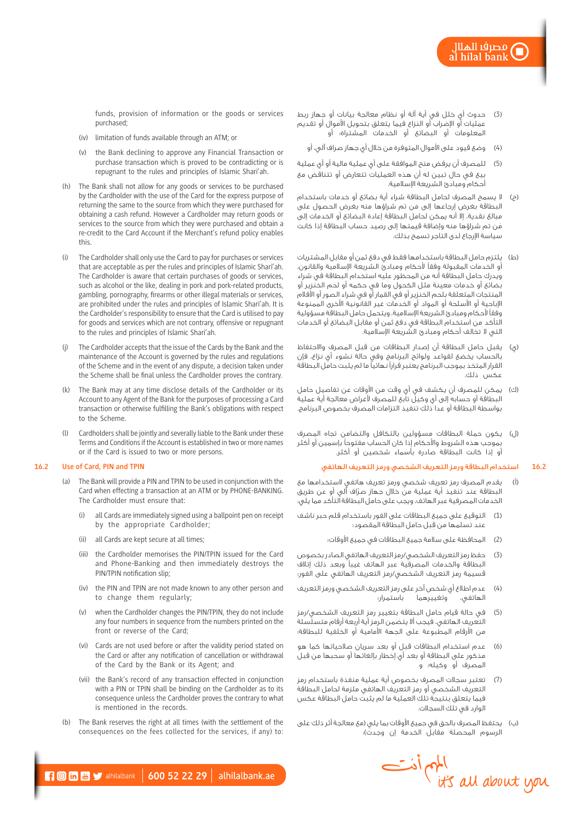funds, provision of information or the goods or services purchased;

- (iv) limitation of funds available through an ATM; or
- (v) the Bank declining to approve any Financial Transaction or purchase transaction which is proved to be contradicting or is repugnant to the rules and principles of Islamic Shari'ah.
- (h) The Bank shall not allow for any goods or services to be purchased by the Cardholder with the use of the Card for the express purpose of returning the same to the source from which they were purchased for obtaining a cash refund. However a Cardholder may return goods or services to the source from which they were purchased and obtain a re-credit to the Card Account if the Merchant's refund policy enables this.
- (i) The Cardholder shall only use the Card to pay for purchases or services that are acceptable as per the rules and principles of Islamic Shari'ah. The Cardholder is aware that certain purchases of goods or services, such as alcohol or the like, dealing in pork and pork-related products, gambling, pornography, firearms or other illegal materials or services, are prohibited under the rules and principles of Islamic Shari'ah. It is the Cardholder's responsibility to ensure that the Card is utilised to pay for goods and services which are not contrary, offensive or repugnant to the rules and principles of Islamic Shari'ah.
- The Cardholder accepts that the issue of the Cards by the Bank and the maintenance of the Account is governed by the rules and regulations of the Scheme and in the event of any dispute, a decision taken under the Scheme shall be final unless the Cardholder proves the contrary.
- (k) The Bank may at any time disclose details of the Cardholder or its Account to any Agent of the Bank for the purposes of processing a Card transaction or otherwise fulfilling the Bank's obligations with respect to the Scheme.
- (l) Cardholders shall be jointly and severally liable to the Bank under these Terms and Conditions if the Account is established in two or more names or if the Card is issued to two or more persons.

# **16.2 Use of Card, PIN and TPIN**

- (a) The Bank will provide a PIN and TPIN to be used in conjunction with the Card when effecting a transaction at an ATM or by PHONE-BANKING. The Cardholder must ensure that:
	- (i) all Cards are immediately signed using a ballpoint pen on receipt by the appropriate Cardholder;
	- (ii) all Cards are kept secure at all times;
	- (iii) the Cardholder memorises the PIN/TPIN issued for the Card and Phone-Banking and then immediately destroys the PIN/TPIN notification slip;
	- (iv) the PIN and TPIN are not made known to any other person and to change them regularly;
	- when the Cardholder changes the PIN/TPIN, they do not include any four numbers in sequence from the numbers printed on the front or reverse of the Card;
	- (vi) Cards are not used before or after the validity period stated on the Card or after any notification of cancellation or withdrawal of the Card by the Bank or its Agent; and
	- (vii) the Bank's record of any transaction effected in conjunction with a PIN or TPIN shall be binding on the Cardholder as to its consequence unless the Cardholder proves the contrary to what is mentioned in the records.
- (b) The Bank reserves the right at all times (with the settlement of the consequences on the fees collected for the services, if any) to:
- (3) حدوث أي خلل في أية آلة أو نظام معالجة بيانات أو جهاز ربط عمليات أو اإلضراب أو النزاع فيما يتعلق بتحويل األموال أو تقديم المعلومات أو البضائع أو الخدمات المشتراة؛ أو
	- )4( وضع قيود على األموال المتوفرة من خالل أي جهاز صراف آلي، أو
- )5( للمصرف أن يرفض منح الموافقة على أي عملية مالية أو أي عملية بيع في حال تبين له أن هذه العمليات تتعارض أو تتناقض مع أحكام ومبادئ الشريعة اإلسالمية.
- )ح( ال يسمح المصرف لحامل البطاقة شراء أية بضائع أو خدمات باستخدام َ البطاقة بغرض إرجاعها إلى من تم شراؤها منه بغرض الحصول على مبالغ نقدية، إال أنه يمكن لحامل البطاقة إعادة البضائع أو الخدمات إلى َمن تم شراؤها منه وإضافة قيمتها إلى رصيد حساب البطاقة إذا كانت سياسة اإلرجاع لدى التاجر تسمح بذلك.
- )ط( يلتزم حامل البطاقة باستخدامها فقط في دفع ثمن أو مقابل المشتريات أو الخدمات المقبولة وفقًا ألحكام ومبادئ الشريعة اإلسالمية والقانون، ويدرك حامل البطاقة أنه من المحظور عليه استخدام البطاقة في شراء بضائع أو خدمات معينة مثل الكحول وما في حكمه أو لحم الخنزير أو المنتجات المتعلقة بلحم الخنزير أو في القمار أو في شراء الصور أو األفالم اإلباحية أو األسلحة أو المواد أو الخدمات غير القانونية األخرى الممنوعة وفقًا ألحكام ومبادئ الشريعة اإلسالمية، ويتحمل حامل البطاقة مسؤولية التأكد من استخدام البطاقة في دفع ثمن أو مقابل البضائع أو الخدمات التي ال تخالف أحكام ومبادئ الشريعة اإلسالمية.
- )ي( يقبل حامل البطاقة أن إصدار البطاقات من قبل المصرف واالحتفاظ بالحساب يخضع لقواعد ولوائح البرنامج وفي حالة نشوء أي نزاع، فإن القرار المتخذ بموجب البرنامج يعتبر قرارًا نهائيًا ما لم يثبت حامل البطاقة عكس ذلك.
- )ك( يمكن للمصرف أن يكشف في أي وقت من األوقات عن تفاصيل حامل البطاقة أو حسابه إلى أي وكيل تابع للمصرف ألغراض معالجة أية عملية بواسطة البطاقة أو عدا ذلك تنفيذ التزامات المصرف بخصوص البرنامج.
- )ل( يكون حملة البطاقات مسؤولين بالتكافل والتضامن تجاه المصرف بموجب هذه الشروط واألحكام إذا كان الحساب مفتوحًا بإسمين أو أكثر أو إذا كانت البطاقة صادرة بأسماء شخصين أو أكثر.

# **16.2** استخدام البطاقة ورمز التعريف الشخصي ورمز التعريف الهاتفي

- )أ( يقدم المصرف رمز تعريف شخصي ورمز تعريف هاتفي الستخدامها مع ّ البطاقة عند تنفيذ أية عملية من خالل جهاز صراف آلي أو عن طريق الخدمات المصرفية عبر الهاتف، ويجب على حامل البطاقة التأكد مما يلي:
- )1( التوقيع على جميع البطاقات على الفور باستخدام قلم حبر ناشف ِ عند تسلمها من قبل حامل البطاقة المقصود؛
	- )2( المحافظة على سالمة جميع البطاقات في جميع األوقات؛
- )3( حفظ رمز التعريف الشخصي/رمز التعريف الهاتفي الصادر بخصوص البطاقة والخدمات المصرفية عبر الهاتف غيبًا وبعد ذلك إتالف قسيمة رمز التعريف الشخصي/رمز التعريف الهاتفي على الفور؛
- )4( عدم اطالع أي شخص آخر على رمز التعريف الشخصي ورمز التعريف الهاتفي، وتغييرهما باستمرار؛
- )5( في حالة قيام حامل البطاقة بتغيير رمز التعريف الشخصي/رمز التعريف الهاتفي، فيجب أال يتضمن الرمز أية أربعة أرقام متسلسلة من الأرقام المطبوعة على الجهة الأمامية أو الخلفية للبطاقة؛
- )6( عدم استخدام البطاقات قبل أو بعد سريان صالحياتها كما هو مذكور على البطاقة أو بعد أي إخطار بإلغائها أو سحبها من قبل المصرف أو وكيله؛ و
- )7( تعتبر سجالت المصرف بخصوص أية عملية منفذة باستخدام رمز التعريف الشخصي أو رمز التعريف الهاتفي ملزمة لحامل البطاقة فيما يتعلق بنتيجة تلك العملية ما لم يثبت حامل البطاقة عكس الوارد في تلك السجالت.
- (ب) يحتفظ المصرف بالحق في جميع الأوقات بما يلي (مع معالجة أثر ذلك على الرسوم المحصلة مقابلٌ الخدمة إن وجدت).

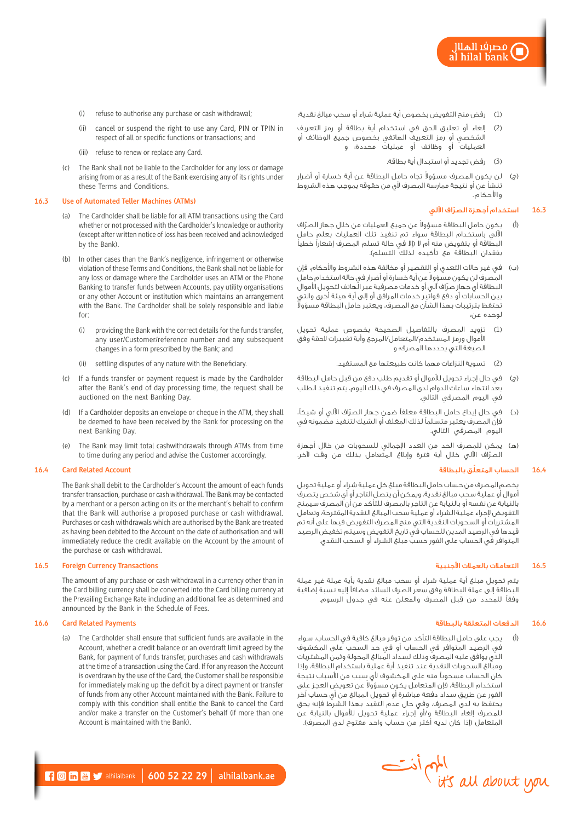- ِ مصرفًا الھلال al hilal bank
- )1( رفض منح التفويض بخصوص أية عملية شراء أو سحب مبالغ نقدية؛
	- )2( إلغاء أو تعليق الحق في استخدام أية بطاقة أو رمز التعريف الشخصي أو رمز التعريف الهاتفي بخصوص جميع الوظائف أو العمليات أو وظائف أو عمليات محددة؛ و
		- )3( رفض تجديد أو استبدال أية بطاقة.
	- (ج) لن يكون المصرف مسؤولا تجاه حامل البطاقة عن أية خسارة أو أضرار تنشأ عن أو نتيجة ممارسة المصرف ألي من حقوقه بموجب هذه الشروط واألحكام.

# **16.3** ّ استخدام أجهزة الصراف اآللي

- (أ) يكون حامل البطاقة مسؤولا عن جميع العمليات من خلال جهاز الصرّاف اآللي باستخدام البطاقة سواء تم تنفيذ تلك العمليات بعلم حامل البطاقة أو بتفويض منه أم ال )إال في حالة تسلم المصرف إشعارًا خطيًا بفقدان البطاقة مع تأكيده لذلك التسلم(.
- )ب( في غير حاالت التعدي أو التقصير أو مخالفة هذه الشروط واألحكام، فإن لمصرف لن يكون مسؤولا عن أية خسارة أو أضرار في حالة استخدام حامل ّ البطاقة أي جهاز صراف آلي أو خدمات مصرفية عبر الهاتف لتحويل األموال بين الحسابات أو دفع فواتير خدمات المرافق أو إلى أية هيئة أخرى والتي تحتفظ بترتيبات بهذا الشأن مع المصرف، ويعتبر حامل البطاقة مسؤوال لوحده عن:
- )1( تزويد المصرف بالتفاصيل الصحيحة بخصوص عملية تحويل األموال ورمز المستخدم/المتعامل/المرجع وأية تغييرات الحقة وفق الصيغة التي يحددها المصرف؛ و
	- )2( تسوية النزاعات مهما كانت طبيعتها مع المستفيد.
- )ج( في حال إجراء تحويل لألموال أو تقديم طلب دفع من قبل حامل البطاقة بعد انتهاء ساعات الدوام لدى المصرف في ذلك اليوم، يتم تنفيذ الطلب في اليوم المصرفي التالي.
- )د( ّ في حال إيداع حامل البطاقة مغلفًا ضمن جهاز الصراف اآللي أو شيكًا، فإن المصرف يعتبر متسلمًا لذلك المغلف أو الشيك لتنفيذ مضمونه في اليوم المصرفي التالي.
- )هـ( يمكن للمصرف الحد من العدد اإلجمالي للسحوبات من خالل أجهزة ّ الصراف اآللي خالل أية فترة وإبالغ المتعامل بذلك من وقت آلخر.

#### **16.4** ّ الحساب المتعلق بالبطاقة

يخصم المصرف من حساب حامل البطاقة مبلغ كل عملية شراء أو عملية تحويل أموال أو عملية سحب مبالغ نقدية، ويمكن أن يتصل التاجر أو أي شخص يتصرف بالنيابة عن نفسه أو بالنيابة عن التاجر بالمصرف للتأكد من أن المصرف سيمنح التفويض إلجراء عملية الشراء أو عملية سحب المبالغ النقدية المقترحة، وتعامل المشتريات أو السحوبات النقدية التي منح المصرف التفويض فيها على أنه تم قيدها في الرصيد المدين للحساب في تاريخ التفويض وسيتم تخفيض الرصيد المتوافر في الحساب على الفور حسب مبلغ الشراء أو السحب النقدي.

#### **16.5** التعامالت بالعمالت األجنبية

يتم تحويل مبلغ أية عملية شراء أو سحب مبالغ نقدية بأية عملة غير عملة البطاقة إلى عملة البطاقة وفق سعر الصرف السائد مضافًا إليه نسبة إضافية ِ وفقًا للمحدد من قبل المصرف والمعلن عنه في جدول الرسوم.

#### **16.6** الدفعات المتعلقة بالبطاقة

)أ( يجب على حامل البطاقة التأكد من توفر مبالغ كافية في الحساب، سواء في الرصيد المتوافر في الحساب أو في حد السحب على المكشوف الذي يوافق عليه المصرف وذلك لسداد المبالغ المحولة وثمن المشتريات ومبالغ السحوبات النقدية عند تنفيذ أية عملية باستخدام البطاقة، وإذا كان الحساب مسحوبًا منه على المكشوف ألي سبب من األسباب نتيجة ستخدام البطاقة، فإن المتعامل يكون مسؤولا عن تعويض العجز على الفور عن طريق سداد دفعة مباشرة أو تحويل المبالغ من أي حساب آخر يحتفظ به لدى المصرف، وفي حال عدم التقيد بهذا الشرط فإنه يحق للمصرف إلغاء البطاقة و/أو إجراء عملية تحويل لألموال بالنيابة عن المتعامل (إذا كان لديه أكثر من حساب واحد مفتوح لدى المصرف).



- (ii) cancel or suspend the right to use any Card, PIN or TPIN in respect of all or specific functions or transactions; and
- (iii) refuse to renew or replace any Card.
- (c) The Bank shall not be liable to the Cardholder for any loss or damage arising from or as a result of the Bank exercising any of its rights under these Terms and Conditions.

#### **16.3 Use of Automated Teller Machines (ATMs)**

- (a) The Cardholder shall be liable for all ATM transactions using the Card whether or not processed with the Cardholder's knowledge or authority (except after written notice of loss has been received and acknowledged by the Bank).
- (b) In other cases than the Bank's negligence, infringement or otherwise violation of these Terms and Conditions, the Bank shall not be liable for any loss or damage where the Cardholder uses an ATM or the Phone Banking to transfer funds between Accounts, pay utility organisations or any other Account or institution which maintains an arrangement with the Bank. The Cardholder shall be solely responsible and liable for:
	- (i) providing the Bank with the correct details for the funds transfer, any user/Customer/reference number and any subsequent changes in a form prescribed by the Bank; and
	- (ii) settling disputes of any nature with the Beneficiary.
- (c) If a funds transfer or payment request is made by the Cardholder after the Bank's end of day processing time, the request shall be auctioned on the next Banking Day.
- (d) If a Cardholder deposits an envelope or cheque in the ATM, they shall be deemed to have been received by the Bank for processing on the next Banking Day.
- (e) The Bank may limit total cashwithdrawals through ATMs from time to time during any period and advise the Customer accordingly.

### **16.4 Card Related Account**

The Bank shall debit to the Cardholder's Account the amount of each funds transfer transaction, purchase or cash withdrawal. The Bank may be contacted by a merchant or a person acting on its or the merchant's behalf to confirm that the Bank will authorise a proposed purchase or cash withdrawal. Purchases or cash withdrawals which are authorised by the Bank are treated as having been debited to the Account on the date of authorisation and will immediately reduce the credit available on the Account by the amount of the purchase or cash withdrawal.

#### **16.5 Foreign Currency Transactions**

The amount of any purchase or cash withdrawal in a currency other than in the Card billing currency shall be converted into the Card billing currency at the Prevailing Exchange Rate including an additional fee as determined and announced by the Bank in the Schedule of Fees.

#### **16.6 Card Related Payments**

(a) The Cardholder shall ensure that sufficient funds are available in the Account, whether a credit balance or an overdraft limit agreed by the Bank, for payment of funds transfer, purchases and cash withdrawals at the time of a transaction using the Card. If for any reason the Account is overdrawn by the use of the Card, the Customer shall be responsible for immediately making up the deficit by a direct payment or transfer of funds from any other Account maintained with the Bank. Failure to comply with this condition shall entitle the Bank to cancel the Card and/or make a transfer on the Customer's behalf (if more than one Account is maintained with the Bank).

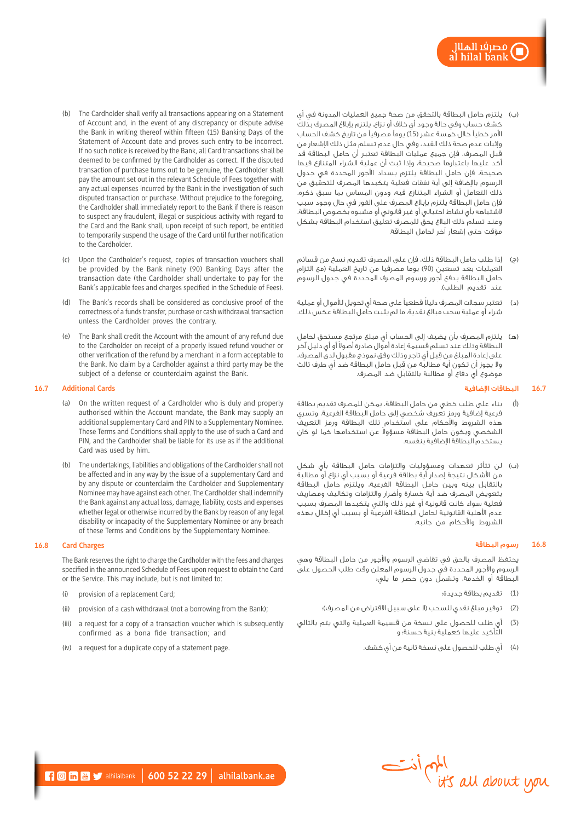- )ب( يلتزم حامل البطاقة بالتحقق من صحة جميع العمليات المدونة في أي كشف حساب وفي حالة وجود أي خالف أو نزاع، يلتزم بإبالغ المصرف بذلك الأمر خطياً خالل خمسة عشر (15) يوماً مصرفياً من تاريخ كشف الحساب وإثبات عدم صحة ذلك القيد، وفي حال عدم تسلم مثل ذلك اإلشعار من قبل المصرف، فإن جميع عمليات البطاقة تعتبر أن حامل البطاقة قد أكد عليها باعتبارها صحيحة، وإذا ثبت أن عملية الشراء المتنازع فيها صحيحة، فإن حامل البطاقة يلتزم بسداد األجور المحددة في جدول الرسوم باإلضافة إلى أية نفقات فعلية يتكبدها المصرف للتحقيق من ذلك التعامل أو الشراء المتنازع فيه، ودون المساس بما سبق ذكره، فإن حامل البطاقة يلتزم بإبالغ المصرف على الفور في حال وجود سبب الشتباهه بأي نشاط احتيالي أو غير قانوني أو مشبوه بخصوص البطاقة، وعند تسلم ذلك البالغ يحق للمصرف تعليق استخدام البطاقة بشكل مؤقت حتى إشعار آخر لحامل البطاقة.
- )ج( إذا طلب حامل البطاقة ذلك، فإن على المصرف تقديم نسخ من قسائم .<br>العمليات بعد تسعين (90) يوما مصرفيا من تاريخ العملية (مع التزام حامل البطاقة بدفع أجور ورسوم المصرف المحددة في جدول الرسوم عند تقديم الطلب).
- )د( ً تعتبر سجالت المصرف دليال قطعيًا على صحة أي تحويل لألموال أو عملية شراء أو عملية سحب مبالغ نقدية، ما لم يثبت حامل البطاقة عكس ذلك.
- )هـ( يلتزم المصرف بأن يضيف إلى الحساب أي مبلغ مرتجع مستحق لحامل لبطاقة وذلك عند تسلم قسيمة إعادة أموال صادرة أصولا أو أى دليل آخر ِ على إعادة المبلغ من قبل أي تاجر وذلك وفق نموذج مقبول لدى المصرف، ِ وال يجوز أن تكون أية مطالبة من قبل حامل البطاقة ضد أي طرف ثالث موضوع أي دفاع أو مطالبة بالتقابل ضد المصرف.

### **16.7** البطاقات اإلضافية

- )أ( بناء على طلب خطي من حامل البطاقة، يمكن للمصرف تقديم بطاقة فرعية إضافية ورمز تعريف شخصي إلى حامل البطاقة الفرعية، وتسري هذه الشروط واألحكام على استخدام تلك البطاقة ورمز التعريف لشخصي ويكون حامل البطاقة مسؤولا عن استخدامها كما لو كان يستخدم البطاقة اإلضافية بنفسه.
- )ب( لن تتأثر تعهدات ومسؤوليات والتزامات حامل البطاقة بأي شكل من األشكال نتيجة إصدار أية بطاقة فرعية أو بسبب أي نزاع أو مطالبة بالتقابل بينه وبين حامل البطاقة الفرعية، ويلتزم حامل البطاقة بتعويض المصرف ضد أية خسارة وأضرار والتزامات وتكاليف ومصاريف فعلية سواء كانت قانونية أو غير ذلك والتي يتكبدها المصرف بسبب عدم األهلية القانونية لحامل البطاقة الفرعية أو بسبب أي إخالل بهذه الشروط واألحكام من جانبه.

# **16.8** رسوم البطاقة

يحتفظ المصرف بالحق في تقاضي الرسوم واألجور من حامل البطاقة وهي الرسوم والأجور المحددة فتى جدول الرسوم المعلن وقت طلب الحصول على البطاقة أو الخدمة، وتشمل دون حصر ما يلي:

- )1( تقديم بطاقة جديدة؛
- (2) توفير مبلغ نقدي للسحب (لا على سبيل الاقتراض من المصرف)؛
- )3( أي طلب للحصول على نسخة من قسيمة العملية والتي يتم بالتالي التأكيد عليها كعملية بنية حسنة؛ و
	- )4( أي طلب للحصول على نسخة ثانية من أي كشف.
- (b) The Cardholder shall verify all transactions appearing on a Statement of Account and, in the event of any discrepancy or dispute advise the Bank in writing thereof within fifteen (15) Banking Days of the Statement of Account date and proves such entry to be incorrect. If no such notice is received by the Bank, all Card transactions shall be deemed to be confirmed by the Cardholder as correct. If the disputed transaction of purchase turns out to be genuine, the Cardholder shall pay the amount set out in the relevant Schedule of Fees together with any actual expenses incurred by the Bank in the investigation of such disputed transaction or purchase. Without prejudice to the foregoing, the Cardholder shall immediately report to the Bank if there is reason to suspect any fraudulent, illegal or suspicious activity with regard to the Card and the Bank shall, upon receipt of such report, be entitled to temporarily suspend the usage of the Card until further notification to the Cardholder.
- Upon the Cardholder's request, copies of transaction vouchers shall be provided by the Bank ninety (90) Banking Days after the transaction date (the Cardholder shall undertake to pay for the Bank's applicable fees and charges specified in the Schedule of Fees).
- (d) The Bank's records shall be considered as conclusive proof of the correctness of a funds transfer, purchase or cash withdrawal transaction unless the Cardholder proves the contrary.
- (e) The Bank shall credit the Account with the amount of any refund due to the Cardholder on receipt of a properly issued refund voucher or other verification of the refund by a merchant in a form acceptable to the Bank. No claim by a Cardholder against a third party may be the subject of a defense or counterclaim against the Bank.

### **16.7 Additional Cards**

- (a) On the written request of a Cardholder who is duly and properly authorised within the Account mandate, the Bank may supply an additional supplementary Card and PIN to a Supplementary Nominee. These Terms and Conditions shall apply to the use of such a Card and PIN, and the Cardholder shall be liable for its use as if the additional Card was used by him.
- (b) The undertakings, liabilities and obligations of the Cardholder shall not be affected and in any way by the issue of a supplementary Card and by any dispute or counterclaim the Cardholder and Supplementary Nominee may have against each other. The Cardholder shall indemnify the Bank against any actual loss, damage, liability, costs and expenses whether legal or otherwise incurred by the Bank by reason of any legal disability or incapacity of the Supplementary Nominee or any breach of these Terms and Conditions by the Supplementary Nominee.

# **16.8 Card Charges**

The Bank reserves the right to charge the Cardholder with the fees and charges specified in the announced Schedule of Fees upon request to obtain the Card or the Service. This may include, but is not limited to:

- (i) provision of a replacement Card;
- (ii) provision of a cash withdrawal (not a borrowing from the Bank);
- (iii) a request for a copy of a transaction voucher which is subsequently confirmed as a bona fide transaction; and
- (iv) a request for a duplicate copy of a statement page.

المهم أدنت<br>it's all about you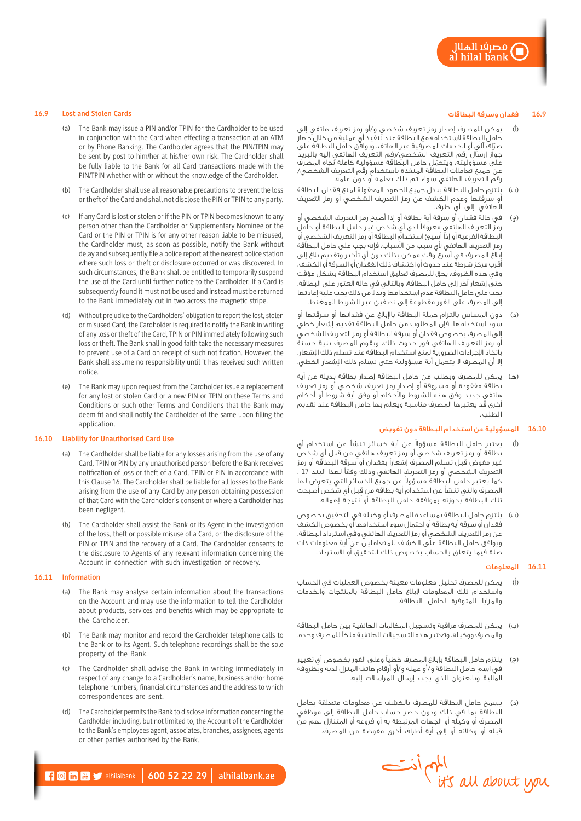### **16.9** فقدان وسرقة البطاقات

- )أ( يمكن للمصرف إصدار رمز تعريف شخصي و/أو رمز تعريف هاتفي إلى حامل البطاقة الستخدامه مع البطاقة عند تنفيذ أي عملية من خالل جهاز صرّاف الي او الخدمات المصرفية عبر الهاتف، ويوافق حامل البطاقة على<br>جواز إرسال رقم التعريف الشخصي/رقم التعريف الهاتفي إليه بالبريد على مسؤوليته، ويتحمّل حامل البطاقة مسؤولية كاملة تجاه المصرف<br>عن جميع تعاملات البطاقة المنفذة باستخدام رقم التعريف الشخصي/ رقم التعريف الهاتفي سواء تم ذلك بعلمه أو دون علمه.
- )ب( يلتزم حامل البطاقة ببذل جميع الجهود المعقولة لمنع فقدان البطاقة أو سرقتها وعدم الكشف عن رمز التعريف الشخصي أو رمز التعريف الهاتفي إلى أي طرف.
- )ج( في حالة فقدان أو سرقة أية بطاقة أو إذا أصبح رمز التعريف الشخصي أو رمز التعريف الهاتفي معروفًا لدى أي شخص غير حامل البطاقة أو حامل البطاقة الفرعية أو إذا أسيئ استخدام البطاقة أو رمز التعريف الشخصي أو رمز التعريف الهاتفى لأى سبب من الأسباب، فإنه يجب على حامل البطاقة إبالغ المصرف في أسرع وقت ممكن بذلك دون أي تأخير وتقديم بالغ إلى أقرب مركز شرطة عند حدوث أو اكتشاف ذلك الفقدان أو السرقة أو الكشف، وفي هذه الظروف، يحق للمصرف تعليق استخدام البطاقة بشكل مؤقت حتى إشعار آخر إلى حامل البطاقة، وبالتالي في حالة العثور على البطاقة، يجب على حامل البطاقة عدم استخدامها وبدلا من ذلك يجب عليه إعادتها إلى المصرف على الفور مقطوعة إلى نصفين عبر الشريط الممغنط.
- )د( دون المساس بالتزام حملة البطاقة باإلبالغ عن فقدانها أو سرقتها أو سوء استخدامها، فإن المطلوب من حامل البطاقة تقديم إشعار خطي إلى المصرف بخصوص فقدان أو سرقة البطاقة أو رمز التعريف الشخصي أو رمز التعريف الهاتفي فور حدوث ذلك، ويقوم المصرف بنية حسنة باتخاذ اإلجراءات الضرورية لمنع استخدام البطاقة عند تسلم ذلك اإلشعار، إال أن المصرف ال يتحمل أية مسؤولية حتى تسلم ذلك اإلشعار الخطي.
- يمكن للمصرف وبطلب من حامل البطاقة إصدار بطاقة بديلة عن أية بطاقة مفقودة أو مسروقة أو إصدار رمز تعريف شخصي أو رمز تعريف هاتفي جديد وفق هذه الشروط واألحكام أو وفق أية شروط أو أحكام أخرى قد يعتبرها المصرف مناسبة ويعلم بها حامل البطاقة عند تقديم ا لطلب .

# **16.10** المسؤولية عن استخدام البطاقة دون تفويض

- (أ) يعتبر حامل البطاقة مسؤولا عن أية خسائر تنشأ عن استخدام أي بطاقة أو رمز تعريف شخصي أو رمز تعريف هاتفي من قبل أي شخص غير مفوض قبل تسلم المصرف إشعارًا بفقدان أو سرقة البطاقة أو رمز التعريف الشخصي أو رمز التعريف الهاتفي وذلك وفقًا لهذا البند 17 ، كما يعتبر حامل البطاقة مسؤولاً عن جميع الخسائر التي يتعرض لها ِ المصرف والتي تنشأ عن استخدام أية بطاقة من قبل أي شخص أصبحت تلك البطاقة بحوزته بموافقة حامل البطاقة أو نتيجة إهماله.
- )ب( يلتزم حامل البطاقة بمساعدة المصرف أو وكيله في التحقيق بخصوص فقدان أو سرقة أية بطاقة أو احتمال سوء استخدامها أو بخصوص الكشف عن رمز التعريف الشخصي أو رمز التعريف الهاتفي وفي استرداد البطاقة، ويوافق حامل البطاقة على الكشف للمتعاملين عن أية معلومات ذات صلة فيما يتعلق بالحساب بخصوص ذلك التحقيق أو االسترداد.

### **16.11** المعلومات

- )أ( يمكن للمصرف تحليل معلومات معينة بخصوص العمليات في الحساب واستخدام تلك المعلومات إلبالغ حامل البطاقة بالمنتجات والخدمات والمزايا المتوفرة لحامل البطاقة.
- )ب( يمكن للمصرف مراقبة وتسجيل المكالمات الهاتفية بين حامل البطاقة والمصرف ووكيله، وتعتبر هذه التسجيالت الهاتفية ملكًا للمصرف وحده.
- )ج( يلتزم حامل البطاقة بإبالغ المصرف خطيًا وعلى الفور بخصوص أي تغيير في اسم حامل البطاقة و/أو عمله و/أو أرقام هاتف المنزل لديه وبظروفه المالية وبالعنوان الذي يجب إرسال المراسالت إليه.
- )د( يسمح حامل البطاقة للمصرف بالكشف عن معلومات متعلقة بحامل البطاقة بما في ذلك ودون حصر حساب حامل البطاقة إلى موظفي المصرف أو وكيله أو الجهات المرتبطة به أو فروعه أو المتنازل لهم من قبله أو وكالئه أو إلى أية أطراف أخرى مفوضة من المصرف.



#### **16.9 Lost and Stolen Cards**

- (a) The Bank may issue a PIN and/or TPIN for the Cardholder to be used in conjunction with the Card when effecting a transaction at an ATM or by Phone Banking. The Cardholder agrees that the PIN/TPIN may be sent by post to him/her at his/her own risk. The Cardholder shall be fully liable to the Bank for all Card transactions made with the PIN/TPIN whether with or without the knowledge of the Cardholder.
- (b) The Cardholder shall use all reasonable precautions to prevent the loss or theft of the Card and shall not disclose the PIN or TPIN to any party.
- If any Card is lost or stolen or if the PIN or TPIN becomes known to any person other than the Cardholder or Supplementary Nominee or the Card or the PIN or TPIN is for any other reason liable to be misused, the Cardholder must, as soon as possible, notify the Bank without delay and subsequently file a police report at the nearest police station where such loss or theft or disclosure occurred or was discovered. In such circumstances, the Bank shall be entitled to temporarily suspend the use of the Card until further notice to the Cardholder. If a Card is subsequently found it must not be used and instead must be returned to the Bank immediately cut in two across the magnetic stripe.
- (d) Without prejudice to the Cardholders' obligation to report the lost, stolen or misused Card, the Cardholder is required to notify the Bank in writing of any loss or theft of the Card, TPIN or PIN immediately following such loss or theft. The Bank shall in good faith take the necessary measures to prevent use of a Card on receipt of such notification. However, the Bank shall assume no responsibility until it has received such written notice.
- (e) The Bank may upon request from the Cardholder issue a replacement for any lost or stolen Card or a new PIN or TPIN on these Terms and Conditions or such other Terms and Conditions that the Bank may deem fit and shall notify the Cardholder of the same upon filling the application.

#### **16.10 Liability for Unauthorised Card Use**

- (a) The Cardholder shall be liable for any losses arising from the use of any Card, TPIN or PIN by any unauthorised person before the Bank receives notification of loss or theft of a Card, TPIN or PIN in accordance with this Clause 16. The Cardholder shall be liable for all losses to the Bank arising from the use of any Card by any person obtaining possession of that Card with the Cardholder's consent or where a Cardholder has been negligent.
- (b) The Cardholder shall assist the Bank or its Agent in the investigation of the loss, theft or possible misuse of a Card, or the disclosure of the PIN or TPIN and the recovery of a Card. The Cardholder consents to the disclosure to Agents of any relevant information concerning the Account in connection with such investigation or recovery.

#### **16.11 Information**

- (a) The Bank may analyse certain information about the transactions on the Account and may use the information to tell the Cardholder about products, services and benefits which may be appropriate to the Cardholder.
- (b) The Bank may monitor and record the Cardholder telephone calls to the Bank or to its Agent. Such telephone recordings shall be the sole property of the Bank.
- (c) The Cardholder shall advise the Bank in writing immediately in respect of any change to a Cardholder's name, business and/or home telephone numbers, financial circumstances and the address to which correspondences are sent.
- (d) The Cardholder permits the Bank to disclose information concerning the Cardholder including, but not limited to, the Account of the Cardholder to the Bank's employees agent, associates, branches, assignees, agents or other parties authorised by the Bank.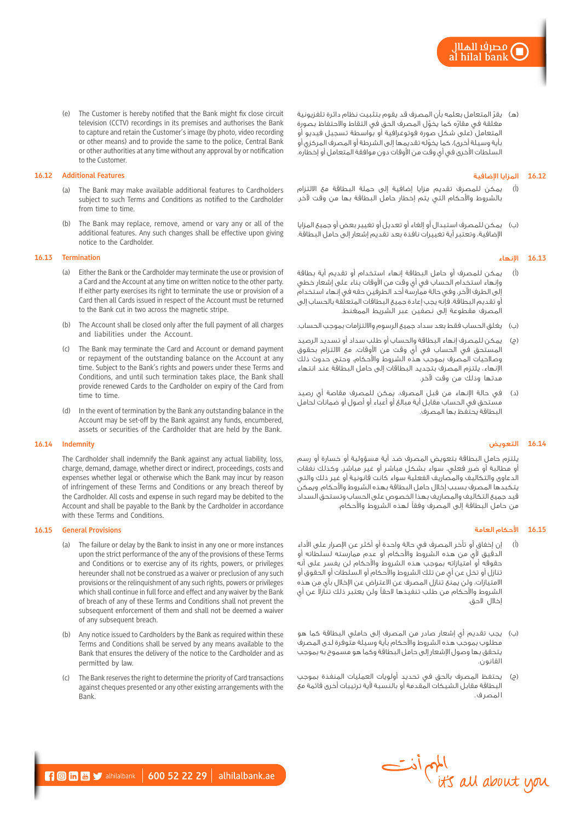(e) The Customer is hereby notified that the Bank might fix close circuit television (CCTV) recordings in its premises and authorises the Bank to capture and retain the Customer's image (by photo, video recording or other means) and to provide the same to the police, Central Bank or other authorities at any time without any approval by or notification to the Customer.

### **16.12 Additional Features**

- (a) The Bank may make available additional features to Cardholders subject to such Terms and Conditions as notified to the Cardholder from time to time.
- (b) The Bank may replace, remove, amend or vary any or all of the additional features. Any such changes shall be effective upon giving notice to the Cardholder.

## **16.13 Termination**

- (a) Either the Bank or the Cardholder may terminate the use or provision of a Card and the Account at any time on written notice to the other party. If either party exercises its right to terminate the use or provision of a Card then all Cards issued in respect of the Account must be returned to the Bank cut in two across the magnetic stripe.
- (b) The Account shall be closed only after the full payment of all charges and liabilities under the Account.
- (c) The Bank may terminate the Card and Account or demand payment or repayment of the outstanding balance on the Account at any time. Subject to the Bank's rights and powers under these Terms and Conditions, and until such termination takes place, the Bank shall provide renewed Cards to the Cardholder on expiry of the Card from time to time.
- (d) In the event of termination by the Bank any outstanding balance in the Account may be set-off by the Bank against any funds, encumbered, assets or securities of the Cardholder that are held by the Bank.

# **16.14 Indemnity**

The Cardholder shall indemnify the Bank against any actual liability, loss, charge, demand, damage, whether direct or indirect, proceedings, costs and expenses whether legal or otherwise which the Bank may incur by reason of infringement of these Terms and Conditions or any breach thereof by the Cardholder. All costs and expense in such regard may be debited to the Account and shall be payable to the Bank by the Cardholder in accordance with these Terms and Conditions.

# **16.15 General Provisions**

- (a) The failure or delay by the Bank to insist in any one or more instances upon the strict performance of the any of the provisions of these Terms and Conditions or to exercise any of its rights, powers, or privileges hereunder shall not be construed as a waiver or preclusion of any such provisions or the relinquishment of any such rights, powers or privileges which shall continue in full force and effect and any waiver by the Bank of breach of any of these Terms and Conditions shall not prevent the subsequent enforcement of them and shall not be deemed a waiver of any subsequent breach.
- (b) Any notice issued to Cardholders by the Bank as required within these Terms and Conditions shall be served by any means available to the Bank that ensures the delivery of the notice to the Cardholder and as permitted by law.
- (c) The Bank reserves the right to determine the priority of Card transactions against cheques presented or any other existing arrangements with the Bank.

(هـ) يقرّ المتعامل بعلمه بأن المصرف قد يقوم بتثبيت نظام دائرة تلفزيونية مغلقة في مقارّه كما يخوّل المصرف الحق في التقاط والاحتفاظ بصورة المتعامل (على شكل صورة فوتوغرافية أو بواسطة تسجيل فيديو أو بأية وسيلة أخرى)، كما يخوّله تقديمها إلى الشرطة أو المصرف المركزي أو السلطات الأخرى في أي وقت من الأوقات دون موافقة المتعامل أو إخطاره.

# **16.12** المزايا اإلضافية

- )أ( يمكن للمصرف تقديم مزايا إضافية إلى حملة البطاقة مع االلتزام بالشروط واألحكام التي يتم إخطار حامل البطاقة بها من وقت آلخر.
- )ب( يمكن للمصرف استبدال أو إلغاء أو تعديل أو تغيير بعض أو جميع المزايا اإلضافية، وتعتبر أية تغييرات نافذة بعد تقديم إشعار إلى حامل البطاقة.

### **16.13** اإلنهاء

- )أ( يمكن للمصرف أو حامل البطاقة إنهاء استخدام أو تقديم أية بطاقة وإنهاء استخدام الحساب في أي وقت من األوقات بناء على إشعار خطي إلى الطرف اآلخر، وفي حالة ممارسة أحد الطرفين حقه في إنهاء استخدام أو تقديم البطاقة، فإنه يجب إعادة جميع البطاقات المتعلقة بالحساب إلى المصرف مقطوعة إلى نصفين عبر الشريط الممغنط.
- )ب( يغلق الحساب فقط بعد سداد جميع الرسوم وااللتزامات بموجب الحساب.
- )ج( يمكن للمصرف إنهاء البطاقة والحساب أو طلب سداد أو تسديد الرصيد المستحق في الحساب في أي وقت من األوقات، مع االلتزام بحقوق وصالحيات المصرف بموجب هذه الشروط واألحكام، وحتى حدوث ذلك اإلنهاء، يلتزم المصرف بتجديد البطاقات إلى حامل البطاقة عند انتهاء مدتها وذلك من وقت آلخر.
- )د( في حالة اإلنهاء من قبل المصرف، يمكن للمصرف مقاصة أي رصيد مستحق في الحساب مقابل أية مبالغ أو أعباء أو أصول أو ضمانات لحامل البطاقة يحتفظ بها المصرف.

# **16.14** التعويض

يلتزم حامل البطاقة بتعويض المصرف ضد أية مسؤولية أو خسارة أو رسم أو مطالبة أو ضرر فعلي، سواء بشكل مباشر أو غير مباشر، وكذلك نفقات الدعاوى والتكاليف والمصاريف الفعلية سواء كانت قانونية أو غير ذلك والتي يتكبدها المصرف بسبب إخالل حامل البطاقة بهذه الشروط واألحكام. ويمكن قيد جميع التكاليف والمصاريف بهذا الخصوص على الحساب وتستحق السداد من حامل البطاقة إلى المصرف وفقًا لهذه الشروط واألحكام.

#### **16.15** األحكام العامة

- )أ( إن إخفاق أو تأخر المصرف في حالة واحدة أو أكثر عن اإلصرار على األداء الدقيق ألي من هذه الشروط واألحكام أو عدم ممارسته لسلطاته أو حقوقه أو امتيازاته بموجب هذه الشروط واألحكام لن يفسر على أنه تنازل أو تخل عن أي من تلك الشروط واألحكام أو السلطات أو الحقوق أو االمتيازات، ولن يمنع تنازل المصرف عن االعتراض عن اإلخالل بأي من هذه الشروط والأحكام من طلب تنفيذها لاحقاً ولن يعتبر ذلك تنازلا عن أي إخالل الحق.
- )ب( يجب تقديم أي إشعار صادر من المصرف إلى حاملي البطاقة كما هو مطلوب بموجب هذه الشروط واألحكام بأية وسيلة متوفرة لدى المصرف يتحقق بها وصول اإلشعار إلى حامل البطاقة وكما هو مسموح به بموجب القانون.
- )ج( يحتفظ المصرف بالحق في تحديد أولويات العمليات المنفذة بموجب البطاقة مقابل الشيكات المقدمة أو بالنسبة ألية ترتيبات أخرى قائمة مع ا لمصر ف .

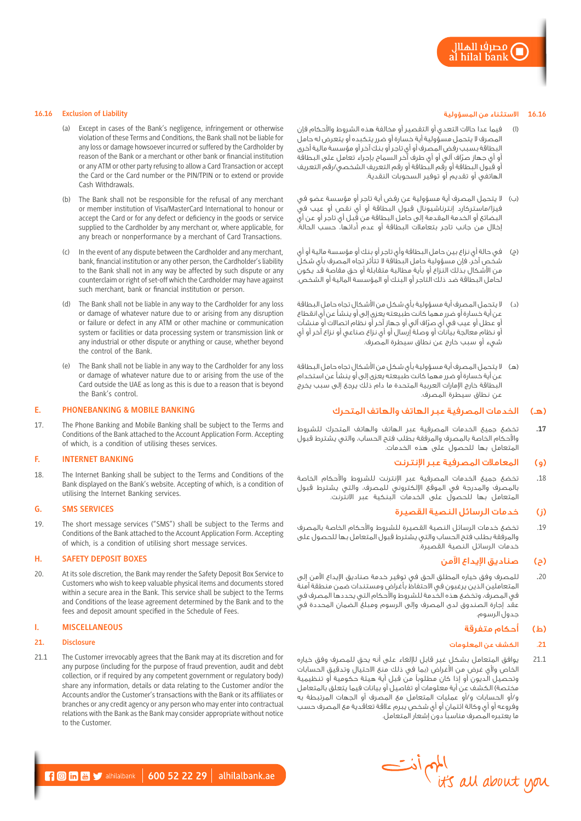# **16.16** االستثناء من المسؤولية

- )ا( فيما عدا حاالت التعدي أو التقصير أو مخالفة هذه الشروط واألحكام فإن المصرف ال يتحمل مسؤولية أية خسارة أو ضرر يتكبده أو يتعرض له حامل البطاقة بسبب رفض المصرف أو أي تاجر أو بنك آخر أو مؤسسة مالية أخرى ّ أو أي جهاز صراف آلي أو أي طرف آخر السماح بإجراء تعامل على البطاقة أو قبول البطاقة أو رقم البطاقة أو رقم التعريف الشخصي/رقم التعريف الهاتفي أو تقديم أو توفير السحوبات النقدية.
- )ب( ال يتحمل المصرف أية مسؤولية عن رفض أية تاجر أو مؤسسة عضو في فيزا/ماستركارد إنترناشيونال قبول البطاقة أو أي نقص أو عيب في ِ البضائع أو الخدمة المقدمة إلى حامل البطاقة من قبل أي تاجر أو عن أي إخالل من جانب تاجر بتعامالت البطاقة أو عدم أدائها، حسب الحالة.
- )ج( في حالة أي نزاع بين حامل البطاقة وأي تاجر أو بنك أو مؤسسة مالية أو أي شخص آخر، فإن مسؤولية حامل البطاقة الا تتأثر تجاه المصرف بأي شكل<br>شخص آخر، فإن مسؤولية حامل البطاقة الا تتأثر تجاه المصرف بأي شكل من األشكال بذلك النزاع أو بأية مطالبة متقابلة أو حق مقاصة قد يكون لحامل البطاقة ضد ذلك التاجر أو البنك أو المؤسسة المالية أو الشخص.
- )د( ال يتحمل المصرف أية مسؤولية بأي شكل من األشكال تجاه حامل البطاقة عن أية خسارة أو ضرر مهما كانت طبيعته يعزى إلى أو ينشأ عن أي انقطاع ّ أو عطل أو عيب في أي صراف آلي أو جهاز آخر أو نظام اتصاالت أو منشآت أو نظام معالجة بيانات أو وصلة إرسال أو أي نزاع صناعي أو نزاع آخر أو أي شيء أو سبب خارج عن نطاق سيطرة المصرف.
- (ه) لا يتحمل المصرف أية مسؤولية بأي شكل من الأشكال تجاه حامل البطاقة عن أية خسارة أو ضرر مهما كانت طبيعته يعزى إلى أو ينشأ عن استخدام البطاقة خارج اإلمارات العربية المتحدة ما دام ذلك يرجع إلى سبب يخرج عن نطاق سيطرة المصرف.

# )هـ( الخدمات المصرفية عبر الهاتف والهاتف المتحرك

.**17** تخضع جميع الخدمات المصرفية عبر الهاتف والهاتف المتحرك للشروط واألحكام الخاصة بالمصرف والمرفقة بطلب فتح الحساب، والتي يشترط قبول المتعامل بها للحصول على هذه الخدمات.

# )و( المعامالت المصرفية عبر اإلنترنت

18. تخضع جميع الخدمات المصرفية عبر الإنترنت للشروط والأحكام الخاصة بالمصرف والمدرجة في الموقع اإللكتروني للمصرف، والتي يشترط قبول المتعامل بها للحصول على الخدمات البنكية عبر االنترنت.

# )ز( خدمات الرسائل النصية القصيرة

19. تخضع خدمات الرسائل النصية القصيرة للشروط والأحكام الخاصة بالمصرف والمرفقة بطلب فتح الحساب والتي يشترط قبول المتعامل بها للحصول على خدمات الرسائل النصية القصيرة.

# )ح( صناديق اإليداع اآلمن

.20 للمصرف وفق خياره المطلق الحق في توفير خدمة صناديق اإليداع اآلمن إلى المتعاملين الذين يرغبون في االحتفاظ بأغراض ومستندات ضمن منطقة آمنة في المصرف، وتخضع هذه الخدمة للشروط واألحكام التي يحددها المصرف في عقد إجارة الصندوق لدى المصرف وإلى الرسوم ومبلغ الضمان المحددة في جدول الرسوم.

# (ط) أحكام متفرقة

# .**21** الكشف عن المعلومات

21.1 يوافق المتعامل بشكل غير قابل لإللغاء على أنه يحق للمصرف وفق خياره الخاص ولأي غرض من الأغراض (بما في ذلك منع الاحتيال وتدقيق الحسابات وتحصيل الديون أو إذا كان مطلوبًا من قبل أية هيئة حكومية أو تنظيمية مختصة) الكشف عن أية معلومات أو تفاصيل أو بيانات فيما يتعلق بالمتعامل و/أو الحسابات و/أو عمليات المتعامل مع المصرف أو الجهات المرتبطة به وفروعه أو أي وكالة ائتمان أو أي شخص يبرم عالقة تعاقدية مع المصرف حسب ما يعتبره المصرف مناسبًا دون إشعار المتعامل.



#### **16.16 Exclusion of Liability**

- (a) Except in cases of the Bank's negligence, infringement or otherwise violation of these Terms and Conditions, the Bank shall not be liable for any loss or damage howsoever incurred or suffered by the Cardholder by reason of the Bank or a merchant or other bank or financial institution or any ATM or other party refusing to allow a Card Transaction or accept the Card or the Card number or the PIN/TPIN or to extend or provide Cash Withdrawals.
- (b) The Bank shall not be responsible for the refusal of any merchant or member institution of Visa/MasterCard International to honour or accept the Card or for any defect or deficiency in the goods or service supplied to the Cardholder by any merchant or, where applicable, for any breach or nonperformance by a merchant of Card Transactions.
- (c) In the event of any dispute between the Cardholder and any merchant, bank, financial institution or any other person, the Cardholder's liability to the Bank shall not in any way be affected by such dispute or any counterclaim or right of set-off which the Cardholder may have against such merchant, bank or financial institution or person.
- (d) The Bank shall not be liable in any way to the Cardholder for any loss or damage of whatever nature due to or arising from any disruption or failure or defect in any ATM or other machine or communication system or facilities or data processing system or transmission link or any industrial or other dispute or anything or cause, whether beyond the control of the Bank.
- (e) The Bank shall not be liable in any way to the Cardholder for any loss or damage of whatever nature due to or arising from the use of the Card outside the UAE as long as this is due to a reason that is beyond the Bank's control.

### **E. PHONEBANKING & MOBILE BANKING**

17. The Phone Banking and Mobile Banking shall be subject to the Terms and Conditions of the Bank attached to the Account Application Form. Accepting of which, is a condition of utilising theses services.

### **F. INTERNET BANKING**

18. The Internet Banking shall be subject to the Terms and Conditions of the Bank displayed on the Bank's website. Accepting of which, is a condition of utilising the Internet Banking services.

### **G. SMS SERVICES**

19. The short message services ("SMS") shall be subject to the Terms and Conditions of the Bank attached to the Account Application Form. Accepting of which, is a condition of utilising short message services.

# **H. SAFETY DEPOSIT BOXES**

20. At its sole discretion, the Bank may render the Safety Deposit Box Service to Customers who wish to keep valuable physical items and documents stored within a secure area in the Bank. This service shall be subject to the Terms and Conditions of the lease agreement determined by the Bank and to the fees and deposit amount specified in the Schedule of Fees.

# **I. MISCELLANEOUS**

#### **21. Disclosure**

21.1 The Customer irrevocably agrees that the Bank may at its discretion and for any purpose (including for the purpose of fraud prevention, audit and debt collection, or if required by any competent government or regulatory body) share any information, details or data relating to the Customer and/or the Accounts and/or the Customer's transactions with the Bank or its affiliates or branches or any credit agency or any person who may enter into contractual relations with the Bank as the Bank may consider appropriate without notice to the Customer.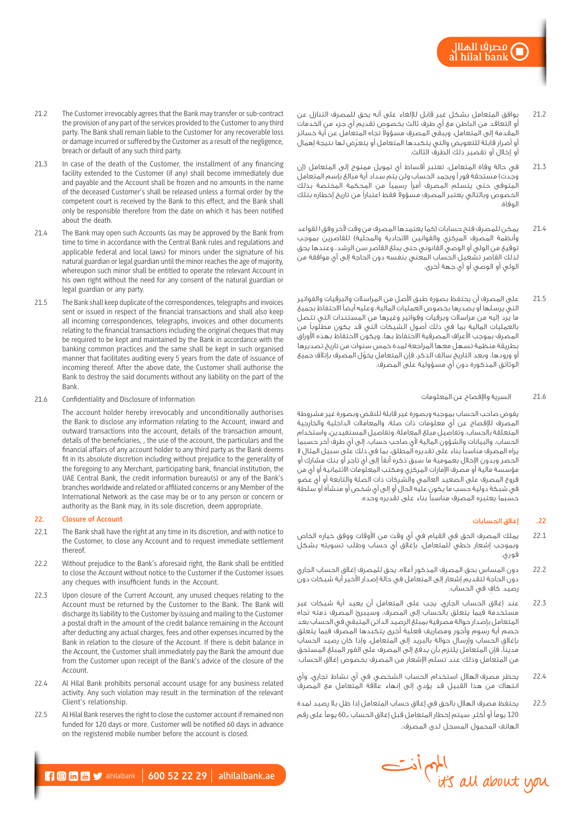- 21.2 يوافق المتعامل بشكل غير قابل لإللغاء على أنه يحق للمصرف التنازل عن أو التعاقد من الباطن مع أي طرف ثالث بخصوص تقديم أي جزء من الخدمات المقدمة إلى المتعامل، ويبقى المصرف مسؤولا تجاه المتعامل عن أية خسائر ّ أو أضرار قابلة للتعويض والتي يتكبدها المتعامل أو يتعرض لها نتيجة إهمال أو إخالل أو تقصير ذلك الطرف الثالث.
- 21.3 في حالة وفاة المتعامل، تعتبر أقساط أي تمويل ممنوح إلى المتعامل (إن وجدت) مستحقة فور اً ويجمد الحساب ولن يتم سداد أية مبالغ بإسم المتعامل المتوفى حتى يتسلم المصرف أمرًا رسميًا من المحكمة المختصة بذلك الخصوص وبالتالي يعتبر المصرف مسؤولا فقط اعتباراً من تاريخ إخطاره بتلك الوفاة.
- 21.4 هيكن للمصرف فتح حسابات (كما يعتمدها المصرف من وقت لآخر وفق ا لقواعد وأنظمة المصرف المركزي والقوانين الاتحادية والمحلية) للقاصرين بموجب توقيع من الولي أو الوصي القانوني حتى يبلغ القاصر سن الرشد، وعندها يحق لذلك القاصر تشغيل الحساب المعني بنفسه دون الحاجة إلى أي موافقة من الولي أو الوصي أو أي جهة أخرى.
- 21.5 على المصرف أن يحتفظ بصورة طبق األصل من المراسالت والبرقيات والفواتير التي يرسلها أو يصدرها بخصوص العمليات المالية، وعليه أيضًا االحتفاظ بجميع ما يرد إليه من مراسالت وبرقيات وفواتير وغيرها من المستندات التي تتصل بالعمليات المالية بما في ذلك أصول الشيكات التي قد يكون مطلوبًا من المصرف بموجب الأعراف المصرفية الاحتفاظ بها، ويكون الاحتفاظ بهذه الأوراق بطريقة منظمة تسهل معها المراجعة لمدة خمس سنوات من تاريخ تصديرها ّ أو ورودها، وبعد التاريخ سالف الذكر، فإن المتعامل يخول المصرف بإتالف جميع الوثائق المذكورة دون أي مسؤولية على المصرف.

### 21.6 السرية واإلفصاح عن المعلومات

يفوض صاحب الحساب بموجبه وبصورة غير قابلة للنقض وبصورة غير مشروطة المصرف لإلفصاح عن أي معلومات ذات صلة، والمعامالت الداخلية والخارجية المتعلقة بالحساب، وتفاصيل مبلغ المعاملة، وتفاصيل المستفيدين، واستخدام الحساب، والبيانات والشؤون المالية ألي صاحب حساب، إلى أي طرف آخر حسبما يراه المصرف مناسبًا بناء على تقديره المطلق، بما في ذلك على سبيل المثال ال الحصر وبدون اإلخالل بعمومية ما سبق ذكره آنفًا إلى أي تاجر أو بنك مشارك أو مؤسسة مالية أو مصرف اإلمارات المركزي ومكتب المعلومات االئتمانية أو أي من فروع المصرف على الصعيد العالمي والشركات ذات الصلة والتابعة أو أي عضو في شبكة دولية حسب ما يكون عليه الحال أو إلى أي شخص أو منشأة أو سلطة حسبما يعتبره المصرف مناسبًا بناء على تقديره وحده.

### **.22** إغالق الحسابات

- 22.1 يملك المصرف الحق في القيام في أي وقت من األوقات ووفق خياره الخاص وبموجب إشعار خطي للمتعامل، بإغالق أي حساب وطلب تسويته بشكل فوري.
- 22.2 دون المساس بحق المصرف المذكور أعاله، يحق للمصرف إغالق الحساب الجاري دون الحاجة لتقديم إشعار إلى المتعامل في حالة إصدار األخير أية شيكات دون ٍ رصيد كاف في الحساب.
- 22.3 عند إغالق الحساب الجاري، يجب على المتعامل أن يعيد أية شيكات غير مستخدمة فيما يتعلق بالحساب إلى المصرف، وسيبرئ المصرف ذمته تجاه المتعامل بإصدار حوالة مصرفية بمبلغ الرصيد الدائن المتبقي في الحساب بعد خصم أية رسوم وأجور ومصاريف فعلية أخرى يتكبدها المصرف فيما يتعلق بإغالق الحساب وإرسال حوالة بالبريد إلى المتعامل، وإذا كان رصيد الحساب مدينًا، فإن المتعامل يلتزم بأن يدفع إلى المصرف على الفور المبلغ المستحق من المتعامل وذلك عند تسلم اإلشعار من المصرف بخصوص إغالق الحساب.
- 22.4 يحظر مصرف الهالل استخدام الحساب الشخصي في أي نشاط تجاري، وأي انتهاك من هذا القبيل قد يؤدي إلى إنهاء عالقة المتعامل مع المصرف
- 22.5 يحتفظ مصرف الهالل بالحق في إغالق حساب المتعامل إذا ظل بال رصيد لمدة 120 يومًا أو أكثر. سيتم إخطار المتعامل قبل إغالق الحساب بـ60 يومًا على رقم الهاتف المحمول المسجل لدى المصرف..



- 21.3 In case of the death of the Customer, the installment of any financing facility extended to the Customer (if any) shall become immediately due and payable and the Account shall be frozen and no amounts in the name of the deceased Customer's shall be released unless a formal order by the competent court is received by the Bank to this effect, and the Bank shall only be responsible therefore from the date on which it has been notified about the death.
- 21.4 The Bank may open such Accounts (as may be approved by the Bank from time to time in accordance with the Central Bank rules and regulations and applicable federal and local laws) for minors under the signature of his natural guardian or legal guardian until the minor reaches the age of majority, whereupon such minor shall be entitled to operate the relevant Account in his own right without the need for any consent of the natural guardian or legal guardian or any party.
- 21.5 The Bank shall keep duplicate of the correspondences, telegraphs and invoices sent or issued in respect of the financial transactions and shall also keep all incoming correspondences, telegraphs, invoices and other documents relating to the financial transactions including the original cheques that may be required to be kept and maintained by the Bank in accordance with the banking common practices and the same shall be kept in such organised manner that facilitates auditing every 5 years from the date of issuance of incoming thereof. After the above date, the Customer shall authorise the Bank to destroy the said documents without any liability on the part of the Bank.
- 21.6 Confidentiality and Disclosure of Information

The account holder hereby irrevocably and unconditionally authorises the Bank to disclose any information relating to the Account, inward and outward transactions into the account, details of the transaction amount, details of the beneficiaries, , the use of the account, the particulars and the financial affairs of any account holder to any third party as the Bank deems fit in its absolute discretion including without prejudice to the generality of the foregoing to any Merchant, participating bank, financial institution, the UAE Central Bank, the credit information bureau(s) or any of the Bank's branches worldwide and related or affiliated concerns or any Member of the International Network as the case may be or to any person or concern or authority as the Bank may, in its sole discretion, deem appropriate.

### **22. Closure of Account**

- 22.1 The Bank shall have the right at any time in its discretion, and with notice to the Customer, to close any Account and to request immediate settlement thereof.
- 22.2 Without prejudice to the Bank's aforesaid right, the Bank shall be entitled to close the Account without notice to the Customer if the Customer issues any cheques with insufficient funds in the Account.
- 22.3 Upon closure of the Current Account, any unused cheques relating to the Account must be returned by the Customer to the Bank. The Bank will discharge its liability to the Customer by issuing and mailing to the Customer a postal draft in the amount of the credit balance remaining in the Account after deducting any actual charges, fees and other expenses incurred by the Bank in relation to the closure of the Account. If there is debit balance in the Account, the Customer shall immediately pay the Bank the amount due from the Customer upon receipt of the Bank's advice of the closure of the Account.
- 22.4 Al Hilal Bank prohibits personal account usage for any business related activity. Any such violation may result in the termination of the relevant Client's relationship.
- 22.5 Al Hilal Bank reserves the right to close the customer account if remained non funded for 120 days or more. Customer will be notified 60 days in advance on the registered mobile number before the account is closed.

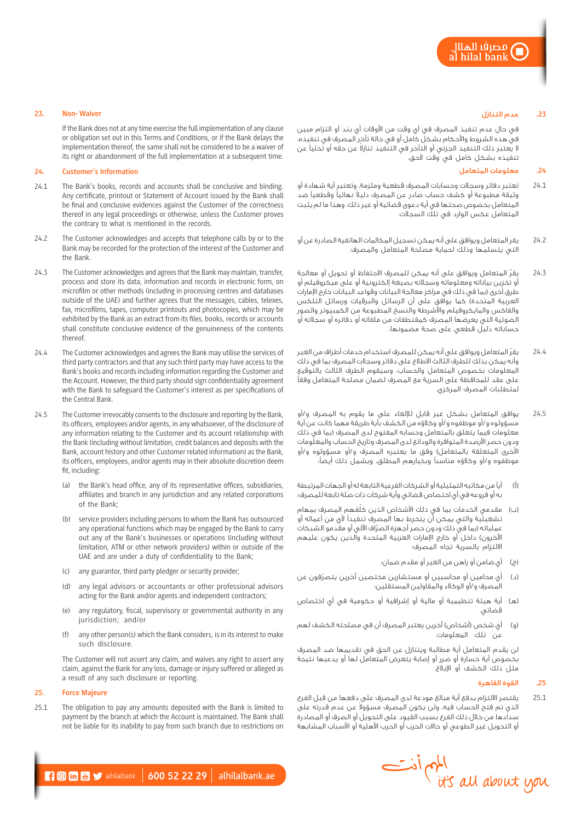# **.23** عدم التنازل

في حال عدم تنفيذ المصرف في أي وقت من األوقات أي بند أو التزام مبين في هذه الشروط واألحكام بشكل كامل أو في حالة تأخر المصرف في تنفيذه، لا يعتبر ذلك التنفيذ الجزئى أو التأخر في التنفيذ تنازلا عن حقه أو تخلياً عن تنفيذه بشكل كامل في وقت الحق.

# **.24** معلومات المتعامل

- 24.1 تعتبر دفاتر وسجالت وحسابات المصرف قطعية وملزمة، وتعتبر أية شهادة أو ً وثيقة مطبوعة أو كشف حساب صادر عن المصرف دليال نهائيًا وقطعيًا ضد المتعامل بخصوص صحتها في أية دعوى قضائية أو غير ذلك، وهذا ما لم يثبت المتعامل عكس الوارد في تلك السجالت.
- 24.2 يقر المتعامل ويوافق على أنه يمكن تسجيل المكالمات الهاتفية الصادرة عن أو التي يتسلمها وذلك لحماية مصلحة المتعامل والمصرف.
- 24.3 ّ يقر المتعامل ويوافق على أنه يمكن للمصرف االحتفاظ أو تحويل أو معالجة أو تخزين بياناته ومعلوماته وسجالته بصيغة إلكترونية أو على ميكروفيلم أو طرق أخرى (بما في ذلك في مراكز معالجة البيانات وقواعد البيانات خارج الإمارات العربية المتحدة) كما يوافق على أن الرسائل والبرقيات ورسائل التلكس والفاكس والمايكروفيلم واألشرطة والنسخ المطبوعة من الكمبيوتر والصور الضوئية التي يعرضها المصرف كمقتطفات من ملفاته أو دفاتره أو سجالته أو حساباته دليل قطعي على صحة مضمونها.
- 24.4 ّ يقر المتعامل ويوافق على أنه يمكن للمصرف استخدام خدمات أطراف من الغير وأنه يمكن بذلك للطرف الثالث االطالع على دفاتر وسجالت المصرف بما في ذلك المعلومات بخصوص المتعامل والحساب، وسيقوم الطرف الثالث بالتوقيع على عقد للمحافظة على السرية مع المصرف لضمان مصلحة المتعامل وفقًا لمتطلبات المصرف المركزي.
- 24.5 يوافق المتعامل بشكل غير قابل لإللغاء على ما يقوم به المصرف و/أو مسؤولوه و/أو موظفوه و/أو وكالؤه من الكشف بأية طريقة مهما كانت عن أية معلومات فيما يتعلق بالمتعامل وحسابه المفتوح لدى المصرف )بما في ذلك ودون حصر األرصدة المتوافرة والودائع لدى المصرف وتاريخ الحساب والمعلومات الأخرى المتعلقة بالمتعامل) وفق ما يعتبره المصرف و/أو مسؤولوه و/أو موظفوه و/أو وكالؤه مناسبًا وبخيارهم المطلق، ويشمل ذلك أيضًا:
- )أ( أيًا من مكاتبه التمثيلية أو الشركات الفرعية التابعة له أو الجهات المرتبطة به أو فروعه في أي اختصاص قضائي وأية شركات ذات صلة تابعة للمصرف؛
- (ب) مقدمي الخدمات بما في ذلك الأشخاص الذين كلّفهم المصرفِ بمهام تشغيلية والتي يمكن أن ينخرط بها المصرف تنفيذًا ألي من أعماله أو عملياته (بما في ذلك ودون حصر أجهزة الصرّاف الآلي أو مقّدمو الشبكات الآخرون) داخل أو خارج الإمارات العربية المتحدة والذين يكون عليهم االلتزام بالسرية تجاه المصرف؛
	- )ج( أي ضامن أو راهن من الغير أو مقدم ضمان؛
- )د( ّ أي محامين أو محاسبين أو مستشارين مختصين آخرين يتصرفون عن المصرف و/أو الوكالء والمقاولين المستقلين؛
- )هـ( أية هيئة تنظيمية أو مالية أو إشرافية أو حكومية في أي اختصاص قضائي.
- (و) أي شخص (أشخاص) آخرين يعتبر المصرف أن في مصلحته الكشف لهم عن تلك المعلومات.

لن يقدم المتعامل أية مطالبة ويتنازل عن الحق في تقديمها ضد المصرف بخصوص أية خسارة أو ضرر أو إصابة يتعرض المتعامل لها أو يدعيها نتيجة مثل ذلك الكشف أو اإلبالغ.

# **.25** القوة القاهرة

25.1 ِ يقتصر االلتزام بدفع أية مبالغ مودعة لدى المصرف على دفعها من قبل الفرع لذي تم فتح الحساب فيه، ولن يكون المصرف مسؤولا عن عدم قدرته على سدادها من خالل ذلك الفرع بسبب القيود على التحويل أو الصرف أو المصادرة أو التحويل غير الطوعي أو حاالت الحرب أو الحرب األهلية أو األسباب المشابهة



### **23. Non- Waiver**

If the Bank does not at any time exercise the full implementation of any clause or obligation set out in this Terms and Conditions, or if the Bank delays the implementation thereof, the same shall not be considered to be a waiver of its right or abandonment of the full implementation at a subsequent time.

# **24. Customer's Information**

- 24.1 The Bank's books, records and accounts shall be conclusive and binding. Any certificate, printout or Statement of Account issued by the Bank shall be final and conclusive evidences against the Customer of the correctness thereof in any legal proceedings or otherwise, unless the Customer proves the contrary to what is mentioned in the records.
- 24.2 The Customer acknowledges and accepts that telephone calls by or to the Bank may be recorded for the protection of the interest of the Customer and the Bank.
- 24.3 The Customer acknowledges and agrees that the Bank may maintain, transfer, process and store its data, information and records in electronic form, on microfilm or other methods (including in processing centres and databases outside of the UAE) and further agrees that the messages, cables, telexes, fax, microfilms, tapes, computer printouts and photocopies, which may be exhibited by the Bank as an extract from its files, books, records or accounts shall constitute conclusive evidence of the genuineness of the contents thereof.
- 24.4 The Customer acknowledges and agrees the Bank may utilise the services of third party contractors and that any such third party may have access to the Bank's books and records including information regarding the Customer and the Account. However, the third party should sign confidentiality agreement with the Bank to safeguard the Customer's interest as per specifications of the Central Bank.
- 24.5 The Customer irrevocably consents to the disclosure and reporting by the Bank, its officers, employees and/or agents, in any whatsoever, of the disclosure of any information relating to the Customer and its account relationship with the Bank (including without limitation, credit balances and deposits with the Bank, account history and other Customer related information) as the Bank, its officers, employees, and/or agents may in their absolute discretion deem fit, including:
	- (a) the Bank's head office, any of its representative offices, subsidiaries, affiliates and branch in any jurisdiction and any related corporations of the Bank;
	- (b) service providers including persons to whom the Bank has outsourced any operational functions which may be engaged by the Bank to carry out any of the Bank's businesses or operations (including without limitation, ATM or other network providers) within or outside of the UAE and are under a duty of confidentiality to the Bank;
	- (c) any guarantor, third party pledger or security provider;
	- (d) any legal advisors or accountants or other professional advisors acting for the Bank and/or agents and independent contractors;
	- (e) any regulatory, fiscal, supervisory or governmental authority in any jurisdiction; and/or
	- (f) any other person(s) which the Bank considers, is in its interest to make such disclosure.

The Customer will not assert any claim, and waives any right to assert any claim, against the Bank for any loss, damage or injury suffered or alleged as a result of any such disclosure or reporting.

# **25. Force Majeure**

25.1 The obligation to pay any amounts deposited with the Bank is limited to payment by the branch at which the Account is maintained. The Bank shall not be liable for its inability to pay from such branch due to restrictions on

 $\blacksquare$   $\blacksquare$   $\blacksquare$  alhilalbank | 600 52 22 29 | alhilalbank.ae